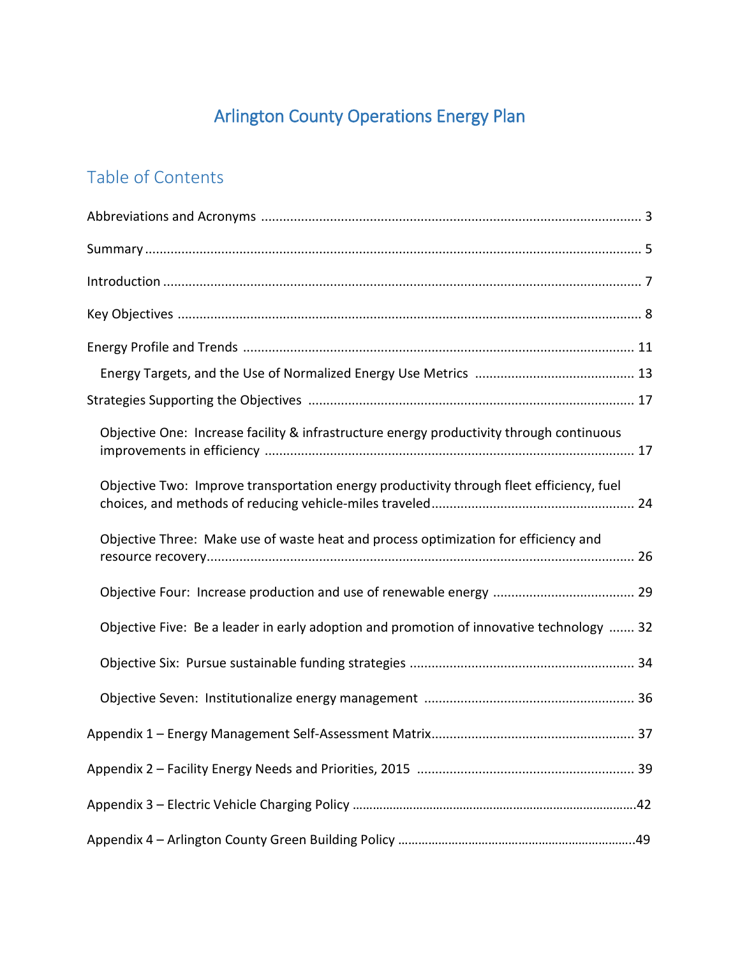# Arlington County Operations Energy Plan

# Table of Contents

| Objective One: Increase facility & infrastructure energy productivity through continuous |
|------------------------------------------------------------------------------------------|
| Objective Two: Improve transportation energy productivity through fleet efficiency, fuel |
| Objective Three: Make use of waste heat and process optimization for efficiency and      |
|                                                                                          |
| Objective Five: Be a leader in early adoption and promotion of innovative technology  32 |
|                                                                                          |
|                                                                                          |
|                                                                                          |
|                                                                                          |
|                                                                                          |
|                                                                                          |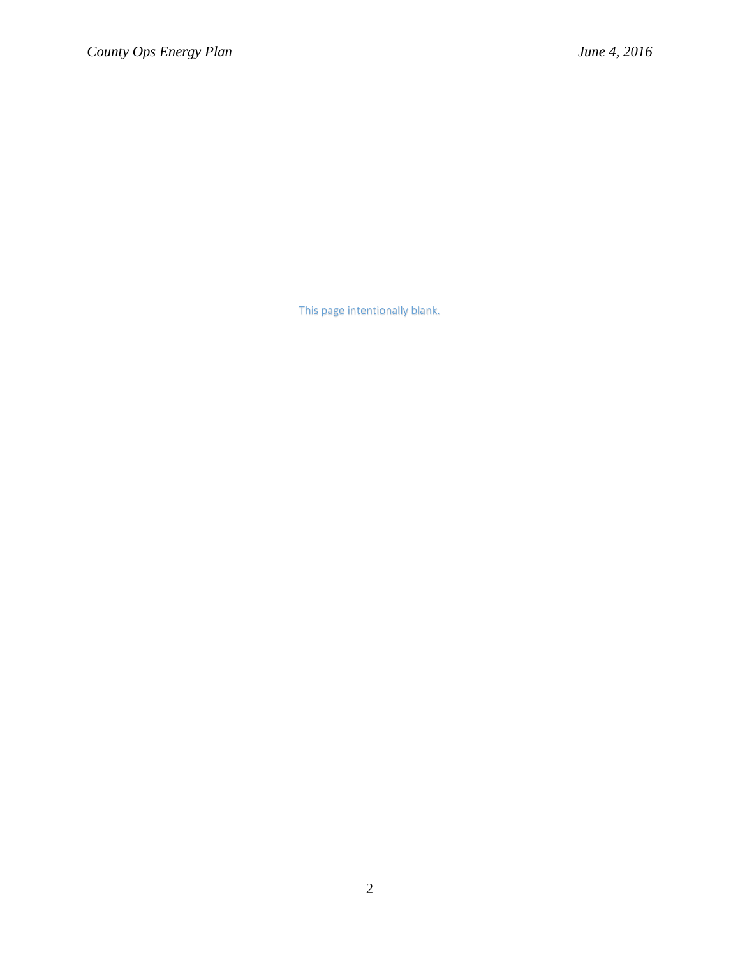This page intentionally blank.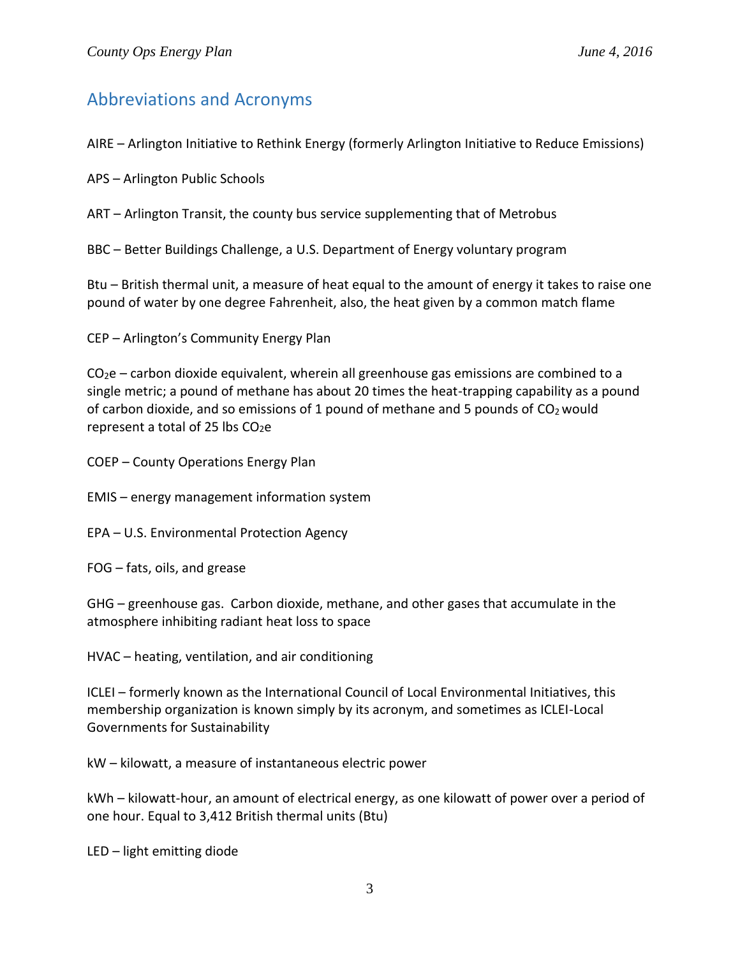## Abbreviations and Acronyms

AIRE – Arlington Initiative to Rethink Energy (formerly Arlington Initiative to Reduce Emissions)

APS – Arlington Public Schools

ART – Arlington Transit, the county bus service supplementing that of Metrobus

BBC – Better Buildings Challenge, a U.S. Department of Energy voluntary program

Btu – British thermal unit, a measure of heat equal to the amount of energy it takes to raise one pound of water by one degree Fahrenheit, also, the heat given by a common match flame

CEP – Arlington's Community Energy Plan

 $CO<sub>2</sub>e$  – carbon dioxide equivalent, wherein all greenhouse gas emissions are combined to a single metric; a pound of methane has about 20 times the heat-trapping capability as a pound of carbon dioxide, and so emissions of 1 pound of methane and 5 pounds of  $CO<sub>2</sub>$  would represent a total of 25 lbs  $CO<sub>2</sub>e$ 

- COEP County Operations Energy Plan
- EMIS energy management information system
- EPA U.S. Environmental Protection Agency

FOG – fats, oils, and grease

GHG – greenhouse gas. Carbon dioxide, methane, and other gases that accumulate in the atmosphere inhibiting radiant heat loss to space

HVAC – heating, ventilation, and air conditioning

ICLEI – formerly known as the International Council of Local Environmental Initiatives, this membership organization is known simply by its acronym, and sometimes as ICLEI-Local Governments for Sustainability

kW – kilowatt, a measure of instantaneous electric power

kWh – kilowatt-hour, an amount of electrical energy, as one kilowatt of power over a period of one hour. Equal to 3,412 British thermal units (Btu)

LED – light emitting diode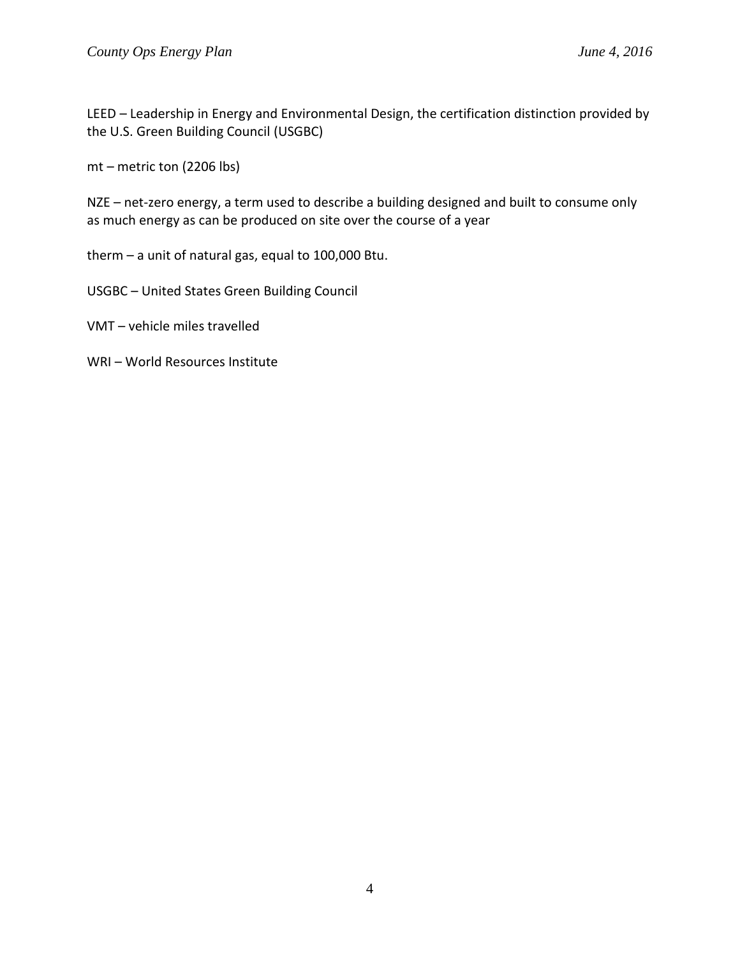LEED – Leadership in Energy and Environmental Design, the certification distinction provided by the U.S. Green Building Council (USGBC)

mt – metric ton (2206 lbs)

NZE – net-zero energy, a term used to describe a building designed and built to consume only as much energy as can be produced on site over the course of a year

therm – a unit of natural gas, equal to 100,000 Btu.

USGBC – United States Green Building Council

VMT – vehicle miles travelled

WRI – World Resources Institute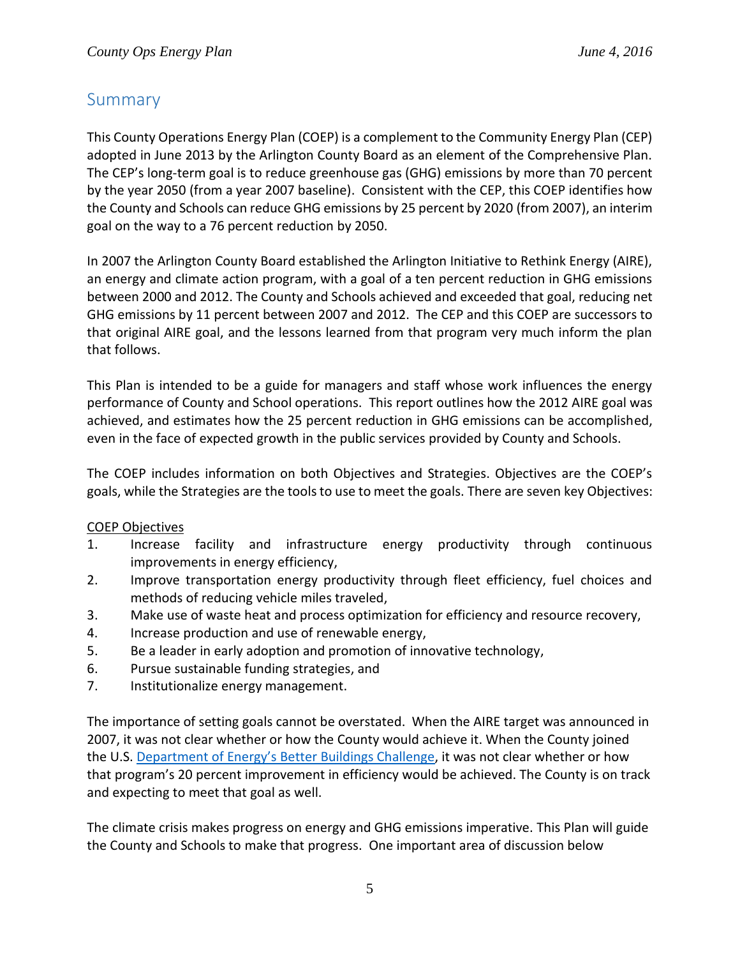## Summary

This County Operations Energy Plan (COEP) is a complement to the Community Energy Plan (CEP) adopted in June 2013 by the Arlington County Board as an element of the Comprehensive Plan. The CEP's long-term goal is to reduce greenhouse gas (GHG) emissions by more than 70 percent by the year 2050 (from a year 2007 baseline). Consistent with the CEP, this COEP identifies how the County and Schools can reduce GHG emissions by 25 percent by 2020 (from 2007), an interim goal on the way to a 76 percent reduction by 2050.

In 2007 the Arlington County Board established the Arlington Initiative to Rethink Energy (AIRE), an energy and climate action program, with a goal of a ten percent reduction in GHG emissions between 2000 and 2012. The County and Schools achieved and exceeded that goal, reducing net GHG emissions by 11 percent between 2007 and 2012. The CEP and this COEP are successors to that original AIRE goal, and the lessons learned from that program very much inform the plan that follows.

This Plan is intended to be a guide for managers and staff whose work influences the energy performance of County and School operations. This report outlines how the 2012 AIRE goal was achieved, and estimates how the 25 percent reduction in GHG emissions can be accomplished, even in the face of expected growth in the public services provided by County and Schools.

The COEP includes information on both Objectives and Strategies. Objectives are the COEP's goals, while the Strategies are the tools to use to meet the goals. There are seven key Objectives:

## COEP Objectives

- 1. Increase facility and infrastructure energy productivity through continuous improvements in energy efficiency,
- 2. Improve transportation energy productivity through fleet efficiency, fuel choices and methods of reducing vehicle miles traveled,
- 3. Make use of waste heat and process optimization for efficiency and resource recovery,
- 4. Increase production and use of renewable energy,
- 5. Be a leader in early adoption and promotion of innovative technology,
- 6. Pursue sustainable funding strategies, and
- 7. Institutionalize energy management.

The importance of setting goals cannot be overstated. When the AIRE target was announced in 2007, it was not clear whether or how the County would achieve it. When the County joined the U.S. Department of Energy's [Better Buildings Challenge,](http://betterbuildingssolutioncenter.energy.gov/) it was not clear whether or how that program's 20 percent improvement in efficiency would be achieved. The County is on track and expecting to meet that goal as well.

The climate crisis makes progress on energy and GHG emissions imperative. This Plan will guide the County and Schools to make that progress. One important area of discussion below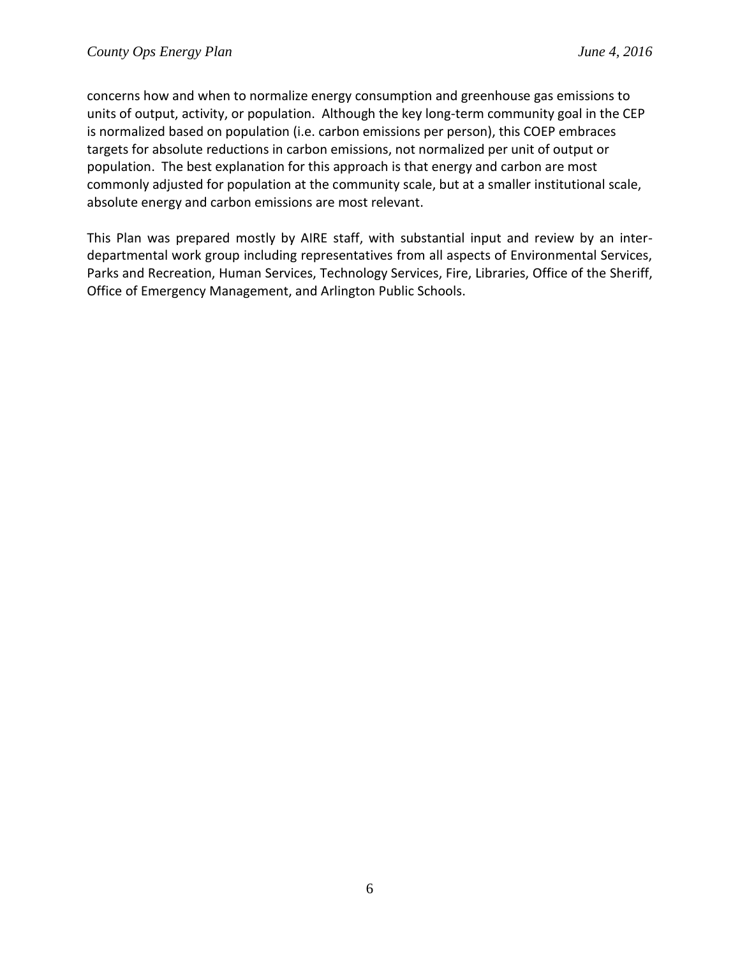concerns how and when to normalize energy consumption and greenhouse gas emissions to units of output, activity, or population. Although the key long-term community goal in the CEP is normalized based on population (i.e. carbon emissions per person), this COEP embraces targets for absolute reductions in carbon emissions, not normalized per unit of output or population. The best explanation for this approach is that energy and carbon are most commonly adjusted for population at the community scale, but at a smaller institutional scale, absolute energy and carbon emissions are most relevant.

This Plan was prepared mostly by AIRE staff, with substantial input and review by an interdepartmental work group including representatives from all aspects of Environmental Services, Parks and Recreation, Human Services, Technology Services, Fire, Libraries, Office of the Sheriff, Office of Emergency Management, and Arlington Public Schools.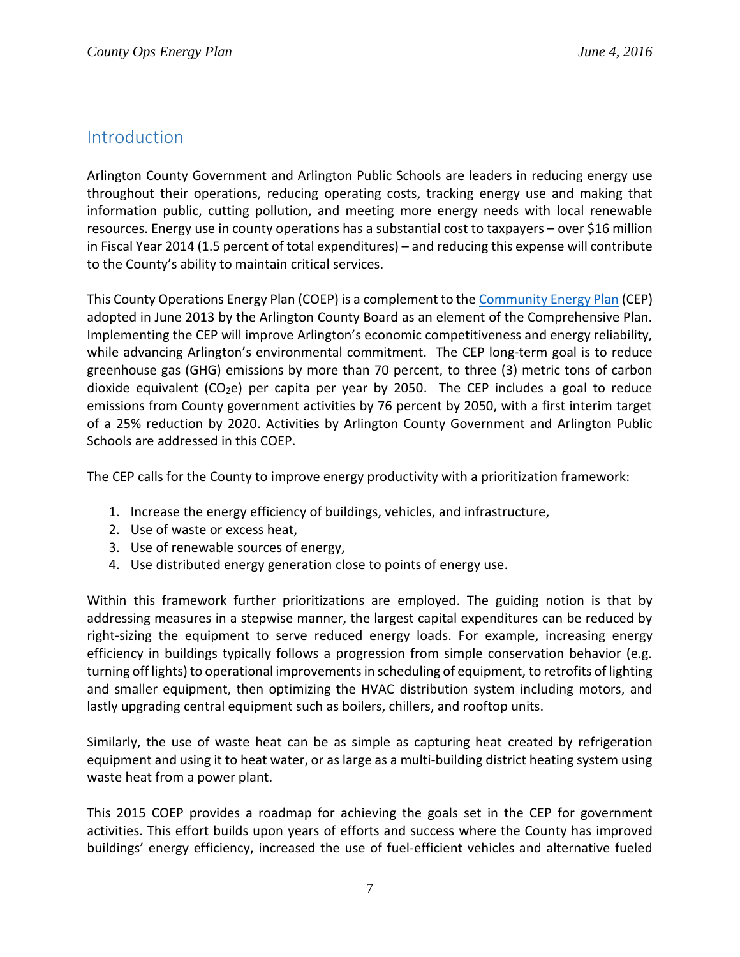## **Introduction**

Arlington County Government and Arlington Public Schools are leaders in reducing energy use throughout their operations, reducing operating costs, tracking energy use and making that information public, cutting pollution, and meeting more energy needs with local renewable resources. Energy use in county operations has a substantial cost to taxpayers – over \$16 million in Fiscal Year 2014 (1.5 percent of total expenditures) – and reducing this expense will contribute to the County's ability to maintain critical services.

This County Operations Energy Plan (COEP) is a complement to the [Community Energy Plan](http://environment.arlingtonva.us/energy/community-energy-plan-cep/) (CEP) adopted in June 2013 by the Arlington County Board as an element of the Comprehensive Plan. Implementing the CEP will improve Arlington's economic competitiveness and energy reliability, while advancing Arlington's environmental commitment. The CEP long-term goal is to reduce greenhouse gas (GHG) emissions by more than 70 percent, to three (3) metric tons of carbon dioxide equivalent ( $CO<sub>2</sub>e$ ) per capita per year by 2050. The CEP includes a goal to reduce emissions from County government activities by 76 percent by 2050, with a first interim target of a 25% reduction by 2020. Activities by Arlington County Government and Arlington Public Schools are addressed in this COEP.

The CEP calls for the County to improve energy productivity with a prioritization framework:

- 1. Increase the energy efficiency of buildings, vehicles, and infrastructure,
- 2. Use of waste or excess heat,
- 3. Use of renewable sources of energy,
- 4. Use distributed energy generation close to points of energy use.

Within this framework further prioritizations are employed. The guiding notion is that by addressing measures in a stepwise manner, the largest capital expenditures can be reduced by right-sizing the equipment to serve reduced energy loads. For example, increasing energy efficiency in buildings typically follows a progression from simple conservation behavior (e.g. turning off lights) to operational improvements in scheduling of equipment, to retrofits of lighting and smaller equipment, then optimizing the HVAC distribution system including motors, and lastly upgrading central equipment such as boilers, chillers, and rooftop units.

Similarly, the use of waste heat can be as simple as capturing heat created by refrigeration equipment and using it to heat water, or as large as a multi-building district heating system using waste heat from a power plant.

This 2015 COEP provides a roadmap for achieving the goals set in the CEP for government activities. This effort builds upon years of efforts and success where the County has improved buildings' energy efficiency, increased the use of fuel-efficient vehicles and alternative fueled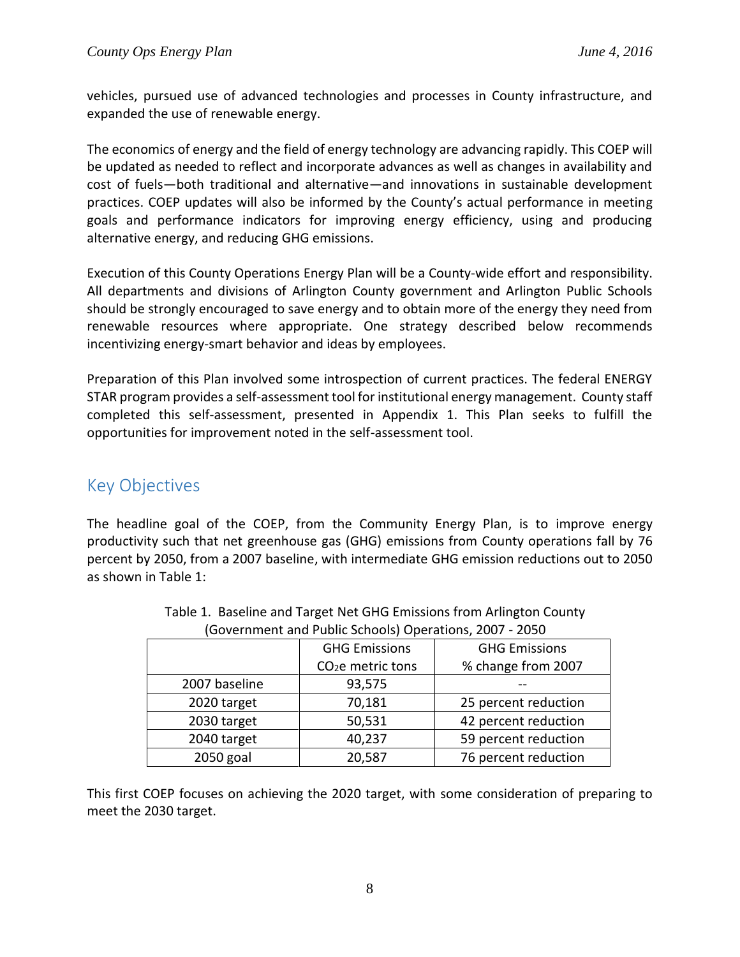vehicles, pursued use of advanced technologies and processes in County infrastructure, and expanded the use of renewable energy.

The economics of energy and the field of energy technology are advancing rapidly. This COEP will be updated as needed to reflect and incorporate advances as well as changes in availability and cost of fuels—both traditional and alternative—and innovations in sustainable development practices. COEP updates will also be informed by the County's actual performance in meeting goals and performance indicators for improving energy efficiency, using and producing alternative energy, and reducing GHG emissions.

Execution of this County Operations Energy Plan will be a County-wide effort and responsibility. All departments and divisions of Arlington County government and Arlington Public Schools should be strongly encouraged to save energy and to obtain more of the energy they need from renewable resources where appropriate. One strategy described below recommends incentivizing energy-smart behavior and ideas by employees.

Preparation of this Plan involved some introspection of current practices. The federal ENERGY STAR program provides a self-assessment tool for institutional energy management. County staff completed this self-assessment, presented in Appendix 1. This Plan seeks to fulfill the opportunities for improvement noted in the self-assessment tool.

## Key Objectives

The headline goal of the COEP, from the Community Energy Plan, is to improve energy productivity such that net greenhouse gas (GHG) emissions from County operations fall by 76 percent by 2050, from a 2007 baseline, with intermediate GHG emission reductions out to 2050 as shown in Table 1:

| opverminent and radiic sensors, operations, 2007 2000 |                               |                      |  |  |  |  |  |  |  |
|-------------------------------------------------------|-------------------------------|----------------------|--|--|--|--|--|--|--|
|                                                       | <b>GHG Emissions</b>          | <b>GHG Emissions</b> |  |  |  |  |  |  |  |
|                                                       | CO <sub>2</sub> e metric tons | % change from 2007   |  |  |  |  |  |  |  |
| 2007 baseline                                         | 93,575                        |                      |  |  |  |  |  |  |  |
| 2020 target                                           | 70,181                        | 25 percent reduction |  |  |  |  |  |  |  |
| 2030 target                                           | 50,531                        | 42 percent reduction |  |  |  |  |  |  |  |
| 2040 target                                           | 40,237                        | 59 percent reduction |  |  |  |  |  |  |  |
| 2050 goal                                             | 20,587                        | 76 percent reduction |  |  |  |  |  |  |  |

## Table 1. Baseline and Target Net GHG Emissions from Arlington County (Government and Public Schools) Operations, 2007 - 2050

This first COEP focuses on achieving the 2020 target, with some consideration of preparing to meet the 2030 target.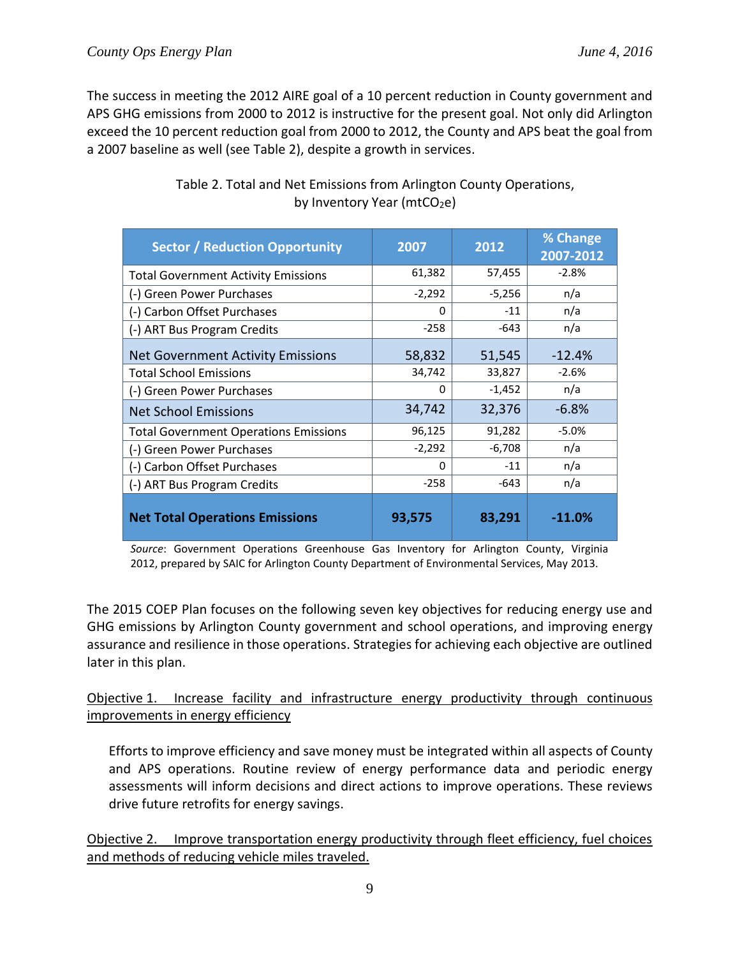The success in meeting the 2012 AIRE goal of a 10 percent reduction in County government and APS GHG emissions from 2000 to 2012 is instructive for the present goal. Not only did Arlington exceed the 10 percent reduction goal from 2000 to 2012, the County and APS beat the goal from a 2007 baseline as well (see Table 2), despite a growth in services.

| <b>Sector / Reduction Opportunity</b>        | 2007     | 2012     | % Change<br>2007-2012 |
|----------------------------------------------|----------|----------|-----------------------|
| <b>Total Government Activity Emissions</b>   | 61,382   | 57,455   | $-2.8%$               |
| (-) Green Power Purchases                    | $-2,292$ | $-5,256$ | n/a                   |
| (-) Carbon Offset Purchases                  | 0        | $-11$    | n/a                   |
| (-) ART Bus Program Credits                  | $-258$   | $-643$   | n/a                   |
| <b>Net Government Activity Emissions</b>     | 58,832   | 51,545   | $-12.4%$              |
| <b>Total School Emissions</b>                | 34,742   | 33,827   | $-2.6%$               |
| (-) Green Power Purchases                    | 0        | $-1,452$ | n/a                   |
| <b>Net School Emissions</b>                  | 34,742   | 32,376   | $-6.8%$               |
| <b>Total Government Operations Emissions</b> | 96,125   | 91,282   | $-5.0%$               |
| (-) Green Power Purchases                    | $-2,292$ | $-6,708$ | n/a                   |
| (-) Carbon Offset Purchases                  | 0        | $-11$    | n/a                   |
| (-) ART Bus Program Credits                  | $-258$   | -643     | n/a                   |
| <b>Net Total Operations Emissions</b>        | 93,575   | 83,291   | $-11.0\%$             |

## Table 2. Total and Net Emissions from Arlington County Operations, by Inventory Year (mtCO<sub>2</sub>e)

*Source*: Government Operations Greenhouse Gas Inventory for Arlington County, Virginia 2012, prepared by SAIC for Arlington County Department of Environmental Services, May 2013.

The 2015 COEP Plan focuses on the following seven key objectives for reducing energy use and GHG emissions by Arlington County government and school operations, and improving energy assurance and resilience in those operations. Strategies for achieving each objective are outlined later in this plan.

## Objective 1. Increase facility and infrastructure energy productivity through continuous improvements in energy efficiency

Efforts to improve efficiency and save money must be integrated within all aspects of County and APS operations. Routine review of energy performance data and periodic energy assessments will inform decisions and direct actions to improve operations. These reviews drive future retrofits for energy savings.

Objective 2. Improve transportation energy productivity through fleet efficiency, fuel choices and methods of reducing vehicle miles traveled.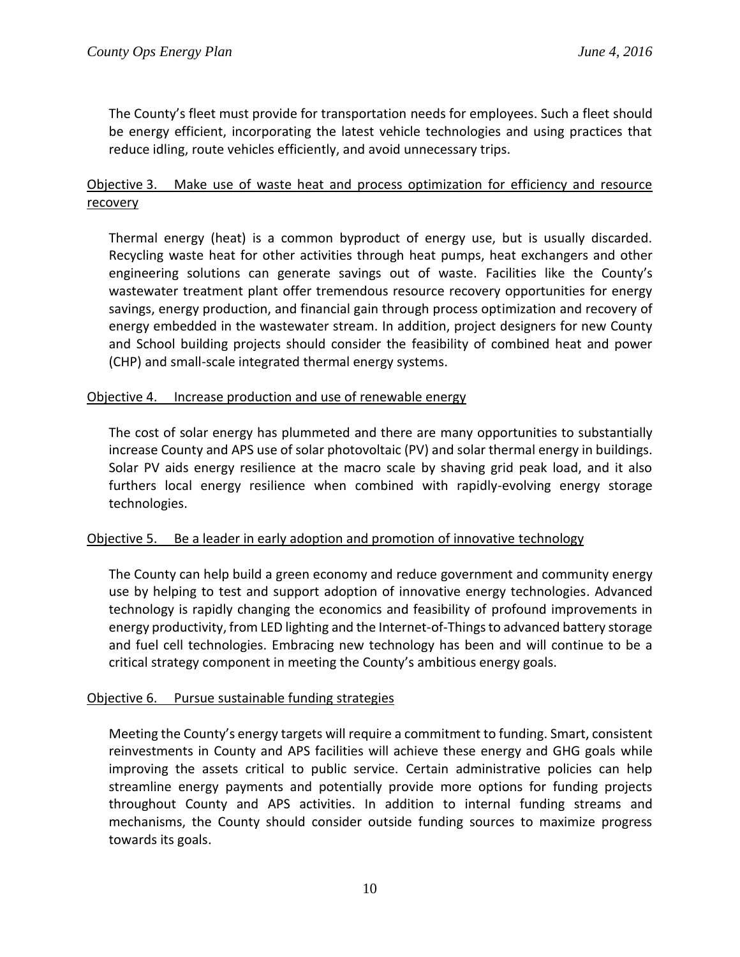The County's fleet must provide for transportation needs for employees. Such a fleet should be energy efficient, incorporating the latest vehicle technologies and using practices that reduce idling, route vehicles efficiently, and avoid unnecessary trips.

## Objective 3. Make use of waste heat and process optimization for efficiency and resource recovery

Thermal energy (heat) is a common byproduct of energy use, but is usually discarded. Recycling waste heat for other activities through heat pumps, heat exchangers and other engineering solutions can generate savings out of waste. Facilities like the County's wastewater treatment plant offer tremendous resource recovery opportunities for energy savings, energy production, and financial gain through process optimization and recovery of energy embedded in the wastewater stream. In addition, project designers for new County and School building projects should consider the feasibility of combined heat and power (CHP) and small-scale integrated thermal energy systems.

## Objective 4. Increase production and use of renewable energy

The cost of solar energy has plummeted and there are many opportunities to substantially increase County and APS use of solar photovoltaic (PV) and solar thermal energy in buildings. Solar PV aids energy resilience at the macro scale by shaving grid peak load, and it also furthers local energy resilience when combined with rapidly-evolving energy storage technologies.

## Objective 5. Be a leader in early adoption and promotion of innovative technology

The County can help build a green economy and reduce government and community energy use by helping to test and support adoption of innovative energy technologies. Advanced technology is rapidly changing the economics and feasibility of profound improvements in energy productivity, from LED lighting and the Internet-of-Things to advanced battery storage and fuel cell technologies. Embracing new technology has been and will continue to be a critical strategy component in meeting the County's ambitious energy goals.

## Objective 6. Pursue sustainable funding strategies

Meeting the County's energy targets will require a commitment to funding. Smart, consistent reinvestments in County and APS facilities will achieve these energy and GHG goals while improving the assets critical to public service. Certain administrative policies can help streamline energy payments and potentially provide more options for funding projects throughout County and APS activities. In addition to internal funding streams and mechanisms, the County should consider outside funding sources to maximize progress towards its goals.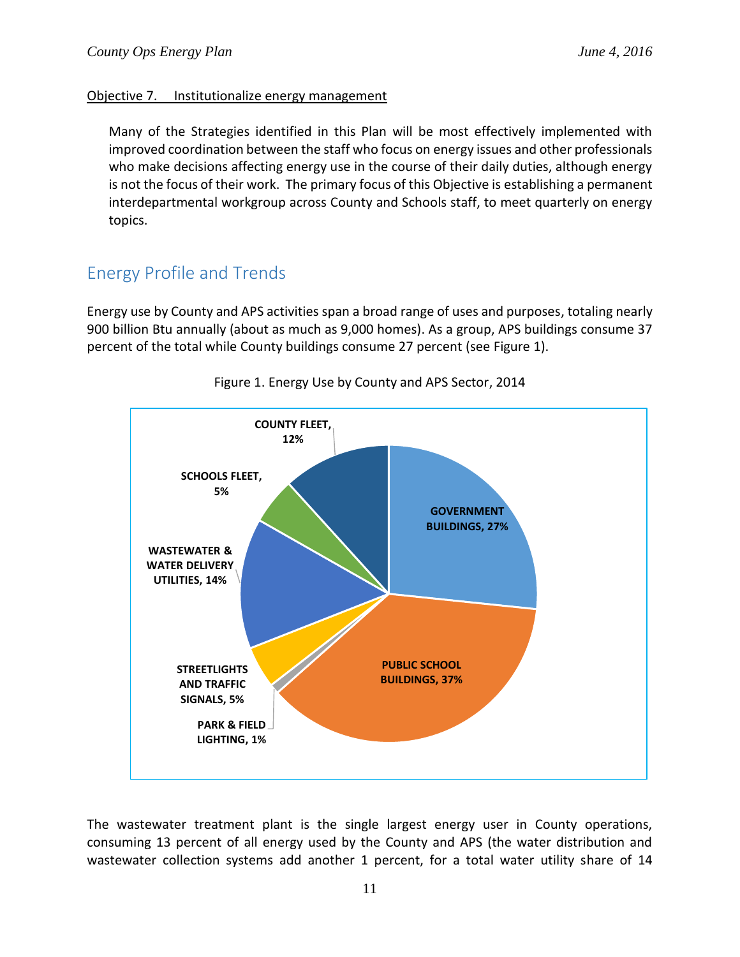## Objective 7. Institutionalize energy management

Many of the Strategies identified in this Plan will be most effectively implemented with improved coordination between the staff who focus on energy issues and other professionals who make decisions affecting energy use in the course of their daily duties, although energy is not the focus of their work. The primary focus of this Objective is establishing a permanent interdepartmental workgroup across County and Schools staff, to meet quarterly on energy topics.

## Energy Profile and Trends

Energy use by County and APS activities span a broad range of uses and purposes, totaling nearly 900 billion Btu annually (about as much as 9,000 homes). As a group, APS buildings consume 37 percent of the total while County buildings consume 27 percent (see Figure 1).



Figure 1. Energy Use by County and APS Sector, 2014

The wastewater treatment plant is the single largest energy user in County operations, consuming 13 percent of all energy used by the County and APS (the water distribution and wastewater collection systems add another 1 percent, for a total water utility share of 14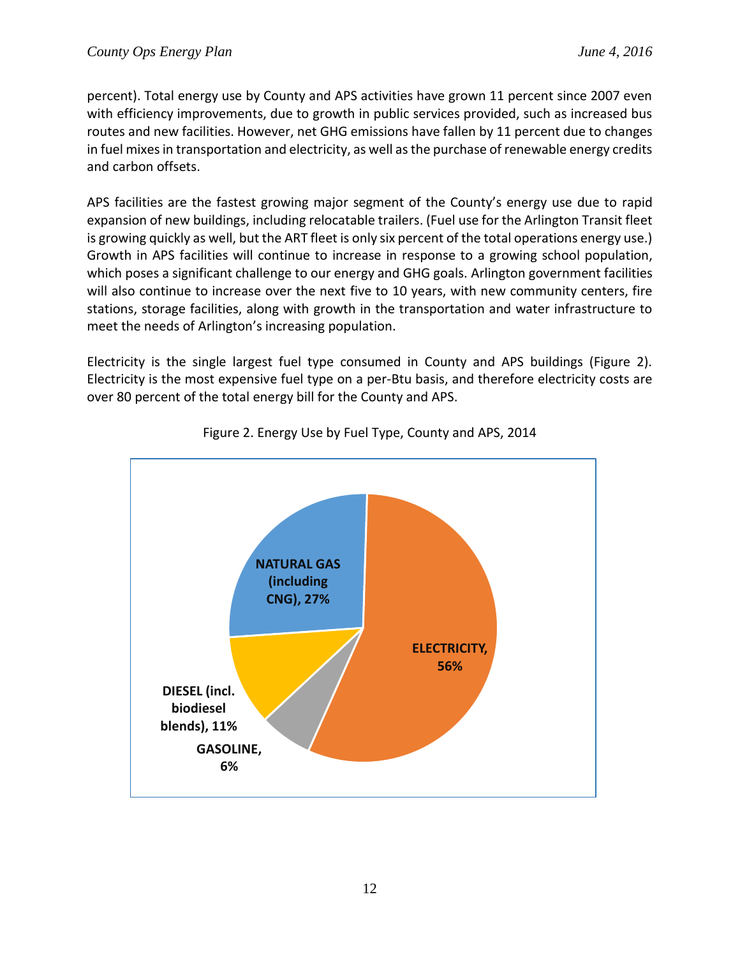percent). Total energy use by County and APS activities have grown 11 percent since 2007 even with efficiency improvements, due to growth in public services provided, such as increased bus routes and new facilities. However, net GHG emissions have fallen by 11 percent due to changes in fuel mixes in transportation and electricity, as well as the purchase of renewable energy credits and carbon offsets.

APS facilities are the fastest growing major segment of the County's energy use due to rapid expansion of new buildings, including relocatable trailers. (Fuel use for the Arlington Transit fleet is growing quickly as well, but the ART fleet is only six percent of the total operations energy use.) Growth in APS facilities will continue to increase in response to a growing school population, which poses a significant challenge to our energy and GHG goals. Arlington government facilities will also continue to increase over the next five to 10 years, with new community centers, fire stations, storage facilities, along with growth in the transportation and water infrastructure to meet the needs of Arlington's increasing population.

Electricity is the single largest fuel type consumed in County and APS buildings (Figure 2). Electricity is the most expensive fuel type on a per-Btu basis, and therefore electricity costs are over 80 percent of the total energy bill for the County and APS.



Figure 2. Energy Use by Fuel Type, County and APS, 2014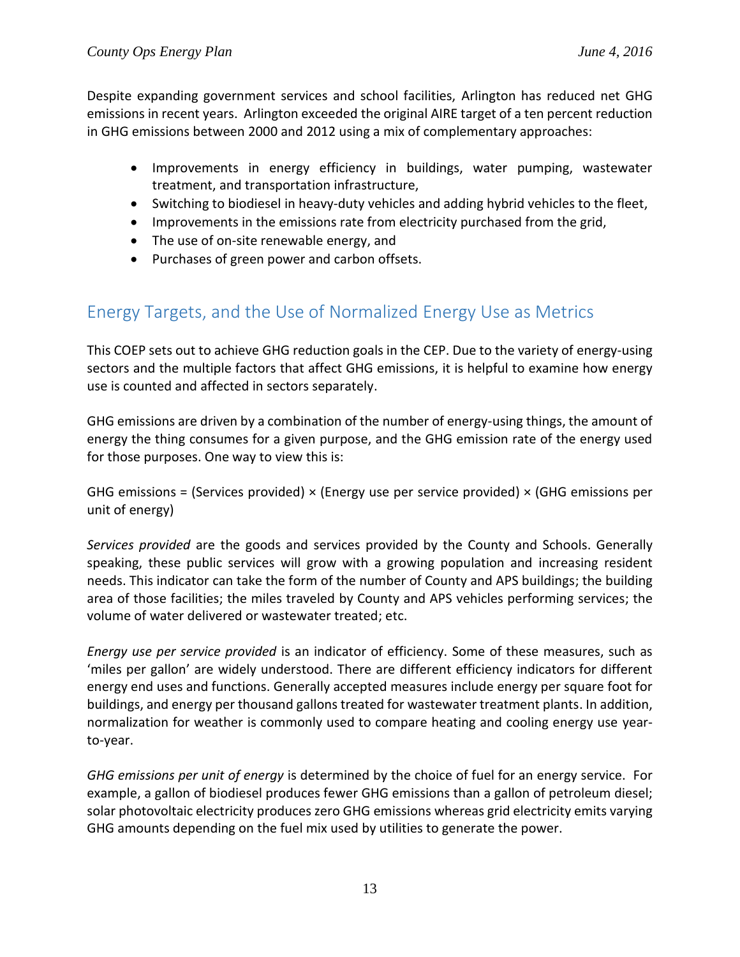Despite expanding government services and school facilities, Arlington has reduced net GHG emissions in recent years. Arlington exceeded the original AIRE target of a ten percent reduction in GHG emissions between 2000 and 2012 using a mix of complementary approaches:

- Improvements in energy efficiency in buildings, water pumping, wastewater treatment, and transportation infrastructure,
- Switching to biodiesel in heavy-duty vehicles and adding hybrid vehicles to the fleet,
- Improvements in the emissions rate from electricity purchased from the grid,
- The use of on-site renewable energy, and
- Purchases of green power and carbon offsets.

## Energy Targets, and the Use of Normalized Energy Use as Metrics

This COEP sets out to achieve GHG reduction goals in the CEP. Due to the variety of energy-using sectors and the multiple factors that affect GHG emissions, it is helpful to examine how energy use is counted and affected in sectors separately.

GHG emissions are driven by a combination of the number of energy-using things, the amount of energy the thing consumes for a given purpose, and the GHG emission rate of the energy used for those purposes. One way to view this is:

GHG emissions = (Services provided)  $\times$  (Energy use per service provided)  $\times$  (GHG emissions per unit of energy)

*Services provided* are the goods and services provided by the County and Schools. Generally speaking, these public services will grow with a growing population and increasing resident needs. This indicator can take the form of the number of County and APS buildings; the building area of those facilities; the miles traveled by County and APS vehicles performing services; the volume of water delivered or wastewater treated; etc.

*Energy use per service provided* is an indicator of efficiency. Some of these measures, such as 'miles per gallon' are widely understood. There are different efficiency indicators for different energy end uses and functions. Generally accepted measures include energy per square foot for buildings, and energy per thousand gallons treated for wastewater treatment plants. In addition, normalization for weather is commonly used to compare heating and cooling energy use yearto-year.

*GHG emissions per unit of energy* is determined by the choice of fuel for an energy service. For example, a gallon of biodiesel produces fewer GHG emissions than a gallon of petroleum diesel; solar photovoltaic electricity produces zero GHG emissions whereas grid electricity emits varying GHG amounts depending on the fuel mix used by utilities to generate the power.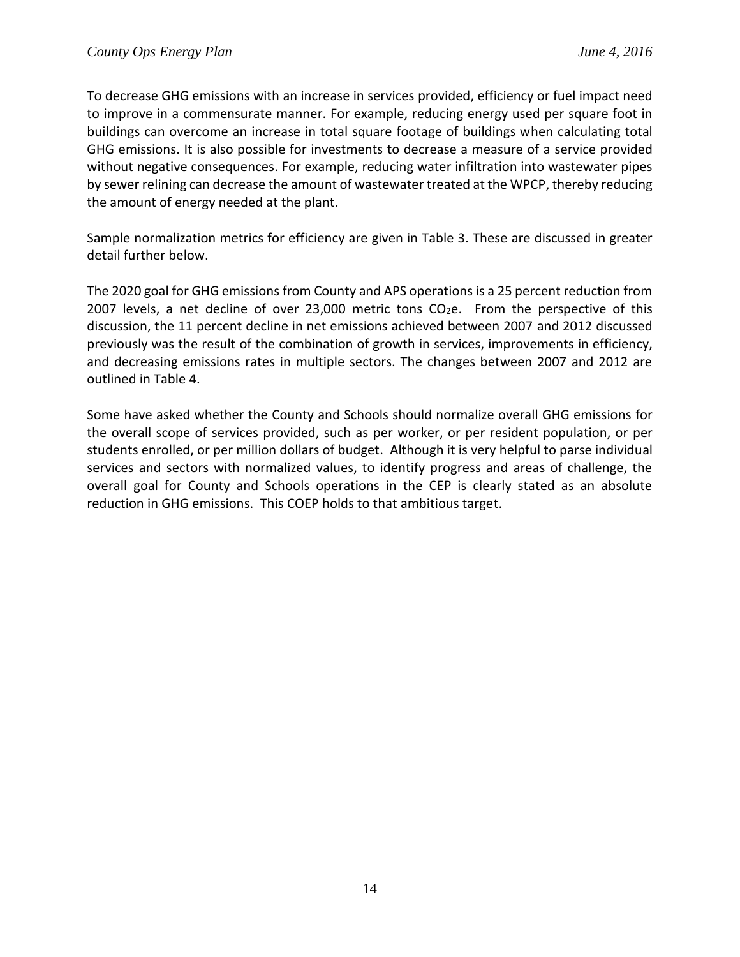To decrease GHG emissions with an increase in services provided, efficiency or fuel impact need to improve in a commensurate manner. For example, reducing energy used per square foot in buildings can overcome an increase in total square footage of buildings when calculating total GHG emissions. It is also possible for investments to decrease a measure of a service provided without negative consequences. For example, reducing water infiltration into wastewater pipes by sewer relining can decrease the amount of wastewater treated at the WPCP, thereby reducing the amount of energy needed at the plant.

Sample normalization metrics for efficiency are given in Table 3. These are discussed in greater detail further below.

The 2020 goal for GHG emissions from County and APS operations is a 25 percent reduction from 2007 levels, a net decline of over 23,000 metric tons  $CO<sub>2</sub>e$ . From the perspective of this discussion, the 11 percent decline in net emissions achieved between 2007 and 2012 discussed previously was the result of the combination of growth in services, improvements in efficiency, and decreasing emissions rates in multiple sectors. The changes between 2007 and 2012 are outlined in Table 4.

Some have asked whether the County and Schools should normalize overall GHG emissions for the overall scope of services provided, such as per worker, or per resident population, or per students enrolled, or per million dollars of budget. Although it is very helpful to parse individual services and sectors with normalized values, to identify progress and areas of challenge, the overall goal for County and Schools operations in the CEP is clearly stated as an absolute reduction in GHG emissions. This COEP holds to that ambitious target.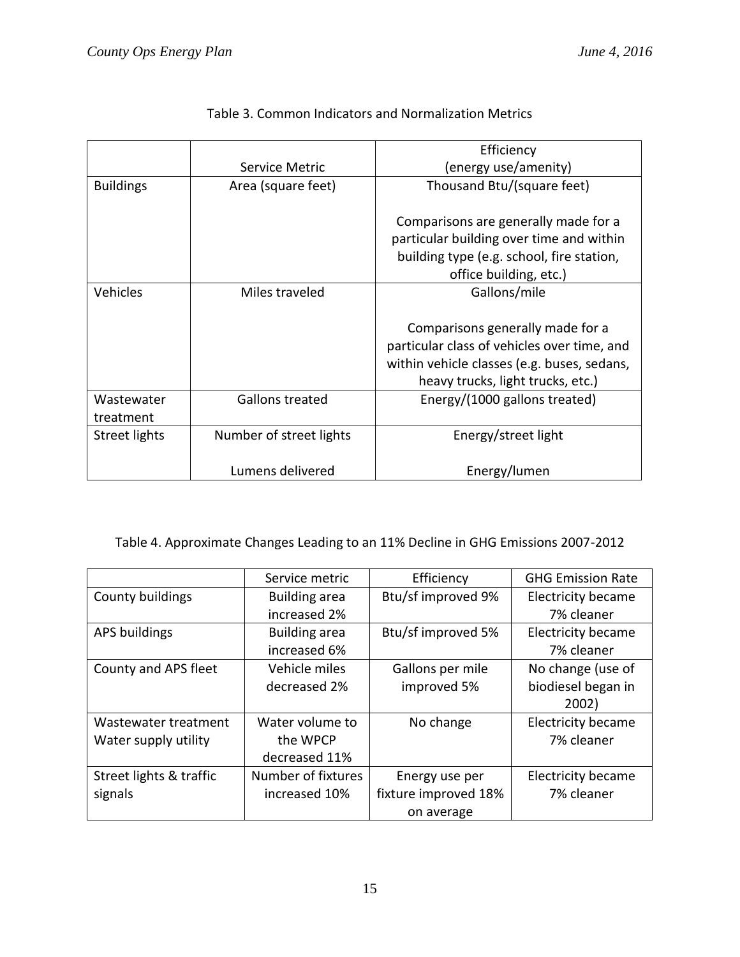|                  |                         | Efficiency                                  |
|------------------|-------------------------|---------------------------------------------|
|                  | Service Metric          | (energy use/amenity)                        |
| <b>Buildings</b> | Area (square feet)      | Thousand Btu/(square feet)                  |
|                  |                         |                                             |
|                  |                         | Comparisons are generally made for a        |
|                  |                         | particular building over time and within    |
|                  |                         | building type (e.g. school, fire station,   |
|                  |                         | office building, etc.)                      |
| <b>Vehicles</b>  | Miles traveled          | Gallons/mile                                |
|                  |                         |                                             |
|                  |                         | Comparisons generally made for a            |
|                  |                         | particular class of vehicles over time, and |
|                  |                         | within vehicle classes (e.g. buses, sedans, |
|                  |                         | heavy trucks, light trucks, etc.)           |
| Wastewater       | <b>Gallons treated</b>  | Energy/(1000 gallons treated)               |
| treatment        |                         |                                             |
| Street lights    | Number of street lights | Energy/street light                         |
|                  |                         |                                             |
|                  | Lumens delivered        | Energy/lumen                                |

## Table 3. Common Indicators and Normalization Metrics

## Table 4. Approximate Changes Leading to an 11% Decline in GHG Emissions 2007-2012

|                         | Service metric       | Efficiency           | <b>GHG Emission Rate</b>  |
|-------------------------|----------------------|----------------------|---------------------------|
| County buildings        | <b>Building area</b> | Btu/sf improved 9%   | <b>Electricity became</b> |
|                         | increased 2%         |                      | 7% cleaner                |
| APS buildings           | <b>Building area</b> | Btu/sf improved 5%   | <b>Electricity became</b> |
|                         | increased 6%         |                      | 7% cleaner                |
| County and APS fleet    | Vehicle miles        | Gallons per mile     | No change (use of         |
|                         | decreased 2%         | improved 5%          | biodiesel began in        |
|                         |                      |                      | 2002)                     |
| Wastewater treatment    | Water volume to      | No change            | <b>Electricity became</b> |
| Water supply utility    | the WPCP             |                      | 7% cleaner                |
|                         | decreased 11%        |                      |                           |
| Street lights & traffic | Number of fixtures   | Energy use per       | Electricity became        |
| signals                 | increased 10%        | fixture improved 18% | 7% cleaner                |
|                         |                      | on average           |                           |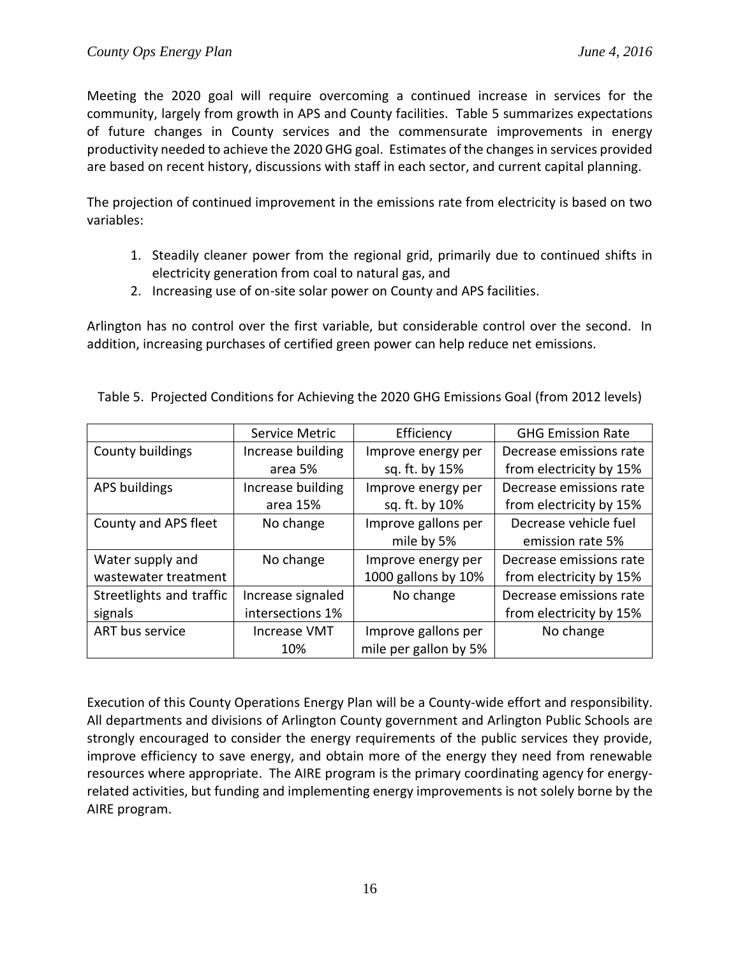Meeting the 2020 goal will require overcoming a continued increase in services for the community, largely from growth in APS and County facilities. Table 5 summarizes expectations of future changes in County services and the commensurate improvements in energy productivity needed to achieve the 2020 GHG goal. Estimates of the changes in services provided are based on recent history, discussions with staff in each sector, and current capital planning.

The projection of continued improvement in the emissions rate from electricity is based on two variables:

- 1. Steadily cleaner power from the regional grid, primarily due to continued shifts in electricity generation from coal to natural gas, and
- 2. Increasing use of on-site solar power on County and APS facilities.

Arlington has no control over the first variable, but considerable control over the second. In addition, increasing purchases of certified green power can help reduce net emissions.

|                          | Service Metric      | Efficiency            | <b>GHG Emission Rate</b> |
|--------------------------|---------------------|-----------------------|--------------------------|
| County buildings         | Increase building   | Improve energy per    | Decrease emissions rate  |
|                          | area 5%             | sq. ft. by 15%        | from electricity by 15%  |
| APS buildings            | Increase building   | Improve energy per    | Decrease emissions rate  |
|                          | area 15%            | sq. ft. by 10%        | from electricity by 15%  |
| County and APS fleet     | No change           | Improve gallons per   | Decrease vehicle fuel    |
|                          |                     | mile by 5%            | emission rate 5%         |
| Water supply and         | No change           | Improve energy per    | Decrease emissions rate  |
| wastewater treatment     |                     | 1000 gallons by 10%   | from electricity by 15%  |
| Streetlights and traffic | Increase signaled   | No change             | Decrease emissions rate  |
| signals                  | intersections 1%    |                       | from electricity by 15%  |
| ART bus service          | <b>Increase VMT</b> | Improve gallons per   | No change                |
|                          | 10%                 | mile per gallon by 5% |                          |

Table 5. Projected Conditions for Achieving the 2020 GHG Emissions Goal (from 2012 levels)

Execution of this County Operations Energy Plan will be a County-wide effort and responsibility. All departments and divisions of Arlington County government and Arlington Public Schools are strongly encouraged to consider the energy requirements of the public services they provide, improve efficiency to save energy, and obtain more of the energy they need from renewable resources where appropriate. The AIRE program is the primary coordinating agency for energyrelated activities, but funding and implementing energy improvements is not solely borne by the AIRE program.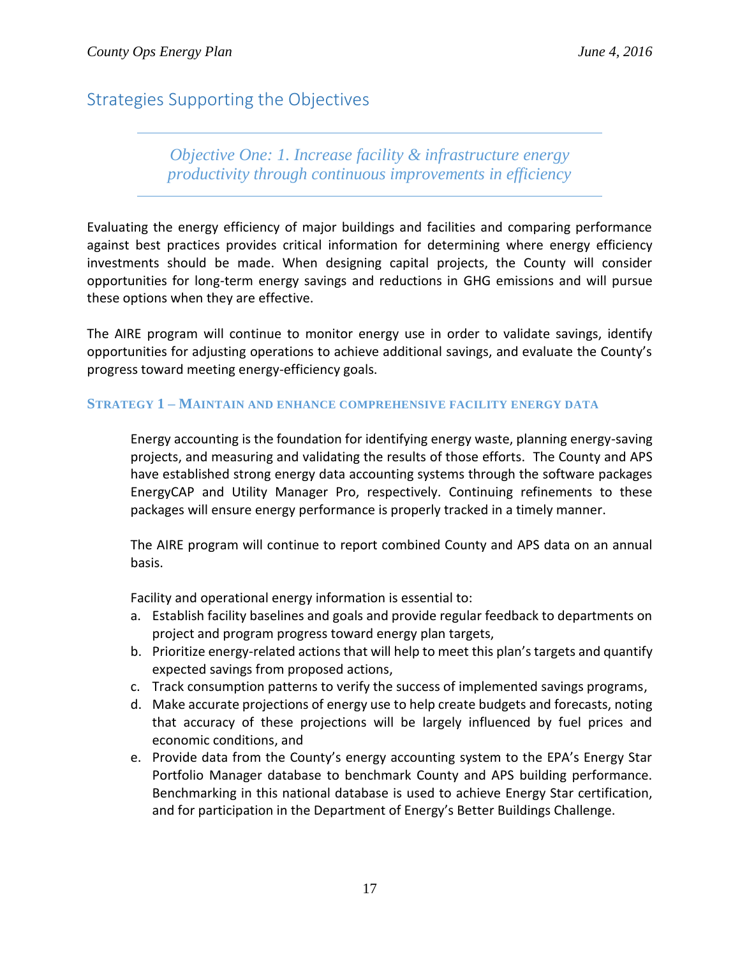## Strategies Supporting the Objectives

*Objective One: 1. Increase facility & infrastructure energy productivity through continuous improvements in efficiency* 

Evaluating the energy efficiency of major buildings and facilities and comparing performance against best practices provides critical information for determining where energy efficiency investments should be made. When designing capital projects, the County will consider opportunities for long-term energy savings and reductions in GHG emissions and will pursue these options when they are effective.

The AIRE program will continue to monitor energy use in order to validate savings, identify opportunities for adjusting operations to achieve additional savings, and evaluate the County's progress toward meeting energy-efficiency goals.

## **STRATEGY 1 – MAINTAIN AND ENHANCE COMPREHENSIVE FACILITY ENERGY DATA**

Energy accounting is the foundation for identifying energy waste, planning energy-saving projects, and measuring and validating the results of those efforts. The County and APS have established strong energy data accounting systems through the software packages EnergyCAP and Utility Manager Pro, respectively. Continuing refinements to these packages will ensure energy performance is properly tracked in a timely manner.

The AIRE program will continue to report combined County and APS data on an annual basis.

Facility and operational energy information is essential to:

- a. Establish facility baselines and goals and provide regular feedback to departments on project and program progress toward energy plan targets,
- b. Prioritize energy-related actions that will help to meet this plan's targets and quantify expected savings from proposed actions,
- c. Track consumption patterns to verify the success of implemented savings programs,
- d. Make accurate projections of energy use to help create budgets and forecasts, noting that accuracy of these projections will be largely influenced by fuel prices and economic conditions, and
- e. Provide data from the County's energy accounting system to the EPA's Energy Star Portfolio Manager database to benchmark County and APS building performance. Benchmarking in this national database is used to achieve Energy Star certification, and for participation in the Department of Energy's Better Buildings Challenge.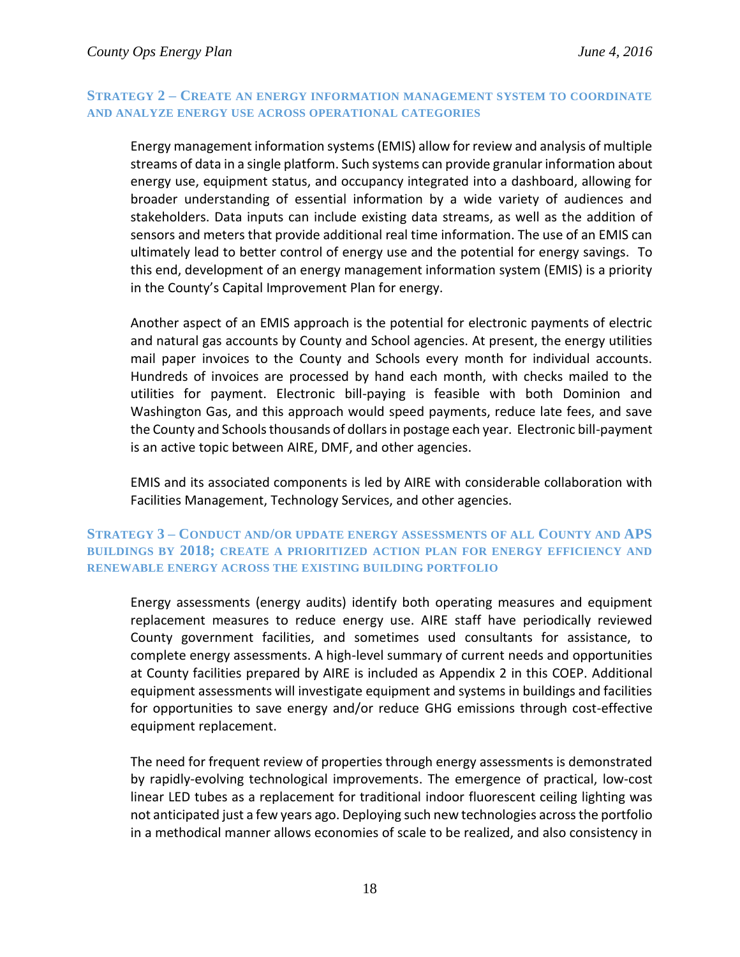#### **STRATEGY 2 – CREATE AN ENERGY INFORMATION MANAGEMENT SYSTEM TO COORDINATE AND ANALYZE ENERGY USE ACROSS OPERATIONAL CATEGORIES**

Energy management information systems (EMIS) allow for review and analysis of multiple streams of data in a single platform. Such systems can provide granular information about energy use, equipment status, and occupancy integrated into a dashboard, allowing for broader understanding of essential information by a wide variety of audiences and stakeholders. Data inputs can include existing data streams, as well as the addition of sensors and meters that provide additional real time information. The use of an EMIS can ultimately lead to better control of energy use and the potential for energy savings. To this end, development of an energy management information system (EMIS) is a priority in the County's Capital Improvement Plan for energy.

Another aspect of an EMIS approach is the potential for electronic payments of electric and natural gas accounts by County and School agencies. At present, the energy utilities mail paper invoices to the County and Schools every month for individual accounts. Hundreds of invoices are processed by hand each month, with checks mailed to the utilities for payment. Electronic bill-paying is feasible with both Dominion and Washington Gas, and this approach would speed payments, reduce late fees, and save the County and Schools thousands of dollars in postage each year. Electronic bill-payment is an active topic between AIRE, DMF, and other agencies.

EMIS and its associated components is led by AIRE with considerable collaboration with Facilities Management, Technology Services, and other agencies.

## **STRATEGY 3 – CONDUCT AND/OR UPDATE ENERGY ASSESSMENTS OF ALL COUNTY AND APS BUILDINGS BY 2018; CREATE A PRIORITIZED ACTION PLAN FOR ENERGY EFFICIENCY AND RENEWABLE ENERGY ACROSS THE EXISTING BUILDING PORTFOLIO**

Energy assessments (energy audits) identify both operating measures and equipment replacement measures to reduce energy use. AIRE staff have periodically reviewed County government facilities, and sometimes used consultants for assistance, to complete energy assessments. A high-level summary of current needs and opportunities at County facilities prepared by AIRE is included as Appendix 2 in this COEP. Additional equipment assessments will investigate equipment and systems in buildings and facilities for opportunities to save energy and/or reduce GHG emissions through cost-effective equipment replacement.

The need for frequent review of properties through energy assessments is demonstrated by rapidly-evolving technological improvements. The emergence of practical, low-cost linear LED tubes as a replacement for traditional indoor fluorescent ceiling lighting was not anticipated just a few years ago. Deploying such new technologies across the portfolio in a methodical manner allows economies of scale to be realized, and also consistency in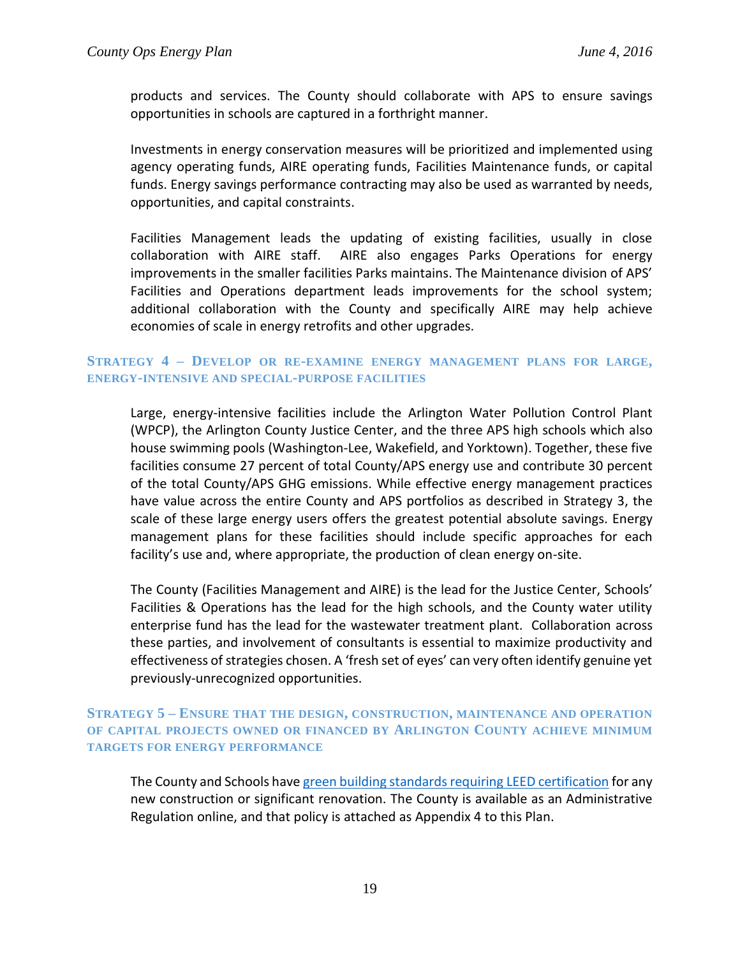products and services. The County should collaborate with APS to ensure savings opportunities in schools are captured in a forthright manner.

Investments in energy conservation measures will be prioritized and implemented using agency operating funds, AIRE operating funds, Facilities Maintenance funds, or capital funds. Energy savings performance contracting may also be used as warranted by needs, opportunities, and capital constraints.

Facilities Management leads the updating of existing facilities, usually in close collaboration with AIRE staff. AIRE also engages Parks Operations for energy improvements in the smaller facilities Parks maintains. The Maintenance division of APS' Facilities and Operations department leads improvements for the school system; additional collaboration with the County and specifically AIRE may help achieve economies of scale in energy retrofits and other upgrades.

### **STRATEGY 4 – DEVELOP OR RE-EXAMINE ENERGY MANAGEMENT PLANS FOR LARGE, ENERGY-INTENSIVE AND SPECIAL-PURPOSE FACILITIES**

Large, energy-intensive facilities include the Arlington Water Pollution Control Plant (WPCP), the Arlington County Justice Center, and the three APS high schools which also house swimming pools (Washington-Lee, Wakefield, and Yorktown). Together, these five facilities consume 27 percent of total County/APS energy use and contribute 30 percent of the total County/APS GHG emissions. While effective energy management practices have value across the entire County and APS portfolios as described in Strategy 3, the scale of these large energy users offers the greatest potential absolute savings. Energy management plans for these facilities should include specific approaches for each facility's use and, where appropriate, the production of clean energy on-site.

The County (Facilities Management and AIRE) is the lead for the Justice Center, Schools' Facilities & Operations has the lead for the high schools, and the County water utility enterprise fund has the lead for the wastewater treatment plant. Collaboration across these parties, and involvement of consultants is essential to maximize productivity and effectiveness of strategies chosen. A 'fresh set of eyes' can very often identify genuine yet previously-unrecognized opportunities.

## **STRATEGY 5 – ENSURE THAT THE DESIGN, CONSTRUCTION, MAINTENANCE AND OPERATION OF CAPITAL PROJECTS OWNED OR FINANCED BY ARLINGTON COUNTY ACHIEVE MINIMUM TARGETS FOR ENERGY PERFORMANCE**

The County and Schools hav[e green building standards requiring](https://arlingtonva.sharepoint.com/regs/Shared%20Documents/Green%20Building%20Policy%2012-15-09.pdf) LEED certification for any new construction or significant renovation. The County is available as an Administrative Regulation online, and that policy is attached as Appendix 4 to this Plan.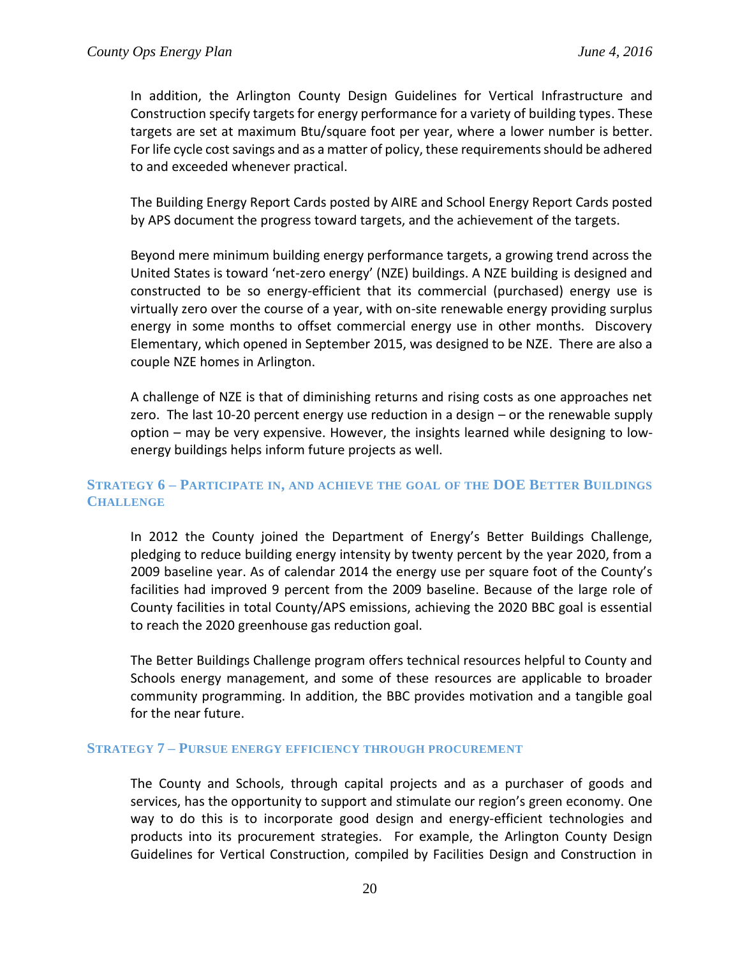In addition, the Arlington County Design Guidelines for Vertical Infrastructure and Construction specify targets for energy performance for a variety of building types. These targets are set at maximum Btu/square foot per year, where a lower number is better. For life cycle cost savings and as a matter of policy, these requirements should be adhered to and exceeded whenever practical.

The Building Energy Report Cards posted by AIRE and School Energy Report Cards posted by APS document the progress toward targets, and the achievement of the targets.

Beyond mere minimum building energy performance targets, a growing trend across the United States is toward 'net-zero energy' (NZE) buildings. A NZE building is designed and constructed to be so energy-efficient that its commercial (purchased) energy use is virtually zero over the course of a year, with on-site renewable energy providing surplus energy in some months to offset commercial energy use in other months. Discovery Elementary, which opened in September 2015, was designed to be NZE. There are also a couple NZE homes in Arlington.

A challenge of NZE is that of diminishing returns and rising costs as one approaches net zero. The last 10-20 percent energy use reduction in a design – or the renewable supply option – may be very expensive. However, the insights learned while designing to lowenergy buildings helps inform future projects as well.

## **STRATEGY 6 – PARTICIPATE IN, AND ACHIEVE THE GOAL OF THE DOE BETTER BUILDINGS CHALLENGE**

In 2012 the County joined the Department of Energy's Better Buildings Challenge, pledging to reduce building energy intensity by twenty percent by the year 2020, from a 2009 baseline year. As of calendar 2014 the energy use per square foot of the County's facilities had improved 9 percent from the 2009 baseline. Because of the large role of County facilities in total County/APS emissions, achieving the 2020 BBC goal is essential to reach the 2020 greenhouse gas reduction goal.

The Better Buildings Challenge program offers technical resources helpful to County and Schools energy management, and some of these resources are applicable to broader community programming. In addition, the BBC provides motivation and a tangible goal for the near future.

#### **STRATEGY 7 – PURSUE ENERGY EFFICIENCY THROUGH PROCUREMENT**

The County and Schools, through capital projects and as a purchaser of goods and services, has the opportunity to support and stimulate our region's green economy. One way to do this is to incorporate good design and energy-efficient technologies and products into its procurement strategies. For example, the Arlington County Design Guidelines for Vertical Construction, compiled by Facilities Design and Construction in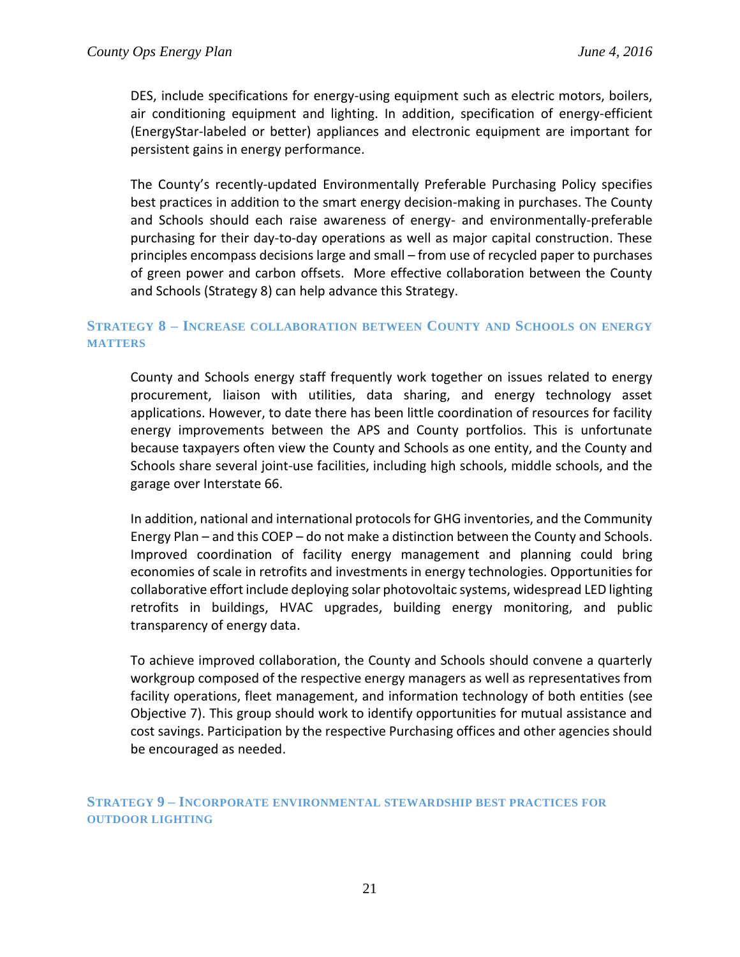DES, include specifications for energy-using equipment such as electric motors, boilers, air conditioning equipment and lighting. In addition, specification of energy-efficient (EnergyStar-labeled or better) appliances and electronic equipment are important for persistent gains in energy performance.

The County's recently-updated Environmentally Preferable Purchasing Policy specifies best practices in addition to the smart energy decision-making in purchases. The County and Schools should each raise awareness of energy- and environmentally-preferable purchasing for their day-to-day operations as well as major capital construction. These principles encompass decisions large and small – from use of recycled paper to purchases of green power and carbon offsets. More effective collaboration between the County and Schools (Strategy 8) can help advance this Strategy.

## **STRATEGY 8 – INCREASE COLLABORATION BETWEEN COUNTY AND SCHOOLS ON ENERGY MATTERS**

County and Schools energy staff frequently work together on issues related to energy procurement, liaison with utilities, data sharing, and energy technology asset applications. However, to date there has been little coordination of resources for facility energy improvements between the APS and County portfolios. This is unfortunate because taxpayers often view the County and Schools as one entity, and the County and Schools share several joint-use facilities, including high schools, middle schools, and the garage over Interstate 66.

In addition, national and international protocols for GHG inventories, and the Community Energy Plan – and this COEP – do not make a distinction between the County and Schools. Improved coordination of facility energy management and planning could bring economies of scale in retrofits and investments in energy technologies. Opportunities for collaborative effort include deploying solar photovoltaic systems, widespread LED lighting retrofits in buildings, HVAC upgrades, building energy monitoring, and public transparency of energy data.

To achieve improved collaboration, the County and Schools should convene a quarterly workgroup composed of the respective energy managers as well as representatives from facility operations, fleet management, and information technology of both entities (see Objective 7). This group should work to identify opportunities for mutual assistance and cost savings. Participation by the respective Purchasing offices and other agencies should be encouraged as needed.

**STRATEGY 9 – INCORPORATE ENVIRONMENTAL STEWARDSHIP BEST PRACTICES FOR OUTDOOR LIGHTING**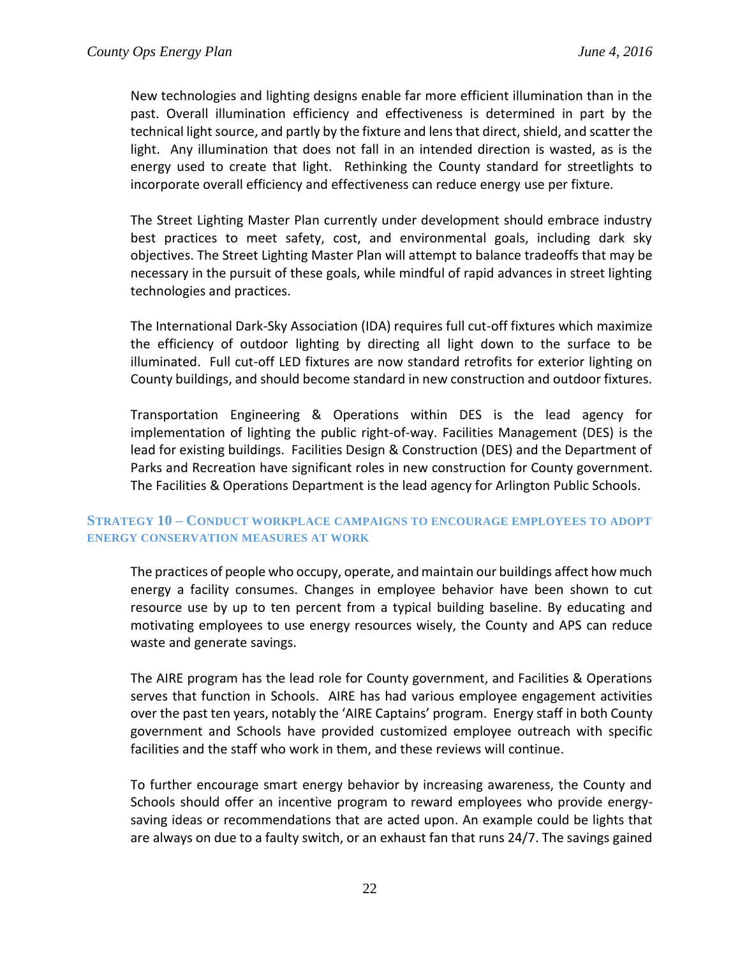New technologies and lighting designs enable far more efficient illumination than in the past. Overall illumination efficiency and effectiveness is determined in part by the technical light source, and partly by the fixture and lens that direct, shield, and scatter the light. Any illumination that does not fall in an intended direction is wasted, as is the energy used to create that light. Rethinking the County standard for streetlights to incorporate overall efficiency and effectiveness can reduce energy use per fixture.

The Street Lighting Master Plan currently under development should embrace industry best practices to meet safety, cost, and environmental goals, including dark sky objectives. The Street Lighting Master Plan will attempt to balance tradeoffs that may be necessary in the pursuit of these goals, while mindful of rapid advances in street lighting technologies and practices.

The International Dark-Sky Association (IDA) requires full cut-off fixtures which maximize the efficiency of outdoor lighting by directing all light down to the surface to be illuminated. Full cut-off LED fixtures are now standard retrofits for exterior lighting on County buildings, and should become standard in new construction and outdoor fixtures.

Transportation Engineering & Operations within DES is the lead agency for implementation of lighting the public right-of-way. Facilities Management (DES) is the lead for existing buildings. Facilities Design & Construction (DES) and the Department of Parks and Recreation have significant roles in new construction for County government. The Facilities & Operations Department is the lead agency for Arlington Public Schools.

## **STRATEGY 10 – CONDUCT WORKPLACE CAMPAIGNS TO ENCOURAGE EMPLOYEES TO ADOPT ENERGY CONSERVATION MEASURES AT WORK**

The practices of people who occupy, operate, and maintain our buildings affect how much energy a facility consumes. Changes in employee behavior have been shown to cut resource use by up to ten percent from a typical building baseline. By educating and motivating employees to use energy resources wisely, the County and APS can reduce waste and generate savings.

The AIRE program has the lead role for County government, and Facilities & Operations serves that function in Schools. AIRE has had various employee engagement activities over the past ten years, notably the 'AIRE Captains' program. Energy staff in both County government and Schools have provided customized employee outreach with specific facilities and the staff who work in them, and these reviews will continue.

To further encourage smart energy behavior by increasing awareness, the County and Schools should offer an incentive program to reward employees who provide energysaving ideas or recommendations that are acted upon. An example could be lights that are always on due to a faulty switch, or an exhaust fan that runs 24/7. The savings gained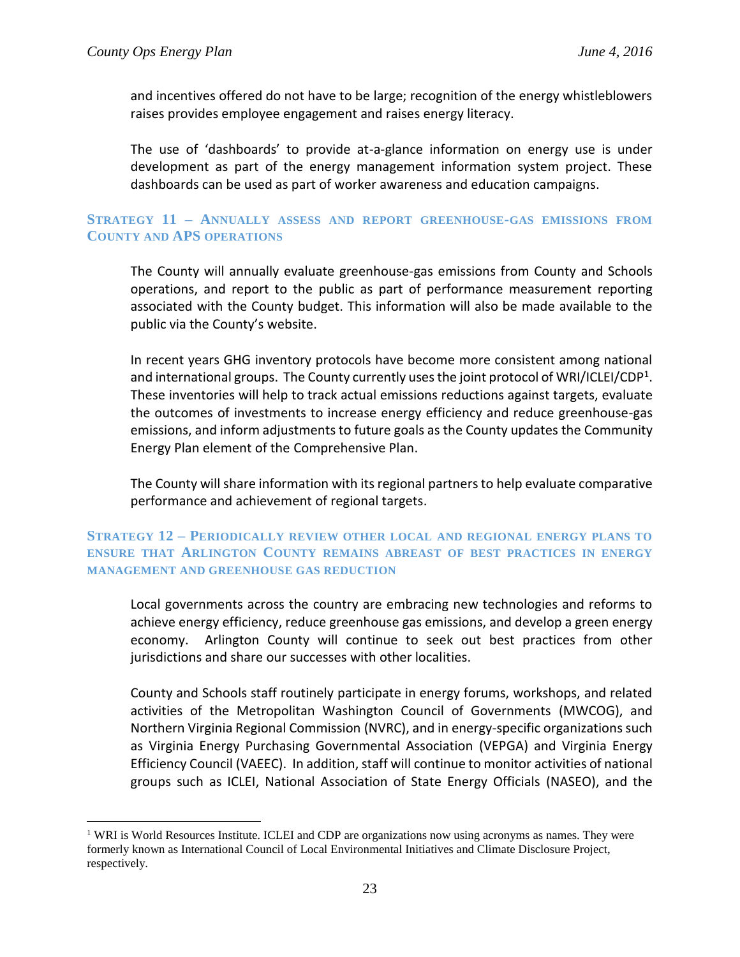$\overline{a}$ 

and incentives offered do not have to be large; recognition of the energy whistleblowers raises provides employee engagement and raises energy literacy.

The use of 'dashboards' to provide at-a-glance information on energy use is under development as part of the energy management information system project. These dashboards can be used as part of worker awareness and education campaigns.

## **STRATEGY 11 – ANNUALLY ASSESS AND REPORT GREENHOUSE-GAS EMISSIONS FROM COUNTY AND APS OPERATIONS**

The County will annually evaluate greenhouse-gas emissions from County and Schools operations, and report to the public as part of performance measurement reporting associated with the County budget. This information will also be made available to the public via the County's website.

In recent years GHG inventory protocols have become more consistent among national and international groups. The County currently uses the joint protocol of WRI/ICLEI/CDP<sup>1</sup>. These inventories will help to track actual emissions reductions against targets, evaluate the outcomes of investments to increase energy efficiency and reduce greenhouse-gas emissions, and inform adjustments to future goals as the County updates the Community Energy Plan element of the Comprehensive Plan.

The County will share information with its regional partners to help evaluate comparative performance and achievement of regional targets.

## **STRATEGY 12 – PERIODICALLY REVIEW OTHER LOCAL AND REGIONAL ENERGY PLANS TO ENSURE THAT ARLINGTON COUNTY REMAINS ABREAST OF BEST PRACTICES IN ENERGY MANAGEMENT AND GREENHOUSE GAS REDUCTION**

Local governments across the country are embracing new technologies and reforms to achieve energy efficiency, reduce greenhouse gas emissions, and develop a green energy economy. Arlington County will continue to seek out best practices from other jurisdictions and share our successes with other localities.

County and Schools staff routinely participate in energy forums, workshops, and related activities of the Metropolitan Washington Council of Governments (MWCOG), and Northern Virginia Regional Commission (NVRC), and in energy-specific organizations such as Virginia Energy Purchasing Governmental Association (VEPGA) and Virginia Energy Efficiency Council (VAEEC). In addition, staff will continue to monitor activities of national groups such as ICLEI, National Association of State Energy Officials (NASEO), and the

<sup>&</sup>lt;sup>1</sup> WRI is World Resources Institute. ICLEI and CDP are organizations now using acronyms as names. They were formerly known as International Council of Local Environmental Initiatives and Climate Disclosure Project, respectively.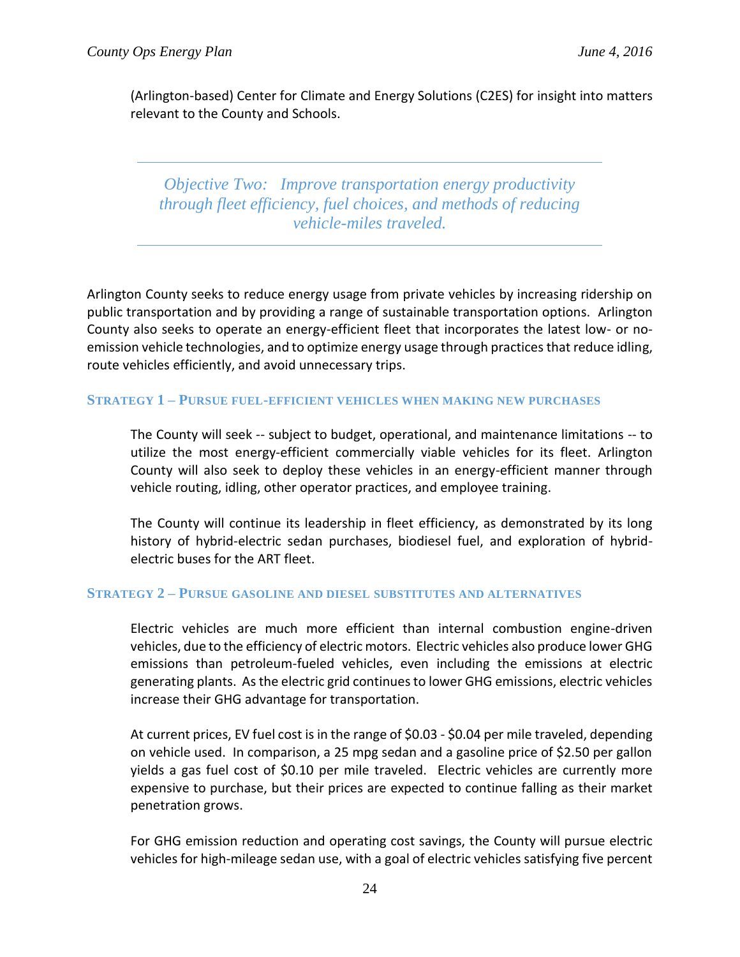(Arlington-based) Center for Climate and Energy Solutions (C2ES) for insight into matters relevant to the County and Schools.

*Objective Two: Improve transportation energy productivity through fleet efficiency, fuel choices, and methods of reducing vehicle-miles traveled.*

Arlington County seeks to reduce energy usage from private vehicles by increasing ridership on public transportation and by providing a range of sustainable transportation options. Arlington County also seeks to operate an energy-efficient fleet that incorporates the latest low- or noemission vehicle technologies, and to optimize energy usage through practices that reduce idling, route vehicles efficiently, and avoid unnecessary trips.

#### **STRATEGY 1 – PURSUE FUEL-EFFICIENT VEHICLES WHEN MAKING NEW PURCHASES**

The County will seek -- subject to budget, operational, and maintenance limitations -- to utilize the most energy-efficient commercially viable vehicles for its fleet. Arlington County will also seek to deploy these vehicles in an energy-efficient manner through vehicle routing, idling, other operator practices, and employee training.

The County will continue its leadership in fleet efficiency, as demonstrated by its long history of hybrid-electric sedan purchases, biodiesel fuel, and exploration of hybridelectric buses for the ART fleet.

#### **STRATEGY 2 – PURSUE GASOLINE AND DIESEL SUBSTITUTES AND ALTERNATIVES**

Electric vehicles are much more efficient than internal combustion engine-driven vehicles, due to the efficiency of electric motors. Electric vehicles also produce lower GHG emissions than petroleum-fueled vehicles, even including the emissions at electric generating plants. As the electric grid continues to lower GHG emissions, electric vehicles increase their GHG advantage for transportation.

At current prices, EV fuel cost is in the range of \$0.03 - \$0.04 per mile traveled, depending on vehicle used. In comparison, a 25 mpg sedan and a gasoline price of \$2.50 per gallon yields a gas fuel cost of \$0.10 per mile traveled. Electric vehicles are currently more expensive to purchase, but their prices are expected to continue falling as their market penetration grows.

For GHG emission reduction and operating cost savings, the County will pursue electric vehicles for high-mileage sedan use, with a goal of electric vehicles satisfying five percent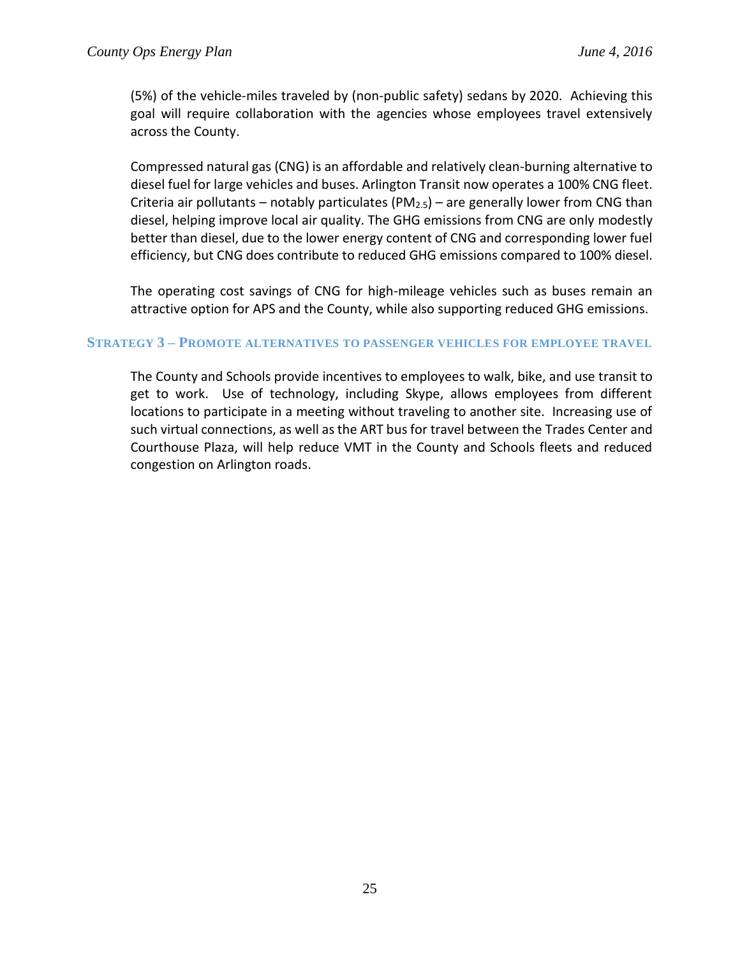(5%) of the vehicle-miles traveled by (non-public safety) sedans by 2020. Achieving this goal will require collaboration with the agencies whose employees travel extensively across the County.

Compressed natural gas (CNG) is an affordable and relatively clean-burning alternative to diesel fuel for large vehicles and buses. Arlington Transit now operates a 100% CNG fleet. Criteria air pollutants – notably particulates (PM<sub>2.5</sub>) – are generally lower from CNG than diesel, helping improve local air quality. The GHG emissions from CNG are only modestly better than diesel, due to the lower energy content of CNG and corresponding lower fuel efficiency, but CNG does contribute to reduced GHG emissions compared to 100% diesel.

The operating cost savings of CNG for high-mileage vehicles such as buses remain an attractive option for APS and the County, while also supporting reduced GHG emissions.

## **STRATEGY 3 – PROMOTE ALTERNATIVES TO PASSENGER VEHICLES FOR EMPLOYEE TRAVEL**

The County and Schools provide incentives to employees to walk, bike, and use transit to get to work. Use of technology, including Skype, allows employees from different locations to participate in a meeting without traveling to another site. Increasing use of such virtual connections, as well as the ART bus for travel between the Trades Center and Courthouse Plaza, will help reduce VMT in the County and Schools fleets and reduced congestion on Arlington roads.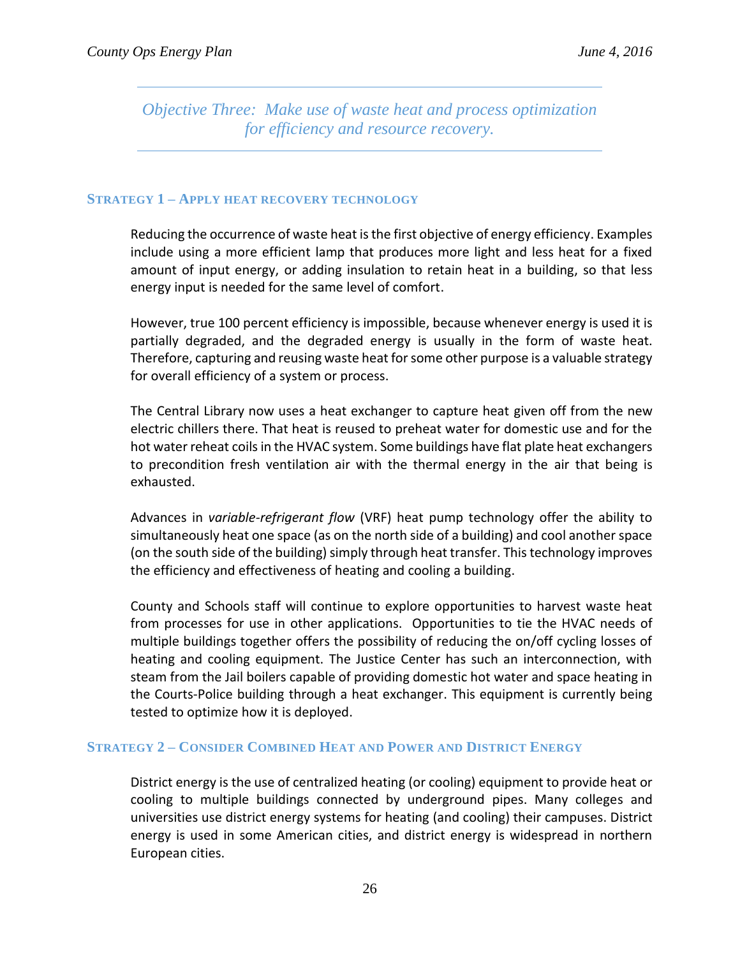*Objective Three: Make use of waste heat and process optimization for efficiency and resource recovery.* 

#### **STRATEGY 1 – APPLY HEAT RECOVERY TECHNOLOGY**

Reducing the occurrence of waste heat is the first objective of energy efficiency. Examples include using a more efficient lamp that produces more light and less heat for a fixed amount of input energy, or adding insulation to retain heat in a building, so that less energy input is needed for the same level of comfort.

However, true 100 percent efficiency is impossible, because whenever energy is used it is partially degraded, and the degraded energy is usually in the form of waste heat. Therefore, capturing and reusing waste heat for some other purpose is a valuable strategy for overall efficiency of a system or process.

The Central Library now uses a heat exchanger to capture heat given off from the new electric chillers there. That heat is reused to preheat water for domestic use and for the hot water reheat coils in the HVAC system. Some buildings have flat plate heat exchangers to precondition fresh ventilation air with the thermal energy in the air that being is exhausted.

Advances in *variable-refrigerant flow* (VRF) heat pump technology offer the ability to simultaneously heat one space (as on the north side of a building) and cool another space (on the south side of the building) simply through heat transfer. This technology improves the efficiency and effectiveness of heating and cooling a building.

County and Schools staff will continue to explore opportunities to harvest waste heat from processes for use in other applications. Opportunities to tie the HVAC needs of multiple buildings together offers the possibility of reducing the on/off cycling losses of heating and cooling equipment. The Justice Center has such an interconnection, with steam from the Jail boilers capable of providing domestic hot water and space heating in the Courts-Police building through a heat exchanger. This equipment is currently being tested to optimize how it is deployed.

#### **STRATEGY 2 – CONSIDER COMBINED HEAT AND POWER AND DISTRICT ENERGY**

District energy is the use of centralized heating (or cooling) equipment to provide heat or cooling to multiple buildings connected by underground pipes. Many colleges and universities use district energy systems for heating (and cooling) their campuses. District energy is used in some American cities, and district energy is widespread in northern European cities.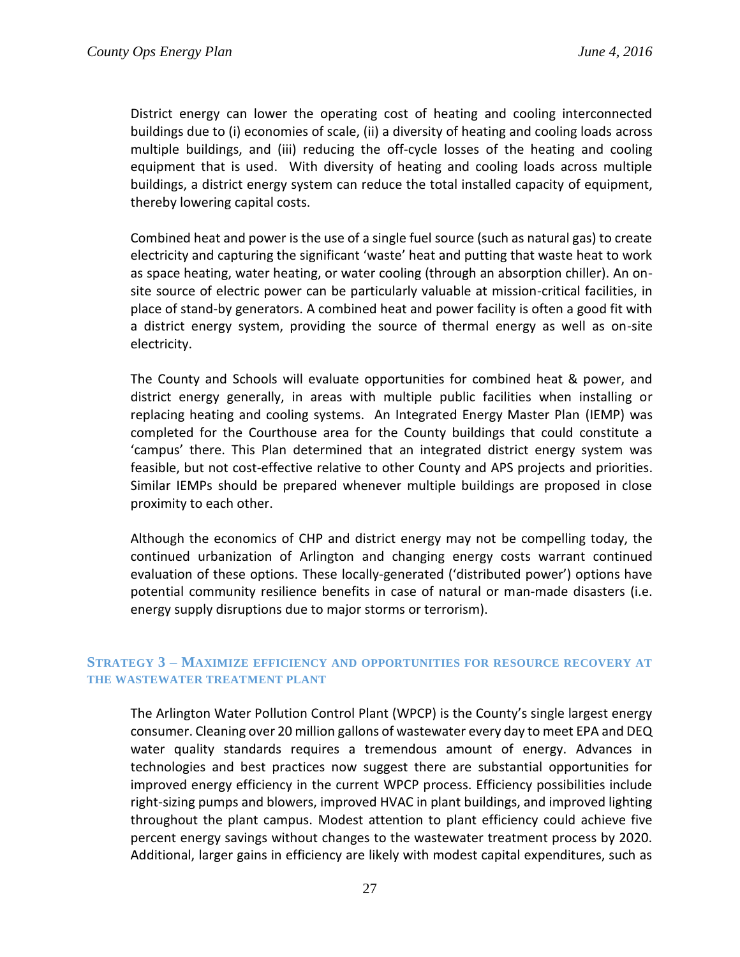District energy can lower the operating cost of heating and cooling interconnected buildings due to (i) economies of scale, (ii) a diversity of heating and cooling loads across multiple buildings, and (iii) reducing the off-cycle losses of the heating and cooling equipment that is used. With diversity of heating and cooling loads across multiple buildings, a district energy system can reduce the total installed capacity of equipment, thereby lowering capital costs.

Combined heat and power is the use of a single fuel source (such as natural gas) to create electricity and capturing the significant 'waste' heat and putting that waste heat to work as space heating, water heating, or water cooling (through an absorption chiller). An onsite source of electric power can be particularly valuable at mission-critical facilities, in place of stand-by generators. A combined heat and power facility is often a good fit with a district energy system, providing the source of thermal energy as well as on-site electricity.

The County and Schools will evaluate opportunities for combined heat & power, and district energy generally, in areas with multiple public facilities when installing or replacing heating and cooling systems. An Integrated Energy Master Plan (IEMP) was completed for the Courthouse area for the County buildings that could constitute a 'campus' there. This Plan determined that an integrated district energy system was feasible, but not cost-effective relative to other County and APS projects and priorities. Similar IEMPs should be prepared whenever multiple buildings are proposed in close proximity to each other.

Although the economics of CHP and district energy may not be compelling today, the continued urbanization of Arlington and changing energy costs warrant continued evaluation of these options. These locally-generated ('distributed power') options have potential community resilience benefits in case of natural or man-made disasters (i.e. energy supply disruptions due to major storms or terrorism).

#### **STRATEGY 3 – MAXIMIZE EFFICIENCY AND OPPORTUNITIES FOR RESOURCE RECOVERY AT THE WASTEWATER TREATMENT PLANT**

The Arlington Water Pollution Control Plant (WPCP) is the County's single largest energy consumer. Cleaning over 20 million gallons of wastewater every day to meet EPA and DEQ water quality standards requires a tremendous amount of energy. Advances in technologies and best practices now suggest there are substantial opportunities for improved energy efficiency in the current WPCP process. Efficiency possibilities include right-sizing pumps and blowers, improved HVAC in plant buildings, and improved lighting throughout the plant campus. Modest attention to plant efficiency could achieve five percent energy savings without changes to the wastewater treatment process by 2020. Additional, larger gains in efficiency are likely with modest capital expenditures, such as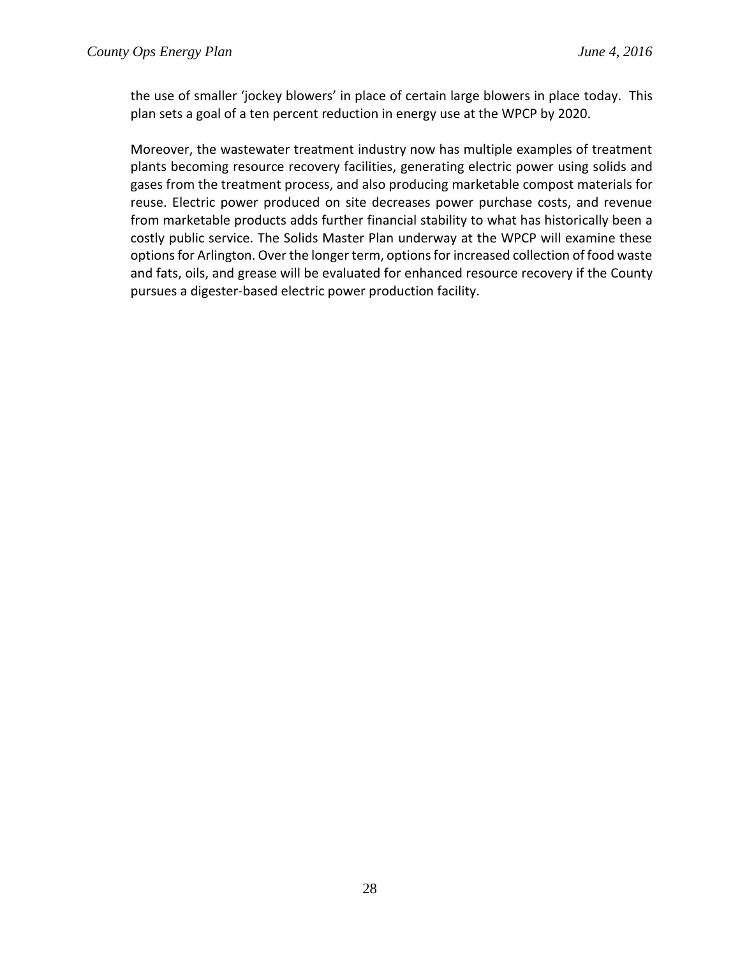the use of smaller 'jockey blowers' in place of certain large blowers in place today. This plan sets a goal of a ten percent reduction in energy use at the WPCP by 2020.

Moreover, the wastewater treatment industry now has multiple examples of treatment plants becoming resource recovery facilities, generating electric power using solids and gases from the treatment process, and also producing marketable compost materials for reuse. Electric power produced on site decreases power purchase costs, and revenue from marketable products adds further financial stability to what has historically been a costly public service. The Solids Master Plan underway at the WPCP will examine these options for Arlington. Over the longer term, options for increased collection of food waste and fats, oils, and grease will be evaluated for enhanced resource recovery if the County pursues a digester-based electric power production facility.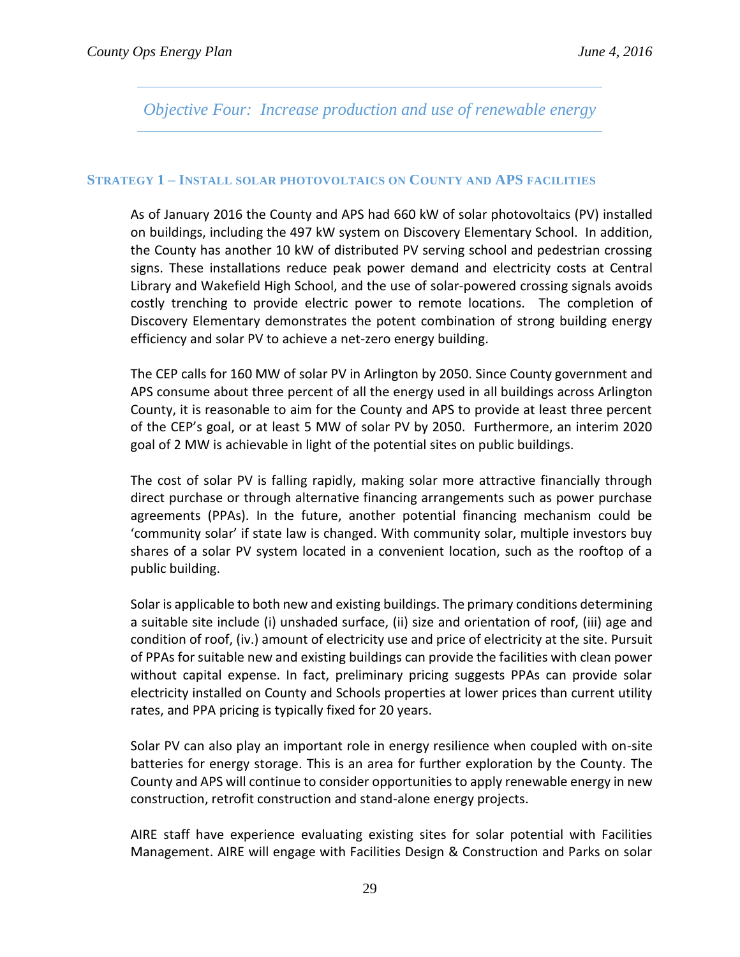*Objective Four: Increase production and use of renewable energy* 

#### **STRATEGY 1 – INSTALL SOLAR PHOTOVOLTAICS ON COUNTY AND APS FACILITIES**

As of January 2016 the County and APS had 660 kW of solar photovoltaics (PV) installed on buildings, including the 497 kW system on Discovery Elementary School. In addition, the County has another 10 kW of distributed PV serving school and pedestrian crossing signs. These installations reduce peak power demand and electricity costs at Central Library and Wakefield High School, and the use of solar-powered crossing signals avoids costly trenching to provide electric power to remote locations. The completion of Discovery Elementary demonstrates the potent combination of strong building energy efficiency and solar PV to achieve a net-zero energy building.

The CEP calls for 160 MW of solar PV in Arlington by 2050. Since County government and APS consume about three percent of all the energy used in all buildings across Arlington County, it is reasonable to aim for the County and APS to provide at least three percent of the CEP's goal, or at least 5 MW of solar PV by 2050. Furthermore, an interim 2020 goal of 2 MW is achievable in light of the potential sites on public buildings.

The cost of solar PV is falling rapidly, making solar more attractive financially through direct purchase or through alternative financing arrangements such as power purchase agreements (PPAs). In the future, another potential financing mechanism could be 'community solar' if state law is changed. With community solar, multiple investors buy shares of a solar PV system located in a convenient location, such as the rooftop of a public building.

Solar is applicable to both new and existing buildings. The primary conditions determining a suitable site include (i) unshaded surface, (ii) size and orientation of roof, (iii) age and condition of roof, (iv.) amount of electricity use and price of electricity at the site. Pursuit of PPAs for suitable new and existing buildings can provide the facilities with clean power without capital expense. In fact, preliminary pricing suggests PPAs can provide solar electricity installed on County and Schools properties at lower prices than current utility rates, and PPA pricing is typically fixed for 20 years.

Solar PV can also play an important role in energy resilience when coupled with on-site batteries for energy storage. This is an area for further exploration by the County. The County and APS will continue to consider opportunities to apply renewable energy in new construction, retrofit construction and stand-alone energy projects.

AIRE staff have experience evaluating existing sites for solar potential with Facilities Management. AIRE will engage with Facilities Design & Construction and Parks on solar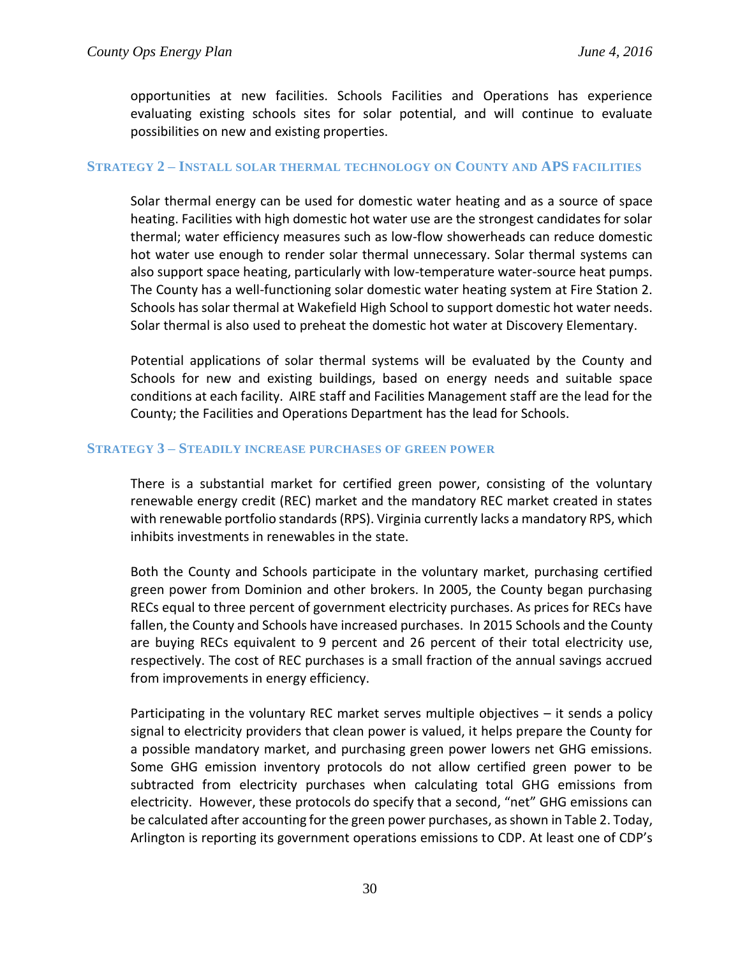opportunities at new facilities. Schools Facilities and Operations has experience evaluating existing schools sites for solar potential, and will continue to evaluate possibilities on new and existing properties.

#### **STRATEGY 2 – INSTALL SOLAR THERMAL TECHNOLOGY ON COUNTY AND APS FACILITIES**

Solar thermal energy can be used for domestic water heating and as a source of space heating. Facilities with high domestic hot water use are the strongest candidates for solar thermal; water efficiency measures such as low-flow showerheads can reduce domestic hot water use enough to render solar thermal unnecessary. Solar thermal systems can also support space heating, particularly with low-temperature water-source heat pumps. The County has a well-functioning solar domestic water heating system at Fire Station 2. Schools has solar thermal at Wakefield High School to support domestic hot water needs. Solar thermal is also used to preheat the domestic hot water at Discovery Elementary.

Potential applications of solar thermal systems will be evaluated by the County and Schools for new and existing buildings, based on energy needs and suitable space conditions at each facility. AIRE staff and Facilities Management staff are the lead for the County; the Facilities and Operations Department has the lead for Schools.

#### **STRATEGY 3 – STEADILY INCREASE PURCHASES OF GREEN POWER**

There is a substantial market for certified green power, consisting of the voluntary renewable energy credit (REC) market and the mandatory REC market created in states with renewable portfolio standards (RPS). Virginia currently lacks a mandatory RPS, which inhibits investments in renewables in the state.

Both the County and Schools participate in the voluntary market, purchasing certified green power from Dominion and other brokers. In 2005, the County began purchasing RECs equal to three percent of government electricity purchases. As prices for RECs have fallen, the County and Schools have increased purchases. In 2015 Schools and the County are buying RECs equivalent to 9 percent and 26 percent of their total electricity use, respectively. The cost of REC purchases is a small fraction of the annual savings accrued from improvements in energy efficiency.

Participating in the voluntary REC market serves multiple objectives – it sends a policy signal to electricity providers that clean power is valued, it helps prepare the County for a possible mandatory market, and purchasing green power lowers net GHG emissions. Some GHG emission inventory protocols do not allow certified green power to be subtracted from electricity purchases when calculating total GHG emissions from electricity. However, these protocols do specify that a second, "net" GHG emissions can be calculated after accounting for the green power purchases, as shown in Table 2. Today, Arlington is reporting its government operations emissions to CDP. At least one of CDP's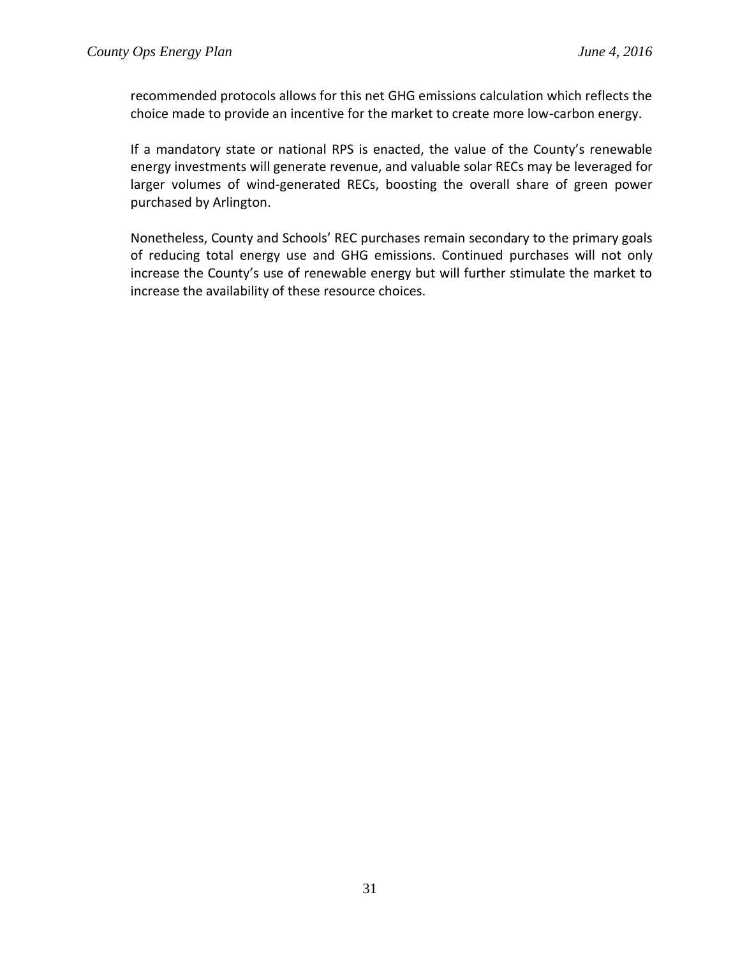recommended protocols allows for this net GHG emissions calculation which reflects the choice made to provide an incentive for the market to create more low-carbon energy.

If a mandatory state or national RPS is enacted, the value of the County's renewable energy investments will generate revenue, and valuable solar RECs may be leveraged for larger volumes of wind-generated RECs, boosting the overall share of green power purchased by Arlington.

Nonetheless, County and Schools' REC purchases remain secondary to the primary goals of reducing total energy use and GHG emissions. Continued purchases will not only increase the County's use of renewable energy but will further stimulate the market to increase the availability of these resource choices.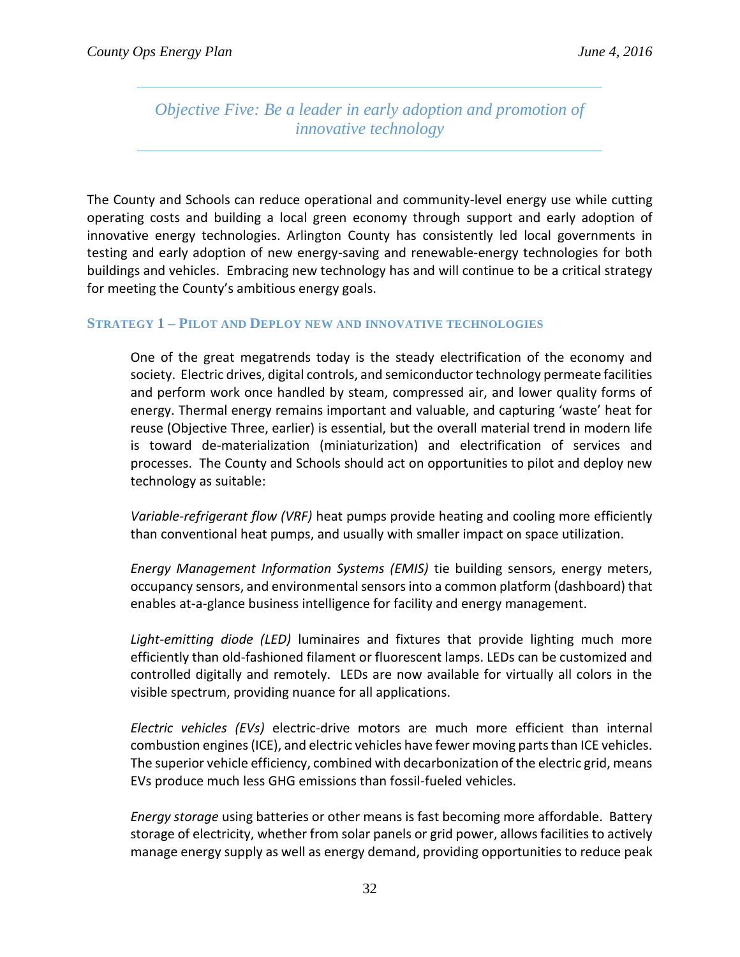*Objective Five: Be a leader in early adoption and promotion of innovative technology* 

The County and Schools can reduce operational and community-level energy use while cutting operating costs and building a local green economy through support and early adoption of innovative energy technologies. Arlington County has consistently led local governments in testing and early adoption of new energy-saving and renewable-energy technologies for both buildings and vehicles. Embracing new technology has and will continue to be a critical strategy for meeting the County's ambitious energy goals.

#### **STRATEGY 1 – PILOT AND DEPLOY NEW AND INNOVATIVE TECHNOLOGIES**

One of the great megatrends today is the steady electrification of the economy and society. Electric drives, digital controls, and semiconductor technology permeate facilities and perform work once handled by steam, compressed air, and lower quality forms of energy. Thermal energy remains important and valuable, and capturing 'waste' heat for reuse (Objective Three, earlier) is essential, but the overall material trend in modern life is toward de-materialization (miniaturization) and electrification of services and processes. The County and Schools should act on opportunities to pilot and deploy new technology as suitable:

*Variable-refrigerant flow (VRF)* heat pumps provide heating and cooling more efficiently than conventional heat pumps, and usually with smaller impact on space utilization.

*Energy Management Information Systems (EMIS)* tie building sensors, energy meters, occupancy sensors, and environmental sensors into a common platform (dashboard) that enables at-a-glance business intelligence for facility and energy management.

*Light-emitting diode (LED)* luminaires and fixtures that provide lighting much more efficiently than old-fashioned filament or fluorescent lamps. LEDs can be customized and controlled digitally and remotely. LEDs are now available for virtually all colors in the visible spectrum, providing nuance for all applications.

*Electric vehicles (EVs)* electric-drive motors are much more efficient than internal combustion engines (ICE), and electric vehicles have fewer moving parts than ICE vehicles. The superior vehicle efficiency, combined with decarbonization of the electric grid, means EVs produce much less GHG emissions than fossil-fueled vehicles.

*Energy storage* using batteries or other means is fast becoming more affordable. Battery storage of electricity, whether from solar panels or grid power, allows facilities to actively manage energy supply as well as energy demand, providing opportunities to reduce peak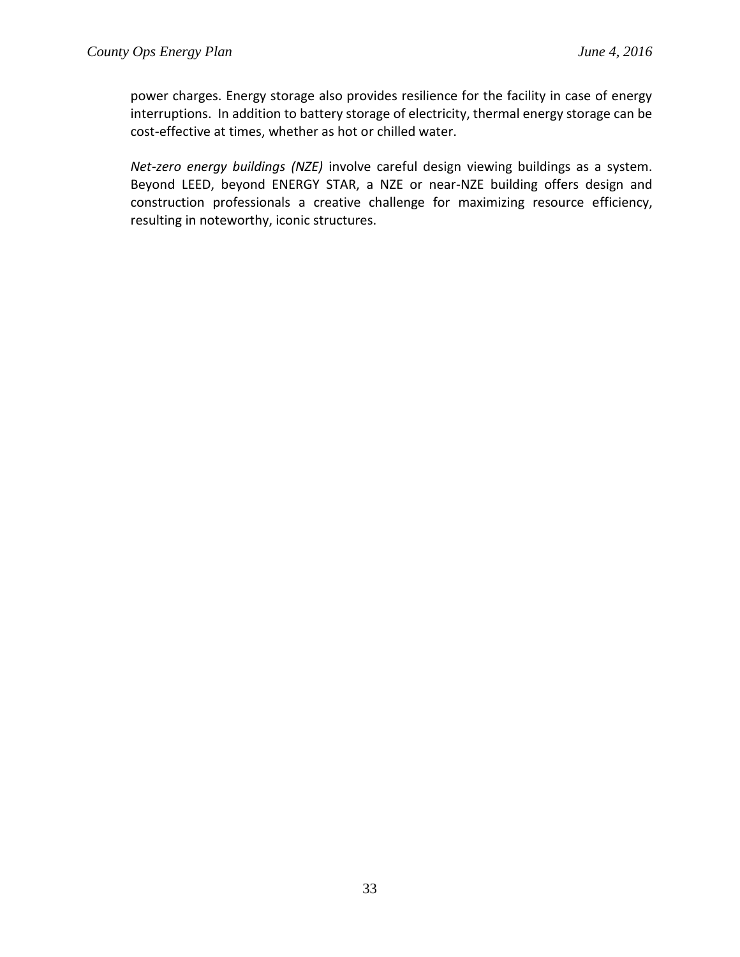power charges. Energy storage also provides resilience for the facility in case of energy interruptions. In addition to battery storage of electricity, thermal energy storage can be cost-effective at times, whether as hot or chilled water.

*Net-zero energy buildings (NZE)* involve careful design viewing buildings as a system. Beyond LEED, beyond ENERGY STAR, a NZE or near-NZE building offers design and construction professionals a creative challenge for maximizing resource efficiency, resulting in noteworthy, iconic structures.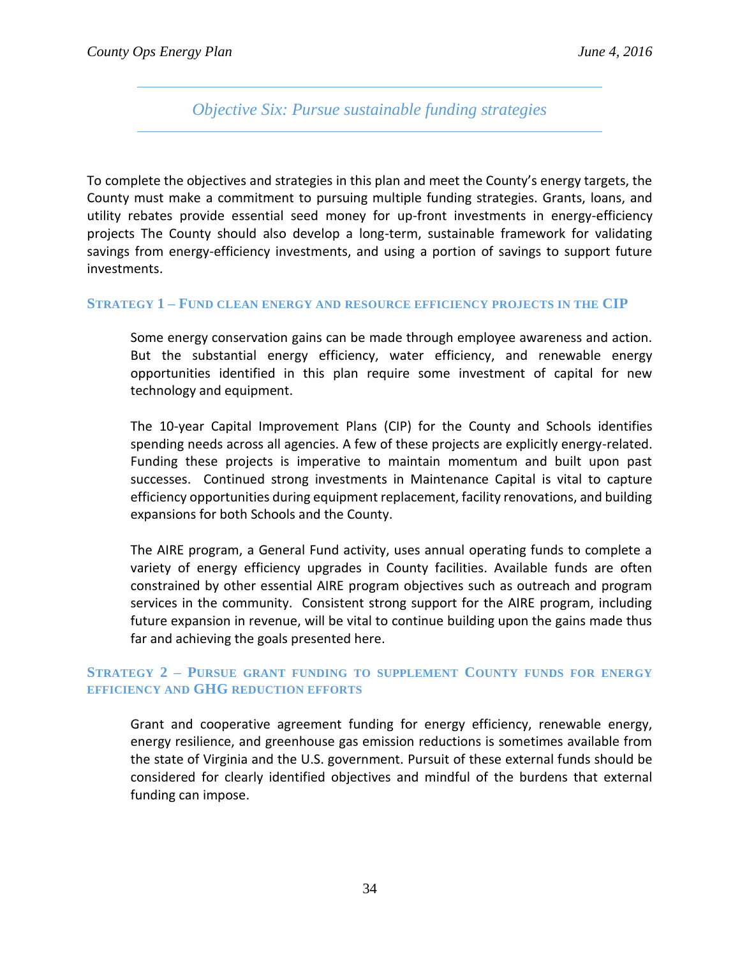*Objective Six: Pursue sustainable funding strategies* 

To complete the objectives and strategies in this plan and meet the County's energy targets, the County must make a commitment to pursuing multiple funding strategies. Grants, loans, and utility rebates provide essential seed money for up-front investments in energy-efficiency projects The County should also develop a long-term, sustainable framework for validating savings from energy-efficiency investments, and using a portion of savings to support future investments.

#### **STRATEGY 1 – FUND CLEAN ENERGY AND RESOURCE EFFICIENCY PROJECTS IN THE CIP**

Some energy conservation gains can be made through employee awareness and action. But the substantial energy efficiency, water efficiency, and renewable energy opportunities identified in this plan require some investment of capital for new technology and equipment.

The 10-year Capital Improvement Plans (CIP) for the County and Schools identifies spending needs across all agencies. A few of these projects are explicitly energy-related. Funding these projects is imperative to maintain momentum and built upon past successes. Continued strong investments in Maintenance Capital is vital to capture efficiency opportunities during equipment replacement, facility renovations, and building expansions for both Schools and the County.

The AIRE program, a General Fund activity, uses annual operating funds to complete a variety of energy efficiency upgrades in County facilities. Available funds are often constrained by other essential AIRE program objectives such as outreach and program services in the community. Consistent strong support for the AIRE program, including future expansion in revenue, will be vital to continue building upon the gains made thus far and achieving the goals presented here.

## **STRATEGY 2 – PURSUE GRANT FUNDING TO SUPPLEMENT COUNTY FUNDS FOR ENERGY EFFICIENCY AND GHG REDUCTION EFFORTS**

Grant and cooperative agreement funding for energy efficiency, renewable energy, energy resilience, and greenhouse gas emission reductions is sometimes available from the state of Virginia and the U.S. government. Pursuit of these external funds should be considered for clearly identified objectives and mindful of the burdens that external funding can impose.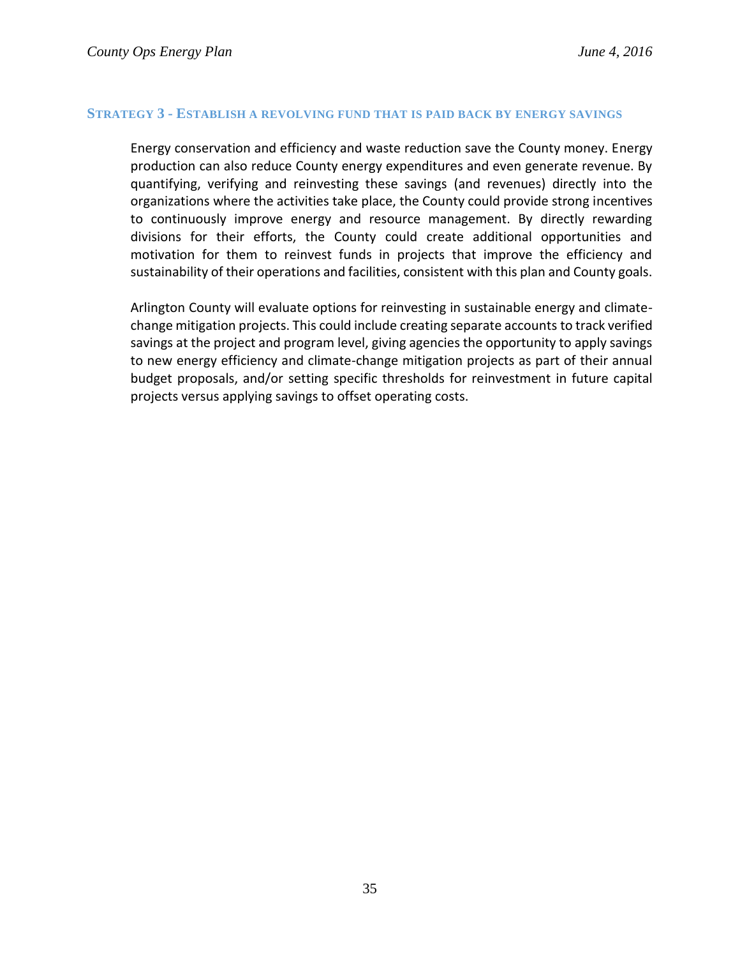#### **STRATEGY 3 - ESTABLISH A REVOLVING FUND THAT IS PAID BACK BY ENERGY SAVINGS**

Energy conservation and efficiency and waste reduction save the County money. Energy production can also reduce County energy expenditures and even generate revenue. By quantifying, verifying and reinvesting these savings (and revenues) directly into the organizations where the activities take place, the County could provide strong incentives to continuously improve energy and resource management. By directly rewarding divisions for their efforts, the County could create additional opportunities and motivation for them to reinvest funds in projects that improve the efficiency and sustainability of their operations and facilities, consistent with this plan and County goals.

Arlington County will evaluate options for reinvesting in sustainable energy and climatechange mitigation projects. This could include creating separate accounts to track verified savings at the project and program level, giving agencies the opportunity to apply savings to new energy efficiency and climate-change mitigation projects as part of their annual budget proposals, and/or setting specific thresholds for reinvestment in future capital projects versus applying savings to offset operating costs.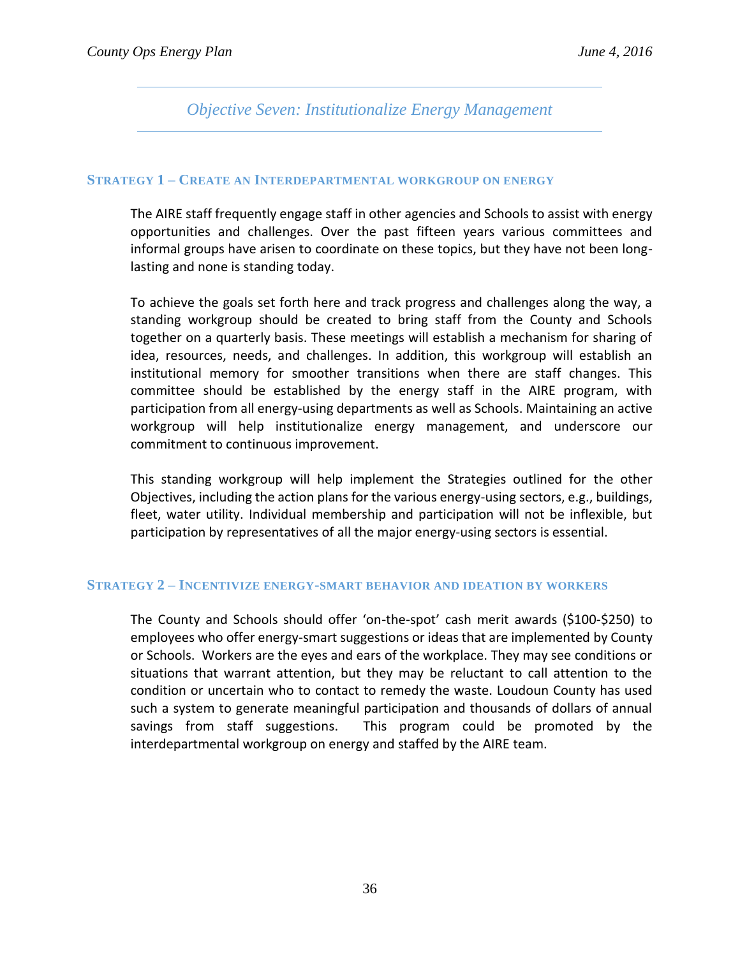*Objective Seven: Institutionalize Energy Management*

#### **STRATEGY 1 – CREATE AN INTERDEPARTMENTAL WORKGROUP ON ENERGY**

The AIRE staff frequently engage staff in other agencies and Schools to assist with energy opportunities and challenges. Over the past fifteen years various committees and informal groups have arisen to coordinate on these topics, but they have not been longlasting and none is standing today.

To achieve the goals set forth here and track progress and challenges along the way, a standing workgroup should be created to bring staff from the County and Schools together on a quarterly basis. These meetings will establish a mechanism for sharing of idea, resources, needs, and challenges. In addition, this workgroup will establish an institutional memory for smoother transitions when there are staff changes. This committee should be established by the energy staff in the AIRE program, with participation from all energy-using departments as well as Schools. Maintaining an active workgroup will help institutionalize energy management, and underscore our commitment to continuous improvement.

This standing workgroup will help implement the Strategies outlined for the other Objectives, including the action plans for the various energy-using sectors, e.g., buildings, fleet, water utility. Individual membership and participation will not be inflexible, but participation by representatives of all the major energy-using sectors is essential.

#### **STRATEGY 2 – INCENTIVIZE ENERGY-SMART BEHAVIOR AND IDEATION BY WORKERS**

The County and Schools should offer 'on-the-spot' cash merit awards (\$100-\$250) to employees who offer energy-smart suggestions or ideas that are implemented by County or Schools. Workers are the eyes and ears of the workplace. They may see conditions or situations that warrant attention, but they may be reluctant to call attention to the condition or uncertain who to contact to remedy the waste. Loudoun County has used such a system to generate meaningful participation and thousands of dollars of annual savings from staff suggestions. This program could be promoted by the interdepartmental workgroup on energy and staffed by the AIRE team.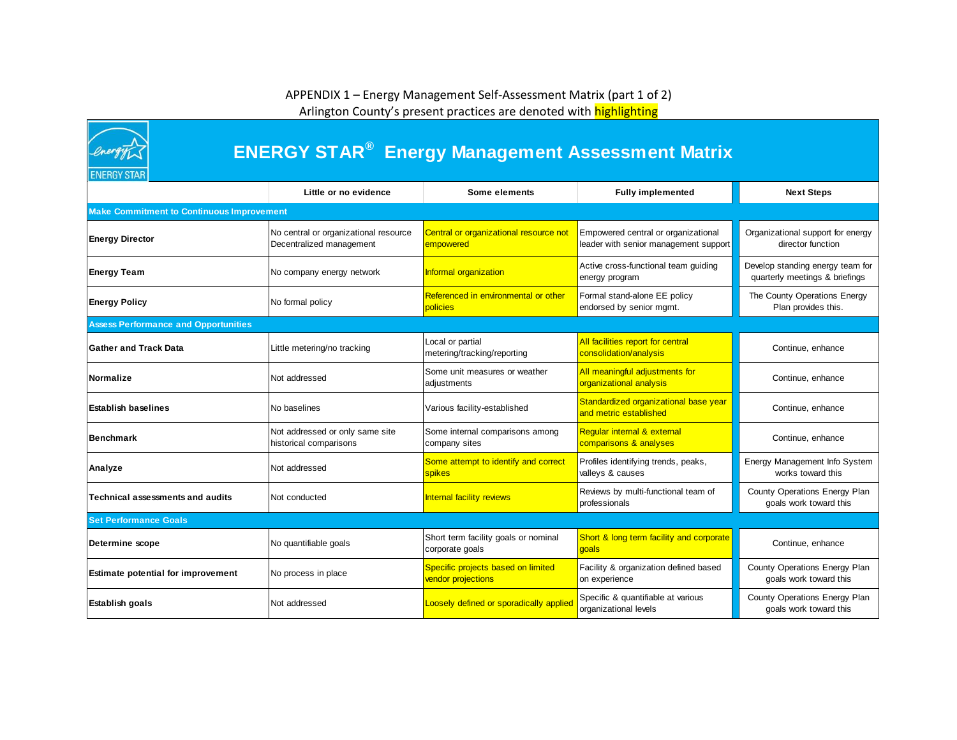#### APPENDIX 1 – Energy Management Self-Assessment Matrix (part 1 of 2) Arlington County's present practices are denoted with <mark>highlighting</mark>

| <b>ENERGY STAR<sup>®</sup> Energy Management Assessment Matrix</b> |                                                                   |                                                          |                                                                              |                                                                    |  |  |  |  |  |  |
|--------------------------------------------------------------------|-------------------------------------------------------------------|----------------------------------------------------------|------------------------------------------------------------------------------|--------------------------------------------------------------------|--|--|--|--|--|--|
| <b>ENERGY STAR</b>                                                 | Little or no evidence                                             | Some elements                                            | <b>Fully implemented</b>                                                     | <b>Next Steps</b>                                                  |  |  |  |  |  |  |
| <b>Make Commitment to Continuous Improvement</b>                   |                                                                   |                                                          |                                                                              |                                                                    |  |  |  |  |  |  |
| <b>Energy Director</b>                                             | No central or organizational resource<br>Decentralized management | Central or organizational resource not<br>empowered      | Empowered central or organizational<br>leader with senior management support | Organizational support for energy<br>director function             |  |  |  |  |  |  |
| <b>Energy Team</b>                                                 | No company energy network                                         | Informal organization                                    | Active cross-functional team guiding<br>energy program                       | Develop standing energy team for<br>quarterly meetings & briefings |  |  |  |  |  |  |
| <b>Energy Policy</b>                                               | No formal policy                                                  | Referenced in environmental or other<br>policies         | Formal stand-alone EE policy<br>endorsed by senior mgmt.                     | The County Operations Energy<br>Plan provides this.                |  |  |  |  |  |  |
| <b>Assess Performance and Opportunities</b>                        |                                                                   |                                                          |                                                                              |                                                                    |  |  |  |  |  |  |
| <b>Gather and Track Data</b>                                       | Little metering/no tracking                                       | Local or partial<br>metering/tracking/reporting          | All facilities report for central<br>consolidation/analysis                  | Continue, enhance                                                  |  |  |  |  |  |  |
| Normalize                                                          | Not addressed                                                     | Some unit measures or weather<br>adjustments             | All meaningful adjustments for<br>organizational analysis                    | Continue, enhance                                                  |  |  |  |  |  |  |
| <b>Establish baselines</b>                                         | No baselines                                                      | Various facility-established                             | Standardized organizational base year<br>and metric established              | Continue, enhance                                                  |  |  |  |  |  |  |
| <b>Benchmark</b>                                                   | Not addressed or only same site<br>historical comparisons         | Some internal comparisons among<br>company sites         | Regular internal & external<br>comparisons & analyses                        | Continue, enhance                                                  |  |  |  |  |  |  |
| Analyze                                                            | Not addressed                                                     | Some attempt to identify and correct<br>spikes           | Profiles identifying trends, peaks,<br>valleys & causes                      | Energy Management Info System<br>works toward this                 |  |  |  |  |  |  |
| lTechnical assessments and audits                                  | Not conducted                                                     | Internal facility reviews                                | Reviews by multi-functional team of<br>professionals                         | County Operations Energy Plan<br>goals work toward this            |  |  |  |  |  |  |
| <b>Set Performance Goals</b>                                       |                                                                   |                                                          |                                                                              |                                                                    |  |  |  |  |  |  |
| Determine scope                                                    | No quantifiable goals                                             | Short term facility goals or nominal<br>corporate goals  | Short & long term facility and corporate<br>goals                            | Continue, enhance                                                  |  |  |  |  |  |  |
| Estimate potential for improvement                                 | No process in place                                               | Specific projects based on limited<br>vendor projections | Facility & organization defined based<br>on experience                       | County Operations Energy Plan<br>goals work toward this            |  |  |  |  |  |  |
| <b>Establish goals</b>                                             | Not addressed                                                     | Loosely defined or sporadically applied                  | Specific & quantifiable at various<br>organizational levels                  | County Operations Energy Plan<br>goals work toward this            |  |  |  |  |  |  |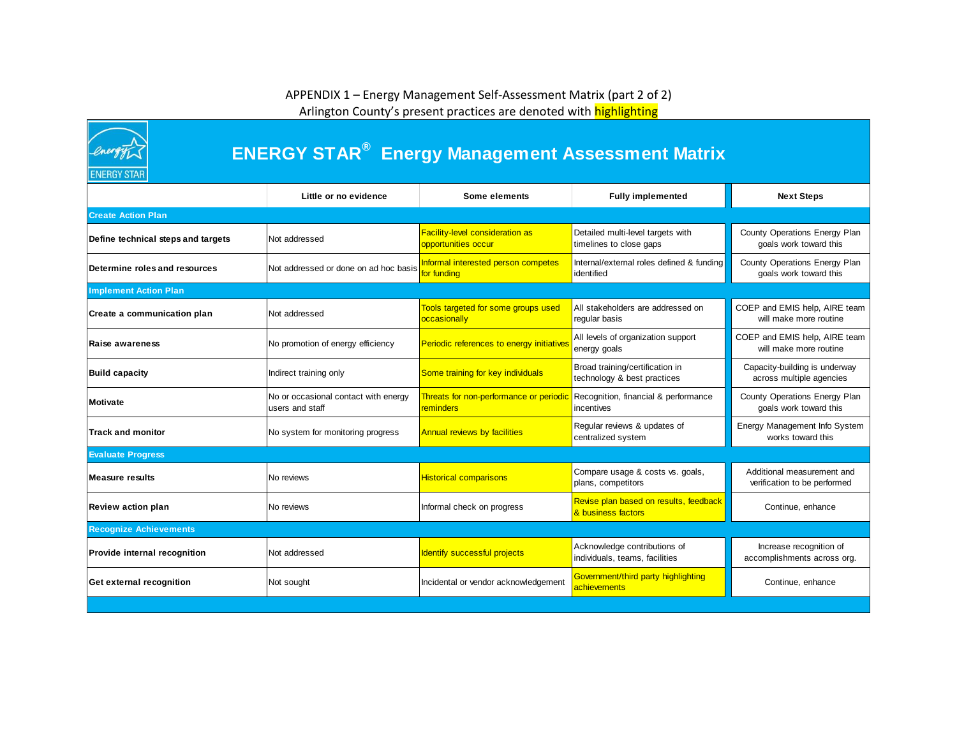#### APPENDIX 1 – Energy Management Self-Assessment Matrix (part 2 of 2) Arlington County's present practices are denoted with <mark>highlighting</mark>

| <b>ENERGY STAR</b>                 | <b>ENERGY STAR<sup>®</sup> Energy Management Assessment Matrix</b>                                                                   |                                                               |                                                                |                                                            |  |
|------------------------------------|--------------------------------------------------------------------------------------------------------------------------------------|---------------------------------------------------------------|----------------------------------------------------------------|------------------------------------------------------------|--|
|                                    | Little or no evidence                                                                                                                | Some elements                                                 | <b>Fully implemented</b>                                       | <b>Next Steps</b>                                          |  |
| <b>Create Action Plan</b>          |                                                                                                                                      |                                                               |                                                                |                                                            |  |
| Define technical steps and targets | Not addressed                                                                                                                        | <b>Facility-level consideration as</b><br>opportunities occur | Detailed multi-level targets with<br>timelines to close gaps   | County Operations Energy Plan<br>goals work toward this    |  |
| Determine roles and resources      | Not addressed or done on ad hoc basis                                                                                                | nformal interested person competes<br>or funding              | Internal/external roles defined & funding<br>identified        | County Operations Energy Plan<br>goals work toward this    |  |
| <b>Implement Action Plan</b>       |                                                                                                                                      |                                                               |                                                                |                                                            |  |
| Create a communication plan        | Not addressed                                                                                                                        | Tools targeted for some groups used<br>occasionally           | All stakeholders are addressed on<br>regular basis             | COEP and EMIS help, AIRE team<br>will make more routine    |  |
| Raise awareness                    | All levels of organization support<br>Periodic references to energy initiatives<br>No promotion of energy efficiency<br>energy goals |                                                               |                                                                |                                                            |  |
| <b>Build capacity</b>              | Indirect training only                                                                                                               | Some training for key individuals                             | Broad training/certification in<br>technology & best practices | Capacity-building is underway<br>across multiple agencies  |  |
| <b>Motivate</b>                    | No or occasional contact with energy<br>users and staff                                                                              | Threats for non-performance or periodic<br>reminders          | Recognition, financial & performance<br>incentives             | County Operations Energy Plan<br>goals work toward this    |  |
| Track and monitor                  | No system for monitoring progress                                                                                                    | <b>Annual reviews by facilities</b>                           | Regular reviews & updates of<br>centralized system             | Energy Management Info System<br>works toward this         |  |
| <b>Evaluate Progress</b>           |                                                                                                                                      |                                                               |                                                                |                                                            |  |
| <b>Measure results</b>             | No reviews                                                                                                                           | <b>Historical comparisons</b>                                 | Compare usage & costs vs. goals,<br>plans, competitors         | Additional measurement and<br>verification to be performed |  |
| <b>Review action plan</b>          | No reviews                                                                                                                           | Informal check on progress                                    | Revise plan based on results, feedback<br>& business factors   | Continue, enhance                                          |  |
| <b>Recognize Achievements</b>      |                                                                                                                                      |                                                               |                                                                |                                                            |  |
| Provide internal recognition       | Not addressed                                                                                                                        | <b>Identify successful projects</b>                           | Acknowledge contributions of<br>individuals, teams, facilities | Increase recognition of<br>accomplishments across org.     |  |
| Get external recognition           | Not sought                                                                                                                           | Incidental or vendor acknowledgement                          | Government/third party highlighting<br>achievements            | Continue, enhance                                          |  |
|                                    |                                                                                                                                      |                                                               |                                                                |                                                            |  |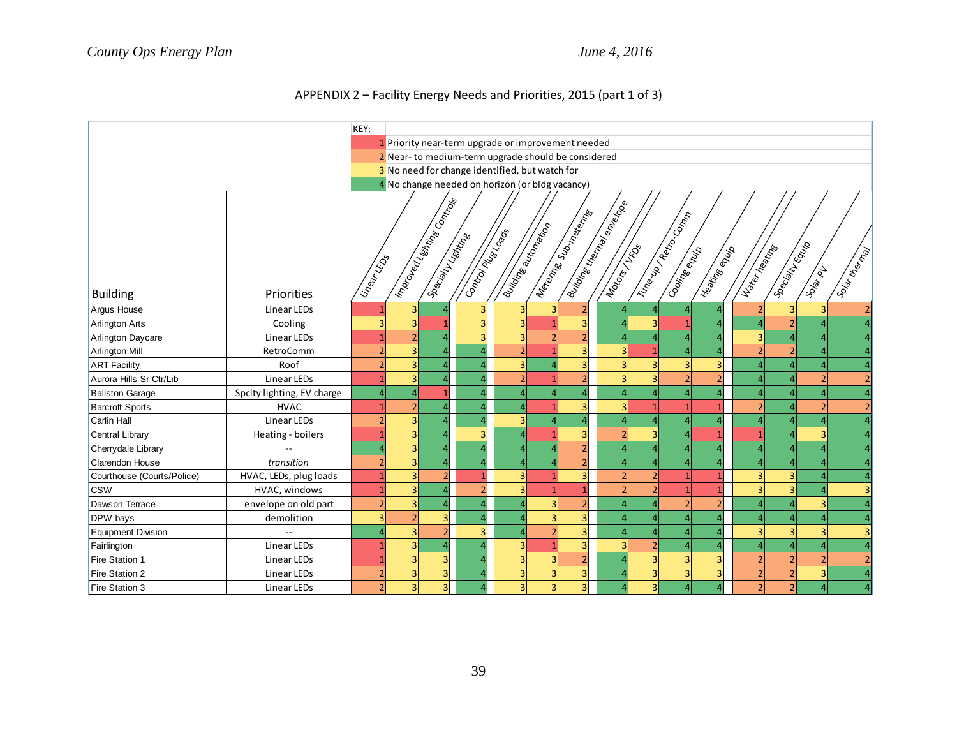## APPENDIX 2 – Facility Energy Needs and Priorities, 2015 (part 1 of 3)

|                            |                            | KEY:                                                                                                                                                                                                                           |                                                 |                |                                                     |                         |                |                |                          |                          |                          |                   |                              |                                  |                  |                |
|----------------------------|----------------------------|--------------------------------------------------------------------------------------------------------------------------------------------------------------------------------------------------------------------------------|-------------------------------------------------|----------------|-----------------------------------------------------|-------------------------|----------------|----------------|--------------------------|--------------------------|--------------------------|-------------------|------------------------------|----------------------------------|------------------|----------------|
|                            |                            |                                                                                                                                                                                                                                |                                                 |                | 1 Priority near-term upgrade or improvement needed  |                         |                |                |                          |                          |                          |                   |                              |                                  |                  |                |
|                            |                            |                                                                                                                                                                                                                                |                                                 |                | 2 Near- to medium-term upgrade should be considered |                         |                |                |                          |                          |                          |                   |                              |                                  |                  |                |
|                            |                            |                                                                                                                                                                                                                                |                                                 |                | 3 No need for change identified, but watch for      |                         |                |                |                          |                          |                          |                   |                              |                                  |                  |                |
|                            |                            |                                                                                                                                                                                                                                | 4 No change needed on horizon (or bldg vacancy) |                |                                                     |                         |                |                |                          |                          |                          |                   |                              |                                  |                  |                |
|                            |                            | Important list of Contract<br><b>Building River Property Replaced</b><br>Interimental Submitted for<br>Tunesday Reef Committee<br><b>Ruiting Strategy Contract Strategy</b><br><b>Contraction Strategy</b><br>Special Visiting |                                                 |                |                                                     |                         |                |                |                          |                          |                          |                   |                              |                                  |                  |                |
| <b>Building</b>            | Priorities                 | Linear LEDS                                                                                                                                                                                                                    |                                                 |                |                                                     |                         |                |                | Motors VKM               |                          | I Gooding Require        | I Keating Reading | <b>Material Registration</b> | Speciality Equip                 | <b>Solar RIV</b> | Solar themper  |
|                            |                            |                                                                                                                                                                                                                                |                                                 |                |                                                     |                         |                |                |                          |                          |                          |                   |                              |                                  |                  |                |
| Argus House                | Linear LEDs                |                                                                                                                                                                                                                                | 3 <sup>1</sup><br>$\overline{\mathbf{3}}$       | 1              | $\overline{3}$                                      | 3<br>$\overline{3}$     | $\overline{3}$ |                | $\overline{4}$           | 3                        | $\overline{4}$           | $\overline{a}$    |                              | 3 <sup>1</sup><br>$\overline{2}$ | $\overline{4}$   | $\overline{2}$ |
| <b>Arlington Arts</b>      | Cooling                    |                                                                                                                                                                                                                                |                                                 | $\overline{4}$ | $\overline{3}$                                      |                         |                |                | $\overline{4}$           |                          |                          | $\overline{4}$    | $\overline{\mathbf{3}}$      |                                  |                  |                |
| Arlington Daycare          | Linear LEDs                |                                                                                                                                                                                                                                | $\overline{2}$                                  |                |                                                     | 3                       | $\overline{2}$ |                |                          | $\overline{a}$           | $\overline{4}$           |                   |                              | $\overline{A}$                   | $\overline{4}$   |                |
| <b>Arlington Mill</b>      | RetroComm                  |                                                                                                                                                                                                                                | $\overline{3}$                                  | $\vert$        | $\Delta$                                            | $\overline{2}$          |                |                | 3                        |                          | $\Delta$                 | $\overline{a}$    | $\overline{\phantom{a}}$     | $\overline{2}$                   | $\overline{4}$   |                |
| <b>ART Facility</b>        | Roof                       |                                                                                                                                                                                                                                | $\overline{3}$                                  | $\overline{4}$ | $\Delta$                                            | $\overline{3}$          | $\overline{a}$ | $\overline{3}$ | $\overline{3}$           | Ŕ                        | $\overline{3}$           | $\overline{3}$    | $\overline{a}$               | $\Delta$                         | $\overline{4}$   |                |
| Aurora Hills Sr Ctr/Lib    | Linear LEDs                |                                                                                                                                                                                                                                | $\overline{3}$                                  | $\overline{4}$ |                                                     | $\overline{2}$          |                |                | $\overline{3}$           |                          | $\overline{2}$           | $\overline{2}$    | $\Delta$                     | $\Delta$                         | $\overline{2}$   | $\overline{2}$ |
| <b>Ballston Garage</b>     | Spclty lighting, EV charge |                                                                                                                                                                                                                                |                                                 | $\mathbf{1}$   |                                                     | $\overline{4}$          | $\overline{4}$ |                | $\overline{4}$           | Δ                        | $\overline{4}$           | $\overline{4}$    | $\overline{a}$               |                                  | $\overline{4}$   | $\overline{4}$ |
| <b>Barcroft Sports</b>     | <b>HVAC</b>                |                                                                                                                                                                                                                                | $\overline{\mathcal{L}}$                        | $\overline{4}$ |                                                     | $\overline{a}$          |                |                | $\overline{3}$           |                          |                          | $\overline{1}$    | $\overline{2}$               |                                  | $\overline{2}$   | $\overline{2}$ |
| Carlin Hall                | Linear LEDs                |                                                                                                                                                                                                                                | 3                                               | $\overline{4}$ |                                                     | 3                       | $\overline{4}$ |                | $\overline{a}$           | Δ                        | $\overline{4}$           | $\overline{4}$    | $\overline{a}$               |                                  | $\overline{4}$   | $\Delta$       |
| Central Library            | Heating - boilers          |                                                                                                                                                                                                                                | $\overline{3}$                                  | $\overline{4}$ | $\overline{3}$                                      | 4                       |                | $\overline{3}$ | $\overline{2}$           | $\mathbf{R}$             |                          | $\mathbf{1}$      |                              |                                  | $\overline{3}$   |                |
| Cherrydale Library         | $\overline{a}$             |                                                                                                                                                                                                                                | 3                                               | $\overline{4}$ | $\Delta$                                            | $\overline{a}$          | $\overline{a}$ |                | $\overline{a}$           |                          |                          | $\overline{4}$    | 4                            |                                  | $\overline{4}$   |                |
| Clarendon House            | transition                 |                                                                                                                                                                                                                                | 3                                               | $\overline{4}$ |                                                     | $\mathbf{A}$            | $\Delta$       |                | $\Delta$                 | 4                        | $\Delta$                 | $\overline{a}$    | $\overline{A}$               |                                  | $\overline{4}$   |                |
| Courthouse (Courts/Police) | HVAC, LEDs, plug loads     |                                                                                                                                                                                                                                | 3                                               | $\overline{2}$ |                                                     | 3                       |                |                | $\overline{\phantom{a}}$ |                          |                          | $\mathbf{1}$      |                              | $\overline{\mathbf{3}}$          | $\overline{4}$   |                |
| <b>CSW</b>                 | HVAC, windows              |                                                                                                                                                                                                                                | 3                                               | $\overline{4}$ | $\overline{2}$                                      | 3                       | 1              |                | $\overline{2}$           | $\overline{\phantom{a}}$ |                          | $\mathbf{1}$      | $\overline{3}$               | 3                                | $\overline{4}$   | $\overline{3}$ |
| Dawson Terrace             | envelope on old part       |                                                                                                                                                                                                                                | $\overline{3}$                                  | $\overline{4}$ | $\Delta$                                            | $\overline{a}$          | $\overline{3}$ |                | $\overline{a}$           |                          | $\overline{\phantom{a}}$ | $\overline{2}$    | $\overline{A}$               |                                  | $\overline{3}$   |                |
| DPW bays                   | demolition                 |                                                                                                                                                                                                                                | $\overline{\mathcal{L}}$                        | $\overline{3}$ |                                                     | $\mathbf{A}$            | $\overline{3}$ | 3 <sup>1</sup> | $\overline{4}$           |                          | $\overline{4}$           | $\overline{a}$    | Δ                            |                                  | $\overline{4}$   | $\Delta$       |
| <b>Equipment Division</b>  | $\overline{a}$             |                                                                                                                                                                                                                                | 3                                               | $\overline{2}$ | 3                                                   | $\mathbf{A}$            | $\overline{2}$ | $\overline{3}$ | $\overline{4}$           | Δ                        | $\overline{4}$           | $\overline{4}$    | $\overline{\mathbf{3}}$      | $\overline{3}$                   | $\overline{3}$   | $\overline{3}$ |
| Fairlington                | Linear LEDs                |                                                                                                                                                                                                                                | $\overline{3}$                                  | $\overline{4}$ | $\Delta$                                            | 3                       |                | $\overline{3}$ | $\overline{3}$           | $\overline{2}$           |                          | $\overline{4}$    | 4                            |                                  | $\overline{4}$   | $\overline{4}$ |
| Fire Station 1             | Linear LEDs                |                                                                                                                                                                                                                                | $\overline{3}$                                  | $\overline{3}$ | $\Delta$                                            | 3                       | $\overline{3}$ | 2 <sup>1</sup> | $\Delta$                 |                          | $\overline{\mathbf{3}}$  | $\overline{3}$    |                              |                                  | $\overline{2}$   | $\overline{2}$ |
| Fire Station 2             | Linear LEDs                |                                                                                                                                                                                                                                | 3                                               | $\overline{3}$ | $\Delta$                                            | $\overline{\mathbf{3}}$ | $\overline{3}$ | 3 <sup>1</sup> | $\Delta$                 | $\overline{3}$           | $\overline{3}$           | $\overline{3}$    | $\overline{2}$               | $\overline{2}$                   | $\overline{3}$   | $\Delta$       |
| Fire Station 3             | Linear LEDs                |                                                                                                                                                                                                                                | $\overline{3}$                                  | $\overline{3}$ | $\overline{4}$                                      | $\overline{3}$          | $\overline{3}$ | 3 <sup>1</sup> |                          | $\overline{3}$           | $\overline{4}$           | $\overline{4}$    | $\overline{2}$               | $\overline{2}$                   | $\overline{4}$   |                |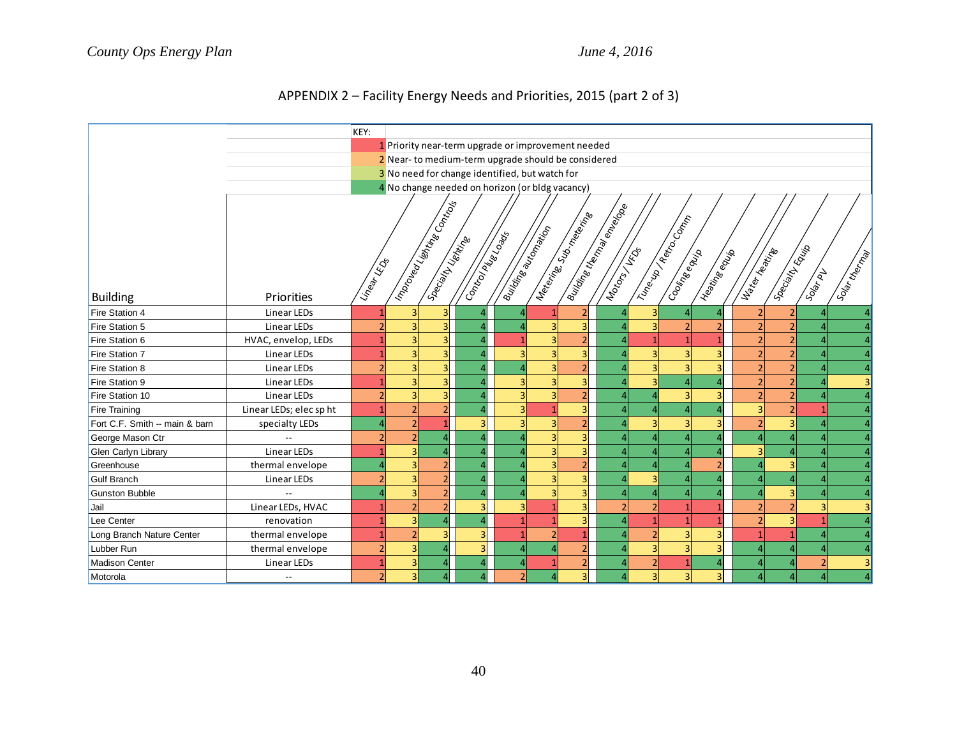## APPENDIX 2 – Facility Energy Needs and Priorities, 2015 (part 2 of 3)

|                                |                                                                                                                                                                     | KEY:                                            |                          |                       |                                                     |                |                         |                          |                          |                |                   |                        |                          |                          |                       |                         |
|--------------------------------|---------------------------------------------------------------------------------------------------------------------------------------------------------------------|-------------------------------------------------|--------------------------|-----------------------|-----------------------------------------------------|----------------|-------------------------|--------------------------|--------------------------|----------------|-------------------|------------------------|--------------------------|--------------------------|-----------------------|-------------------------|
|                                |                                                                                                                                                                     |                                                 |                          |                       | 1 Priority near-term upgrade or improvement needed  |                |                         |                          |                          |                |                   |                        |                          |                          |                       |                         |
|                                |                                                                                                                                                                     |                                                 |                          |                       | 2 Near- to medium-term upgrade should be considered |                |                         |                          |                          |                |                   |                        |                          |                          |                       |                         |
|                                |                                                                                                                                                                     | 3 No need for change identified, but watch for  |                          |                       |                                                     |                |                         |                          |                          |                |                   |                        |                          |                          |                       |                         |
|                                |                                                                                                                                                                     | 4 No change needed on horizon (or bldg vacancy) |                          |                       |                                                     |                |                         |                          |                          |                |                   |                        |                          |                          |                       |                         |
|                                | Improve Yesterday<br><b>Building River Propice Repair</b><br>Interimental Submitted Read<br>I Metal Revised Community<br><b>Building Strategy Contract Strategy</b> |                                                 |                          |                       |                                                     |                |                         |                          |                          |                |                   |                        |                          |                          |                       |                         |
| <b>Building</b>                | Priorities                                                                                                                                                          | Linear LEGS                                     |                          | Speciality Light is a | Control de Santa                                    |                |                         |                          | I Maria Virginia         |                | I Cooling Require | I Keating Republican   | Water teaching           | I Deciator Equip         | ISO <sub>GRAPIT</sub> | Solar themper           |
| Fire Station 4                 | Linear LEDs                                                                                                                                                         |                                                 | $\overline{3}$           | $\vert$               |                                                     |                |                         | $\overline{2}$           |                          | $\overline{3}$ | $\overline{a}$    |                        | $\overline{2}$           | $\overline{2}$           | $\overline{a}$        | $\overline{a}$          |
| Fire Station 5                 | Linear LEDs                                                                                                                                                         |                                                 | $\overline{3}$           | $\overline{3}$        |                                                     |                | $\overline{3}$          | 3                        |                          | $\overline{3}$ | $\overline{2}$    | $\overline{2}$         | $\overline{2}$           | $\overline{2}$           | $\overline{4}$        | $\overline{4}$          |
| Fire Station 6                 | HVAC, envelop, LEDs                                                                                                                                                 |                                                 | $\overline{3}$           | $\overline{3}$        | $\Lambda$                                           |                | $\overline{3}$          |                          | $\Delta$                 |                |                   |                        | $\overline{2}$           | $\overline{2}$           | $\overline{4}$        | $\overline{\mathbf{4}}$ |
| Fire Station 7                 | Linear LEDs                                                                                                                                                         |                                                 | $\overline{3}$           | $\overline{3}$        | $\Delta$                                            | 3              | $\overline{3}$          |                          |                          | 3              | 3                 | 3                      | $\overline{2}$           | $\overline{2}$           | $\overline{4}$        | $\overline{a}$          |
| Fire Station 8                 | Linear LEDs                                                                                                                                                         |                                                 | $\overline{3}$           | $\overline{3}$        | $\Delta$                                            |                | $\overline{3}$          | $\mathcal{P}$            |                          | $\overline{3}$ | $\overline{3}$    | $\overline{3}$         | $\overline{2}$           | $\overline{\phantom{a}}$ | $\overline{4}$        | $\overline{a}$          |
| Fire Station 9                 | Linear LEDs                                                                                                                                                         |                                                 | $\overline{3}$           | $\vert$ 3             | $\overline{a}$                                      | 3              | $\overline{3}$          | 3                        | $\Delta$                 | $\overline{3}$ | $\Delta$          | $\overline{a}$         | $\overline{2}$           | $\overline{2}$           | $\overline{4}$        | $\overline{\mathbf{3}}$ |
| Fire Station 10                | Linear LEDs                                                                                                                                                         |                                                 | $\overline{3}$           | $\overline{3}$        | $\Delta$                                            | $\overline{3}$ | $\overline{3}$          | $\overline{\phantom{a}}$ | $\Delta$                 |                | $\overline{3}$    | $\overline{3}$         | $\overline{2}$           | $\overline{2}$           | $\Delta$              | $\overline{a}$          |
| <b>Fire Training</b>           | Linear LEDs; elec sp ht                                                                                                                                             |                                                 | $\overline{2}$           | $\overline{2}$        | $\Delta$                                            | 3              | 1                       |                          |                          | $\Delta$       |                   | $\Delta$               | $\overline{3}$           | $\overline{2}$           | $\mathbf{1}$          | $\overline{a}$          |
| Fort C.F. Smith -- main & barn | specialty LEDs                                                                                                                                                      |                                                 | $\overline{2}$           | $\mathbf{1}$          | $\overline{3}$                                      | 3              | $\overline{3}$          |                          |                          | $\overline{3}$ | $\overline{3}$    | $\overline{3}$         | $\overline{2}$           | $\overline{3}$           | $\overline{4}$        | $\overline{a}$          |
| George Mason Ctr               | $\overline{a}$                                                                                                                                                      |                                                 | $\overline{2}$           | $\overline{4}$        | $\overline{a}$                                      |                | $\overline{3}$          |                          | $\Delta$                 | $\overline{4}$ | $\overline{a}$    | $\overline{a}$         | $\overline{4}$           | $\overline{a}$           | $\overline{4}$        | $\overline{a}$          |
| Glen Carlyn Library            | Linear LEDs                                                                                                                                                         |                                                 | $\overline{3}$           | $\overline{4}$        | $\Delta$                                            |                | $\overline{\mathbf{3}}$ |                          | $\Delta$                 | $\overline{4}$ | $\Delta$          | $\boldsymbol{\Lambda}$ | $\overline{\mathbf{3}}$  | $\Delta$                 | $\overline{4}$        | $\overline{a}$          |
| Greenhouse                     | thermal envelope                                                                                                                                                    |                                                 | $\overline{\mathbf{3}}$  | $\overline{2}$        | $\Delta$                                            |                | $\overline{3}$          |                          |                          | $\overline{a}$ | $\Delta$          | $\overline{2}$         | $\overline{a}$           |                          | $\overline{4}$        | $\overline{\mathbf{4}}$ |
| <b>Gulf Branch</b>             | Linear LEDs                                                                                                                                                         |                                                 | $\overline{3}$           | $\overline{2}$        | $\overline{a}$                                      |                | $\overline{3}$          | 3                        |                          | 3              |                   | $\overline{a}$         |                          |                          | $\overline{4}$        | $\overline{\mathbf{4}}$ |
| <b>Gunston Bubble</b>          | $\overline{a}$                                                                                                                                                      |                                                 | $\overline{3}$           | $\overline{2}$        | $\overline{a}$                                      |                | $\overline{3}$          |                          |                          | $\overline{4}$ | $\overline{a}$    | $\Delta$               |                          | $\overline{\mathbf{3}}$  | $\overline{4}$        | $\overline{a}$          |
| Jail                           | Linear LEDs, HVAC                                                                                                                                                   |                                                 | $\overline{\phantom{a}}$ | $\overline{2}$        | $\overline{3}$                                      | 3              |                         |                          | $\overline{\phantom{a}}$ |                |                   |                        | $\overline{\mathcal{L}}$ | $\overline{2}$           | $\overline{3}$        | $\overline{3}$          |
| Lee Center                     | renovation                                                                                                                                                          |                                                 | 3                        | $\overline{4}$        | $\overline{a}$                                      |                | $\mathbf{1}$            |                          |                          |                |                   |                        | $\overline{2}$           | $\overline{3}$           | $\mathbf{1}$          | $\overline{a}$          |
| Long Branch Nature Center      | thermal envelope                                                                                                                                                    |                                                 | $\overline{\phantom{a}}$ | $\overline{3}$        | $\overline{3}$                                      |                | $\overline{2}$          |                          |                          | $\overline{2}$ | 3                 | $\overline{3}$         | 1                        |                          | $\overline{4}$        | $\overline{a}$          |
| Lubber Run                     | thermal envelope                                                                                                                                                    |                                                 | 3                        | $\overline{4}$        | $\overline{3}$                                      | $\overline{4}$ | $\overline{4}$          |                          |                          | $\overline{3}$ | $\overline{3}$    | $\overline{3}$         | $\overline{4}$           | $\Delta$                 | $\overline{4}$        | $\overline{a}$          |
| <b>Madison Center</b>          | Linear LEDs                                                                                                                                                         |                                                 | 3                        | $\overline{4}$        | $\overline{4}$                                      | $\overline{4}$ | $\mathbf{1}$            | $\overline{2}$           | $\overline{4}$           | $\overline{2}$ | $\mathbf{1}$      | $\overline{4}$         | $\overline{\mathbf{4}}$  | $\overline{4}$           | $\overline{2}$        | $\overline{\mathbf{3}}$ |
| Motorola                       | $\overline{\phantom{a}}$                                                                                                                                            | $\overline{2}$                                  | $\overline{3}$           | $\overline{a}$        | $\overline{a}$                                      | $\overline{2}$ | $\overline{4}$          | 3                        |                          | $\vert$        | $\overline{3}$    | $\overline{3}$         | $\overline{4}$           | $\Delta$                 | $\vert$               | $\overline{\mathbf{r}}$ |
|                                |                                                                                                                                                                     |                                                 |                          |                       |                                                     |                |                         |                          |                          |                |                   |                        |                          |                          |                       |                         |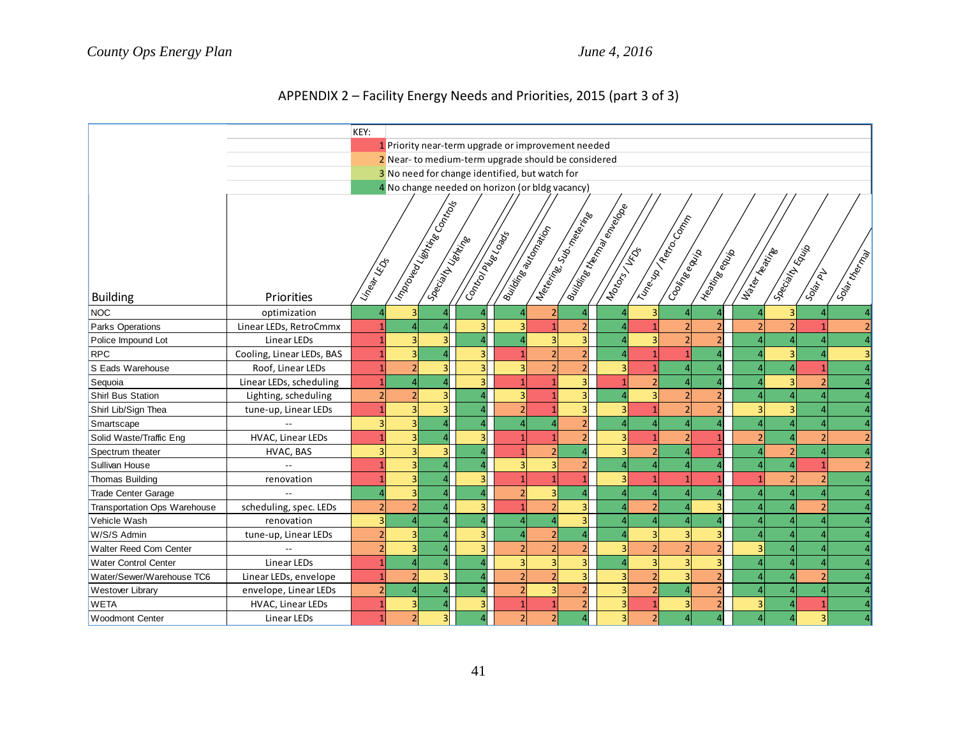## APPENDIX 2 – Facility Energy Needs and Priorities, 2015 (part 3 of 3)

|                              |                           | KEY:                                           |                          |                                                |                                                     |                         |                         |                              |                                                        |                          |                          |                     |                  |                          |                         |                |
|------------------------------|---------------------------|------------------------------------------------|--------------------------|------------------------------------------------|-----------------------------------------------------|-------------------------|-------------------------|------------------------------|--------------------------------------------------------|--------------------------|--------------------------|---------------------|------------------|--------------------------|-------------------------|----------------|
|                              |                           |                                                |                          |                                                | 1 Priority near-term upgrade or improvement needed  |                         |                         |                              |                                                        |                          |                          |                     |                  |                          |                         |                |
|                              |                           |                                                |                          |                                                | 2 Near- to medium-term upgrade should be considered |                         |                         |                              |                                                        |                          |                          |                     |                  |                          |                         |                |
|                              |                           | 3 No need for change identified, but watch for |                          |                                                |                                                     |                         |                         |                              |                                                        |                          |                          |                     |                  |                          |                         |                |
|                              |                           |                                                |                          |                                                | 4 No change needed on horizon (or bldg vacancy)     |                         |                         |                              |                                                        |                          |                          |                     |                  |                          |                         |                |
|                              |                           |                                                |                          |                                                |                                                     |                         |                         |                              |                                                        |                          |                          |                     |                  |                          |                         |                |
|                              |                           |                                                |                          |                                                |                                                     |                         |                         |                              |                                                        |                          |                          |                     |                  |                          |                         |                |
|                              |                           |                                                |                          |                                                |                                                     |                         |                         |                              |                                                        |                          |                          |                     |                  |                          |                         |                |
|                              |                           |                                                |                          |                                                |                                                     |                         |                         |                              |                                                        |                          |                          |                     |                  |                          |                         |                |
|                              |                           |                                                |                          |                                                |                                                     |                         |                         |                              |                                                        |                          |                          |                     |                  |                          |                         |                |
|                              |                           |                                                |                          |                                                |                                                     |                         |                         |                              |                                                        |                          |                          |                     |                  |                          |                         |                |
| <b>Building</b>              | Priorities                | Linear LEGS                                    |                          | Important list is control<br>Specialty Listing | Control May 1981                                    | Building and Containing |                         | I Receive Subscribe Received | <b>Building River Prayer Replace</b><br>Motorcy Virgin | I Mean Report Of Damm    | I Coolingerous           | Heaville Republican | I Martin Reading | Specialty Equip          | ISOSIAL DI              | Joak Herman    |
| <b>NOC</b>                   | optimization              |                                                | $\overline{3}$           | $\overline{4}$                                 | $\overline{4}$                                      | $\overline{4}$          | $\overline{2}$          |                              |                                                        | $\overline{3}$           | $\vert$                  | $\overline{4}$      |                  | $\overline{3}$           | $\overline{4}$          |                |
| <b>Parks Operations</b>      | Linear LEDs, RetroCmmx    |                                                | $\Delta$                 | $\overline{4}$                                 | $\overline{3}$                                      | 3                       |                         |                              | $\Delta$                                               |                          | $\overline{\mathcal{L}}$ | $\overline{2}$      |                  | $\overline{\mathcal{L}}$ |                         | $\overline{2}$ |
| Police Impound Lot           | Linear LEDs               |                                                | 3                        | $\overline{3}$                                 | $\Delta$                                            | $\overline{4}$          | $\overline{3}$          |                              |                                                        |                          | $\overline{\phantom{a}}$ | $\overline{2}$      | $\overline{a}$   | $\overline{a}$           | $\overline{4}$          | $\overline{4}$ |
| <b>RPC</b>                   | Cooling, Linear LEDs, BAS |                                                | $\overline{3}$           | $\overline{4}$                                 | 3                                                   |                         | $\overline{2}$          |                              | $\Delta$                                               |                          |                          | $\overline{a}$      | $\overline{A}$   |                          | $\overline{a}$          | $\overline{3}$ |
| S Eads Warehouse             | Roof, Linear LEDs         |                                                | $\overline{2}$           | $\overline{3}$                                 | $\overline{3}$                                      | $\overline{3}$          | $\overline{2}$          |                              | $\overline{3}$                                         |                          |                          | $\overline{4}$      | $\Delta$         |                          |                         | $\overline{4}$ |
| Sequoia                      | Linear LEDs, scheduling   |                                                |                          | $\overline{4}$                                 | $\overline{3}$                                      |                         |                         | 3                            |                                                        |                          | $\Delta$                 | $\overline{4}$      |                  | $\overline{3}$           | $\overline{2}$          | $\overline{4}$ |
| <b>Shirl Bus Station</b>     | Lighting, scheduling      |                                                | $\overline{\phantom{a}}$ | $\overline{3}$                                 | $\Delta$                                            | $\overline{3}$          |                         | $\overline{3}$               |                                                        |                          | $\overline{2}$           | $\overline{2}$      | $\overline{a}$   | $\overline{a}$           | $\overline{4}$          | $\overline{4}$ |
| Shirl Lib/Sign Thea          | tune-up, Linear LEDs      |                                                | $\overline{3}$           | $\overline{3}$                                 |                                                     | $\overline{2}$          |                         | $\overline{3}$               | 3                                                      |                          | $\overline{2}$           | $\overline{2}$      | 3                | 3                        | $\overline{4}$          | $\overline{4}$ |
| Smartscape                   |                           |                                                |                          | $\overline{4}$                                 |                                                     | $\mathbf{A}$            | $\Delta$                |                              |                                                        |                          |                          | $\overline{a}$      | 4                |                          | $\overline{a}$          | $\overline{4}$ |
| Solid Waste/Traffic Eng      | HVAC, Linear LEDs         |                                                | $\overline{3}$           | $\vert$                                        | 3                                                   |                         |                         |                              | 3                                                      |                          | $\overline{2}$           | $\mathbf{1}$        | $\overline{2}$   |                          | $\overline{2}$          | $\overline{2}$ |
| Spectrum theater             | HVAC, BAS                 |                                                | 3                        | $\overline{3}$                                 |                                                     |                         | $\overline{2}$          |                              | 3                                                      |                          |                          | $\overline{1}$      | $\Delta$         |                          | $\overline{a}$          | $\overline{4}$ |
| Sullivan House               |                           |                                                | 3                        | $\overline{4}$                                 |                                                     | $\overline{3}$          | $\overline{\mathbf{3}}$ |                              |                                                        | Δ                        |                          | $\overline{a}$      | $\Delta$         |                          | $\mathbf{1}$            | $\overline{2}$ |
| Thomas Building              | renovation                |                                                | $\overline{3}$           | $\overline{4}$                                 | $\overline{3}$                                      |                         | $\mathbf{1}$            |                              | 3                                                      |                          |                          | $\mathbf{1}$        |                  | $\overline{\phantom{a}}$ | $\overline{2}$          | $\overline{4}$ |
| <b>Trade Center Garage</b>   |                           |                                                | 3                        | $\overline{4}$                                 | $\Delta$                                            | $\overline{2}$          | $\overline{3}$          |                              | $\overline{4}$                                         | 4                        | $\overline{a}$           | $\overline{4}$      | 4                | $\overline{a}$           | $\overline{\mathbf{4}}$ | $\overline{4}$ |
| Transportation Ops Warehouse | scheduling, spec. LEDs    |                                                | $\overline{2}$           | $\overline{4}$                                 | 3                                                   |                         | $\overline{2}$          |                              | $\overline{4}$                                         |                          |                          | $\overline{3}$      | $\overline{A}$   |                          | $\overline{2}$          | $\overline{4}$ |
| Vehicle Wash                 | renovation                |                                                | $\Delta$                 | $\overline{4}$                                 | $\Delta$                                            | $\overline{a}$          | $\overline{4}$          | $\overline{3}$               | $\overline{a}$                                         | $\Delta$                 |                          | $\overline{4}$      | $\overline{4}$   |                          | $\overline{4}$          | $\overline{4}$ |
| W/S/S Admin                  | tune-up, Linear LEDs      |                                                | 3                        | $\overline{4}$                                 | 3                                                   | 4                       | $\overline{2}$          |                              |                                                        |                          |                          | $\overline{3}$      | $\overline{4}$   |                          | $\overline{4}$          | $\overline{4}$ |
| Walter Reed Com Center       |                           |                                                | 3                        | $\overline{4}$                                 | $\overline{\mathbf{3}}$                             | $\overline{2}$          | $\overline{2}$          |                              |                                                        |                          |                          | $\overline{2}$      | $\overline{3}$   |                          | $\overline{4}$          | $\overline{4}$ |
| <b>Water Control Center</b>  | Linear LEDs               |                                                | $\overline{a}$           | $\overline{4}$                                 | $\overline{\mathbf{A}}$                             | $\overline{3}$          | $\overline{3}$          | $\overline{3}$               | $\Delta$                                               | $\overline{\mathbf{a}}$  | 3                        | $\overline{3}$      | $\overline{a}$   |                          | $\overline{4}$          | $\overline{4}$ |
| Water/Sewer/Warehouse TC6    | Linear LEDs, envelope     |                                                | $\overline{z}$           | $\overline{3}$                                 | $\Delta$                                            | $\overline{2}$          | $\overline{2}$          | $\overline{3}$               | 3                                                      |                          | $\overline{\mathbf{a}}$  | $\overline{2}$      | $\overline{4}$   |                          | $\overline{2}$          | $\overline{4}$ |
| <b>Westover Library</b>      | envelope, Linear LEDs     |                                                | Δ                        | $\overline{4}$                                 | $\Delta$                                            | $\overline{2}$          | $\overline{3}$          | $\overline{2}$               | $\overline{3}$                                         | $\overline{\mathcal{L}}$ |                          | $\overline{2}$      | $\overline{4}$   |                          | $\overline{\mathbf{4}}$ | $\overline{4}$ |
| <b>WETA</b>                  | HVAC, Linear LEDs         |                                                | 3                        | $\overline{4}$                                 | $\overline{3}$                                      |                         | $\mathbf{1}$            |                              | $\overline{3}$                                         |                          | 3                        | $\overline{2}$      | $\overline{3}$   |                          | $\mathbf{1}$            | $\overline{4}$ |
| <b>Woodmont Center</b>       | Linear LEDs               | 1                                              | $\overline{2}$           | $\overline{3}$                                 | $\overline{a}$                                      | $\overline{2}$          | $\overline{2}$          |                              | $\overline{3}$                                         | $\overline{2}$           | $\overline{A}$           | $\overline{a}$      | $\overline{4}$   |                          | $\overline{3}$          | $\Delta$       |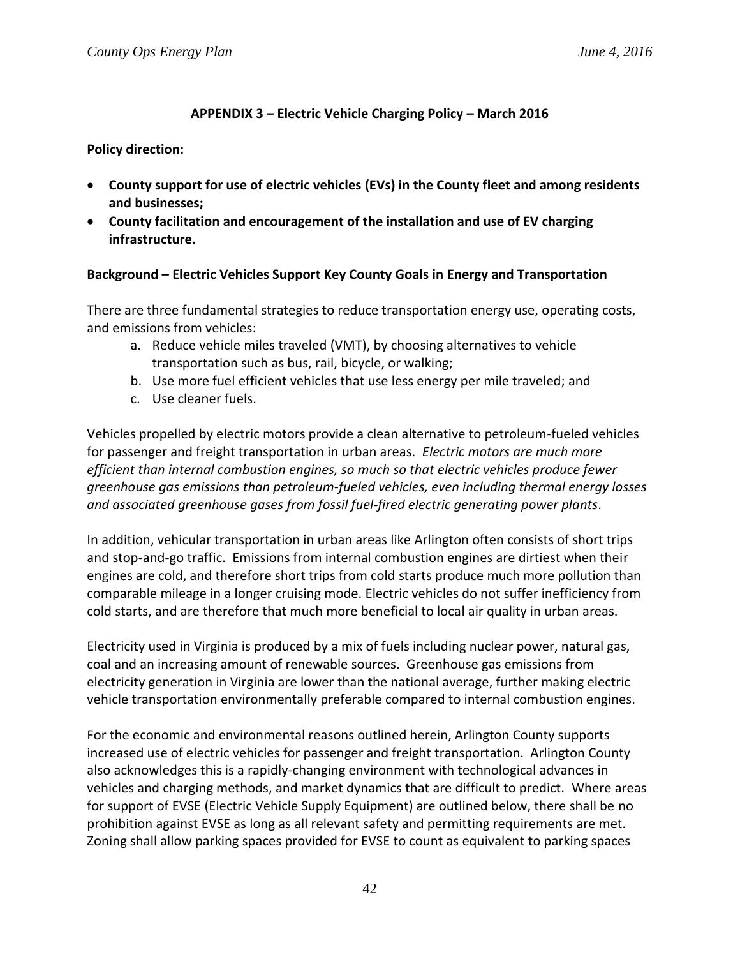## **APPENDIX 3 – Electric Vehicle Charging Policy – March 2016**

### **Policy direction:**

- **County support for use of electric vehicles (EVs) in the County fleet and among residents and businesses;**
- **County facilitation and encouragement of the installation and use of EV charging infrastructure.**

## **Background – Electric Vehicles Support Key County Goals in Energy and Transportation**

There are three fundamental strategies to reduce transportation energy use, operating costs, and emissions from vehicles:

- a. Reduce vehicle miles traveled (VMT), by choosing alternatives to vehicle transportation such as bus, rail, bicycle, or walking;
- b. Use more fuel efficient vehicles that use less energy per mile traveled; and
- c. Use cleaner fuels.

Vehicles propelled by electric motors provide a clean alternative to petroleum-fueled vehicles for passenger and freight transportation in urban areas. *Electric motors are much more efficient than internal combustion engines, so much so that electric vehicles produce fewer greenhouse gas emissions than petroleum-fueled vehicles, even including thermal energy losses and associated greenhouse gases from fossil fuel-fired electric generating power plants*.

In addition, vehicular transportation in urban areas like Arlington often consists of short trips and stop-and-go traffic. Emissions from internal combustion engines are dirtiest when their engines are cold, and therefore short trips from cold starts produce much more pollution than comparable mileage in a longer cruising mode. Electric vehicles do not suffer inefficiency from cold starts, and are therefore that much more beneficial to local air quality in urban areas.

Electricity used in Virginia is produced by a mix of fuels including nuclear power, natural gas, coal and an increasing amount of renewable sources. Greenhouse gas emissions from electricity generation in Virginia are lower than the national average, further making electric vehicle transportation environmentally preferable compared to internal combustion engines.

For the economic and environmental reasons outlined herein, Arlington County supports increased use of electric vehicles for passenger and freight transportation. Arlington County also acknowledges this is a rapidly-changing environment with technological advances in vehicles and charging methods, and market dynamics that are difficult to predict. Where areas for support of EVSE (Electric Vehicle Supply Equipment) are outlined below, there shall be no prohibition against EVSE as long as all relevant safety and permitting requirements are met. Zoning shall allow parking spaces provided for EVSE to count as equivalent to parking spaces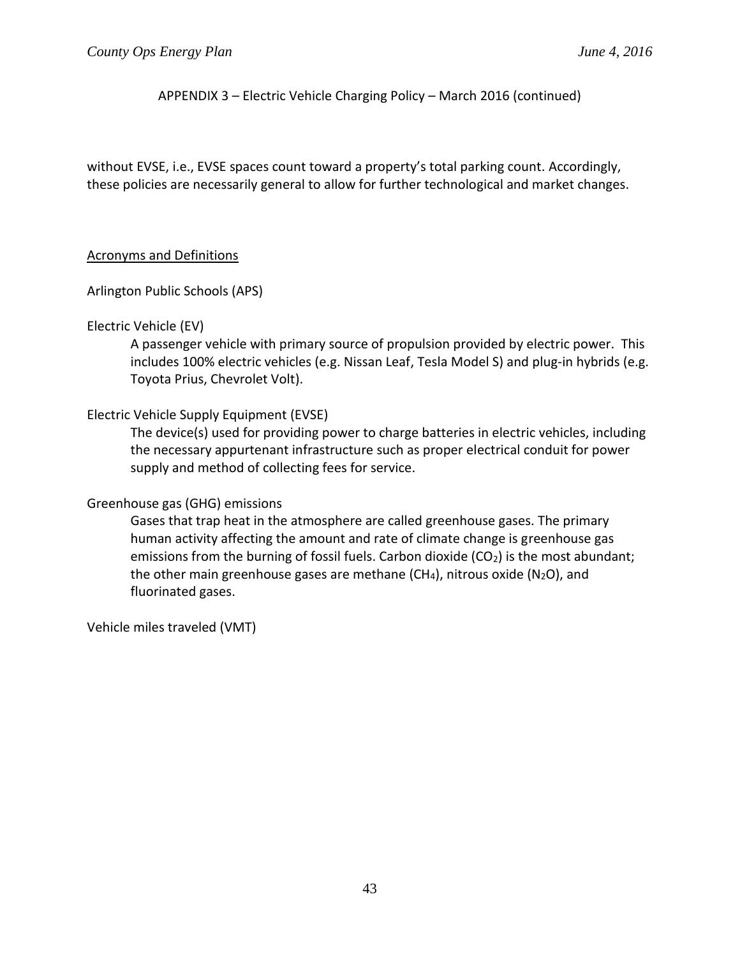without EVSE, i.e., EVSE spaces count toward a property's total parking count. Accordingly, these policies are necessarily general to allow for further technological and market changes.

## Acronyms and Definitions

#### Arlington Public Schools (APS)

## Electric Vehicle (EV)

A passenger vehicle with primary source of propulsion provided by electric power. This includes 100% electric vehicles (e.g. Nissan Leaf, Tesla Model S) and plug-in hybrids (e.g. Toyota Prius, Chevrolet Volt).

## Electric Vehicle Supply Equipment (EVSE)

The device(s) used for providing power to charge batteries in electric vehicles, including the necessary appurtenant infrastructure such as proper electrical conduit for power supply and method of collecting fees for service.

#### Greenhouse gas (GHG) emissions

Gases that trap heat in the atmosphere are called greenhouse gases. The primary human activity affecting the amount and rate of climate change is greenhouse gas emissions from the burning of fossil fuels. Carbon dioxide  $(CO<sub>2</sub>)$  is the most abundant; the other main greenhouse gases are methane (CH<sub>4</sub>), nitrous oxide (N<sub>2</sub>O), and fluorinated gases.

Vehicle miles traveled (VMT)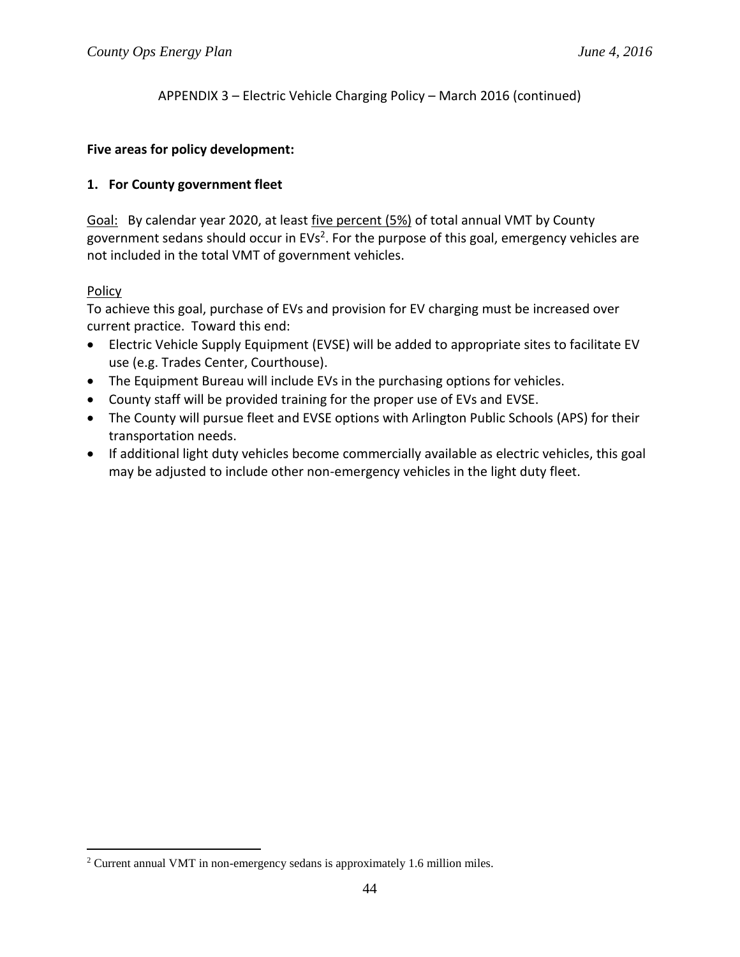## **Five areas for policy development:**

## **1. For County government fleet**

Goal: By calendar year 2020, at least five percent (5%) of total annual VMT by County government sedans should occur in EVs<sup>2</sup>. For the purpose of this goal, emergency vehicles are not included in the total VMT of government vehicles.

## Policy

 $\overline{a}$ 

To achieve this goal, purchase of EVs and provision for EV charging must be increased over current practice. Toward this end:

- Electric Vehicle Supply Equipment (EVSE) will be added to appropriate sites to facilitate EV use (e.g. Trades Center, Courthouse).
- The Equipment Bureau will include EVs in the purchasing options for vehicles.
- County staff will be provided training for the proper use of EVs and EVSE.
- The County will pursue fleet and EVSE options with Arlington Public Schools (APS) for their transportation needs.
- If additional light duty vehicles become commercially available as electric vehicles, this goal may be adjusted to include other non-emergency vehicles in the light duty fleet.

<sup>&</sup>lt;sup>2</sup> Current annual VMT in non-emergency sedans is approximately 1.6 million miles.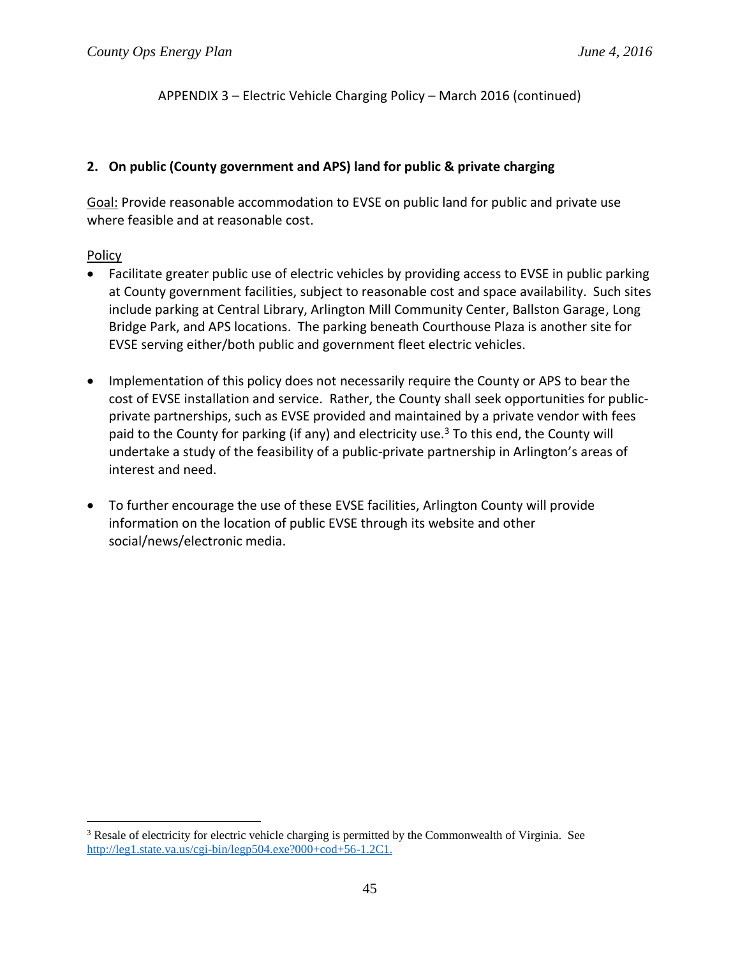## **2. On public (County government and APS) land for public & private charging**

Goal: Provide reasonable accommodation to EVSE on public land for public and private use where feasible and at reasonable cost.

Policy

 $\overline{a}$ 

- Facilitate greater public use of electric vehicles by providing access to EVSE in public parking at County government facilities, subject to reasonable cost and space availability. Such sites include parking at Central Library, Arlington Mill Community Center, Ballston Garage, Long Bridge Park, and APS locations. The parking beneath Courthouse Plaza is another site for EVSE serving either/both public and government fleet electric vehicles.
- Implementation of this policy does not necessarily require the County or APS to bear the cost of EVSE installation and service. Rather, the County shall seek opportunities for publicprivate partnerships, such as EVSE provided and maintained by a private vendor with fees paid to the County for parking (if any) and electricity use. $3$  To this end, the County will undertake a study of the feasibility of a public-private partnership in Arlington's areas of interest and need.
- To further encourage the use of these EVSE facilities, Arlington County will provide information on the location of public EVSE through its website and other social/news/electronic media.

<sup>&</sup>lt;sup>3</sup> Resale of electricity for electric vehicle charging is permitted by the Commonwealth of Virginia. See [http://leg1.state.va.us/cgi-bin/legp504.exe?000+cod+56-1.2C1.](http://leg1.state.va.us/cgi-bin/legp504.exe?000+cod+56-1.2C1)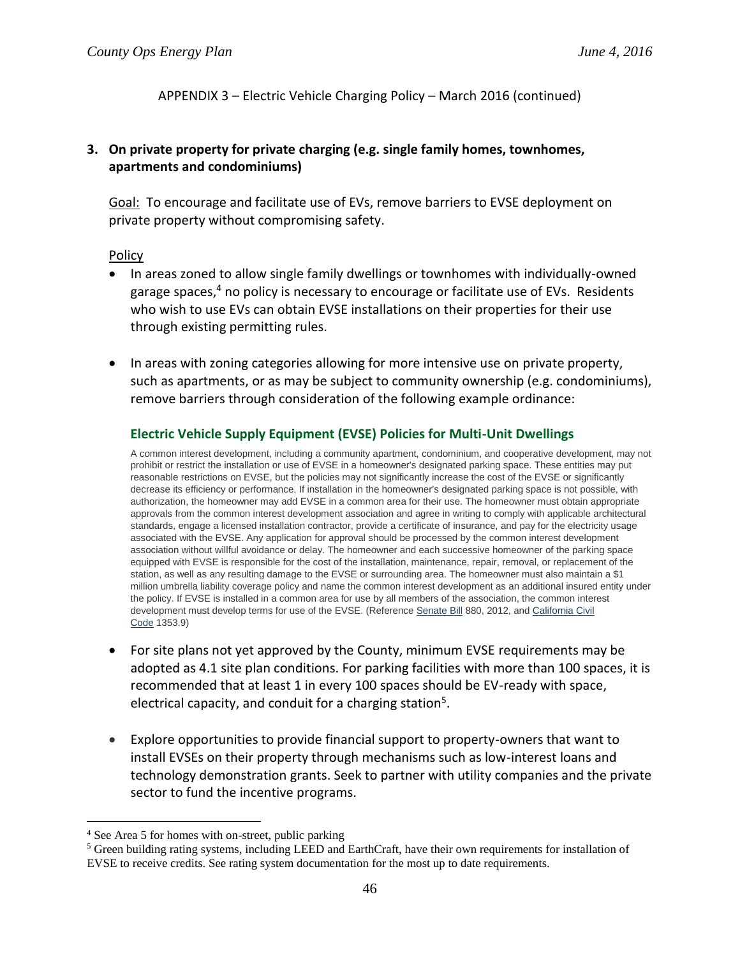## **3. On private property for private charging (e.g. single family homes, townhomes, apartments and condominiums)**

Goal: To encourage and facilitate use of EVs, remove barriers to EVSE deployment on private property without compromising safety.

Policy

- In areas zoned to allow single family dwellings or townhomes with individually-owned garage spaces, <sup>4</sup> no policy is necessary to encourage or facilitate use of EVs. Residents who wish to use EVs can obtain EVSE installations on their properties for their use through existing permitting rules.
- In areas with zoning categories allowing for more intensive use on private property, such as apartments, or as may be subject to community ownership (e.g. condominiums), remove barriers through consideration of the following example ordinance:

## **Electric Vehicle Supply Equipment (EVSE) Policies for Multi-Unit Dwellings**

A common interest development, including a community apartment, condominium, and cooperative development, may not prohibit or restrict the installation or use of EVSE in a homeowner's designated parking space. These entities may put reasonable restrictions on EVSE, but the policies may not significantly increase the cost of the EVSE or significantly decrease its efficiency or performance. If installation in the homeowner's designated parking space is not possible, with authorization, the homeowner may add EVSE in a common area for their use. The homeowner must obtain appropriate approvals from the common interest development association and agree in writing to comply with applicable architectural standards, engage a licensed installation contractor, provide a certificate of insurance, and pay for the electricity usage associated with the EVSE. Any application for approval should be processed by the common interest development association without willful avoidance or delay. The homeowner and each successive homeowner of the parking space equipped with EVSE is responsible for the cost of the installation, maintenance, repair, removal, or replacement of the station, as well as any resulting damage to the EVSE or surrounding area. The homeowner must also maintain a \$1 million umbrella liability coverage policy and name the common interest development as an additional insured entity under the policy. If EVSE is installed in a common area for use by all members of the association, the common interest development must develop terms for use of the EVSE. (Reference [Senate Bill](http://www.leginfo.ca.gov/) 880, 2012, and California Civil [Code](http://www.oal.ca.gov/) 1353.9)

- For site plans not yet approved by the County, minimum EVSE requirements may be adopted as 4.1 site plan conditions. For parking facilities with more than 100 spaces, it is recommended that at least 1 in every 100 spaces should be EV-ready with space, electrical capacity, and conduit for a charging station<sup>5</sup>.
- Explore opportunities to provide financial support to property-owners that want to install EVSEs on their property through mechanisms such as low-interest loans and technology demonstration grants. Seek to partner with utility companies and the private sector to fund the incentive programs.

 $\overline{a}$ 

<sup>4</sup> See Area 5 for homes with on-street, public parking

<sup>5</sup> Green building rating systems, including LEED and EarthCraft, have their own requirements for installation of EVSE to receive credits. See rating system documentation for the most up to date requirements.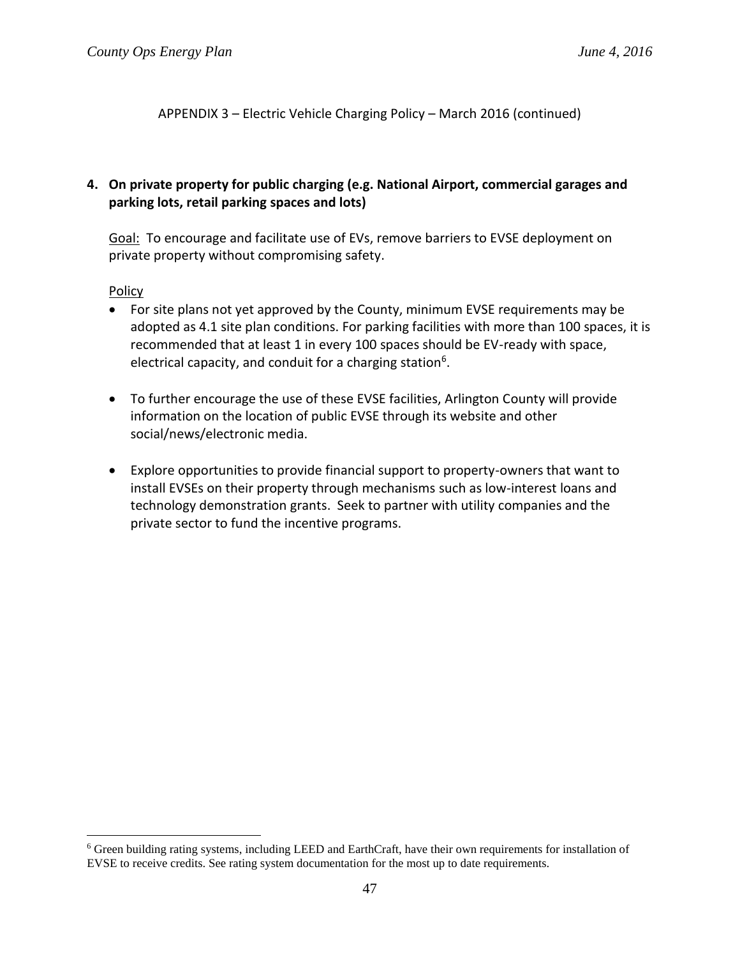## **4. On private property for public charging (e.g. National Airport, commercial garages and parking lots, retail parking spaces and lots)**

Goal: To encourage and facilitate use of EVs, remove barriers to EVSE deployment on private property without compromising safety.

**Policy** 

 $\overline{a}$ 

- For site plans not yet approved by the County, minimum EVSE requirements may be adopted as 4.1 site plan conditions. For parking facilities with more than 100 spaces, it is recommended that at least 1 in every 100 spaces should be EV-ready with space, electrical capacity, and conduit for a charging station<sup>6</sup>.
- To further encourage the use of these EVSE facilities, Arlington County will provide information on the location of public EVSE through its website and other social/news/electronic media.
- Explore opportunities to provide financial support to property-owners that want to install EVSEs on their property through mechanisms such as low-interest loans and technology demonstration grants. Seek to partner with utility companies and the private sector to fund the incentive programs.

<sup>6</sup> Green building rating systems, including LEED and EarthCraft, have their own requirements for installation of EVSE to receive credits. See rating system documentation for the most up to date requirements.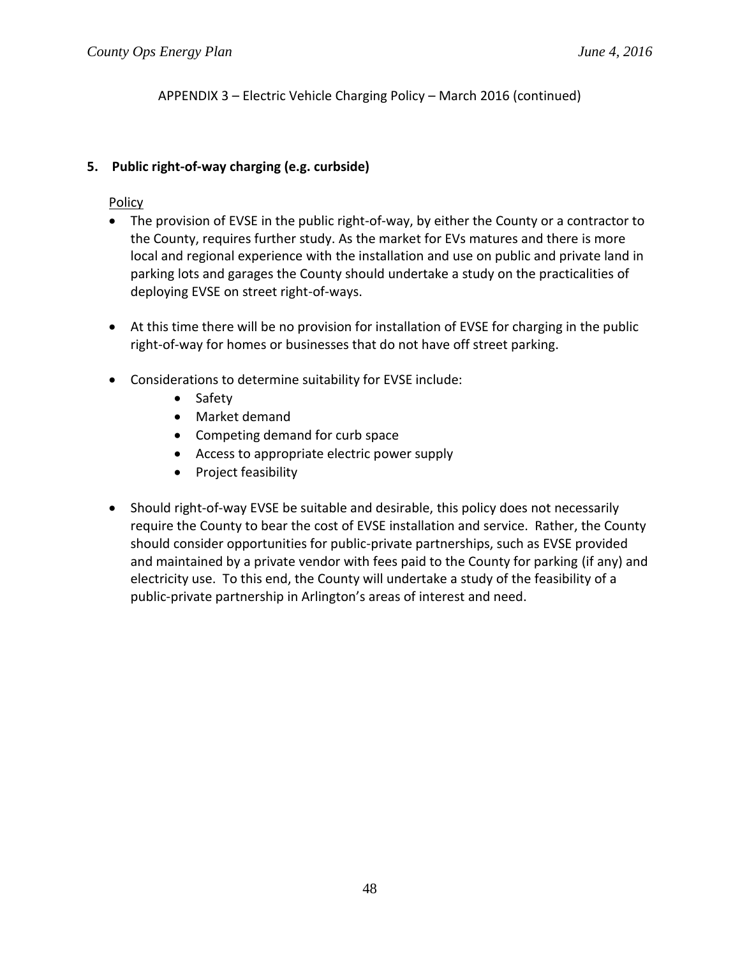## **5. Public right-of-way charging (e.g. curbside)**

## Policy

- The provision of EVSE in the public right-of-way, by either the County or a contractor to the County, requires further study. As the market for EVs matures and there is more local and regional experience with the installation and use on public and private land in parking lots and garages the County should undertake a study on the practicalities of deploying EVSE on street right-of-ways.
- At this time there will be no provision for installation of EVSE for charging in the public right-of-way for homes or businesses that do not have off street parking.
- Considerations to determine suitability for EVSE include:
	- Safety
	- Market demand
	- Competing demand for curb space
	- Access to appropriate electric power supply
	- Project feasibility
- Should right-of-way EVSE be suitable and desirable, this policy does not necessarily require the County to bear the cost of EVSE installation and service. Rather, the County should consider opportunities for public-private partnerships, such as EVSE provided and maintained by a private vendor with fees paid to the County for parking (if any) and electricity use. To this end, the County will undertake a study of the feasibility of a public-private partnership in Arlington's areas of interest and need.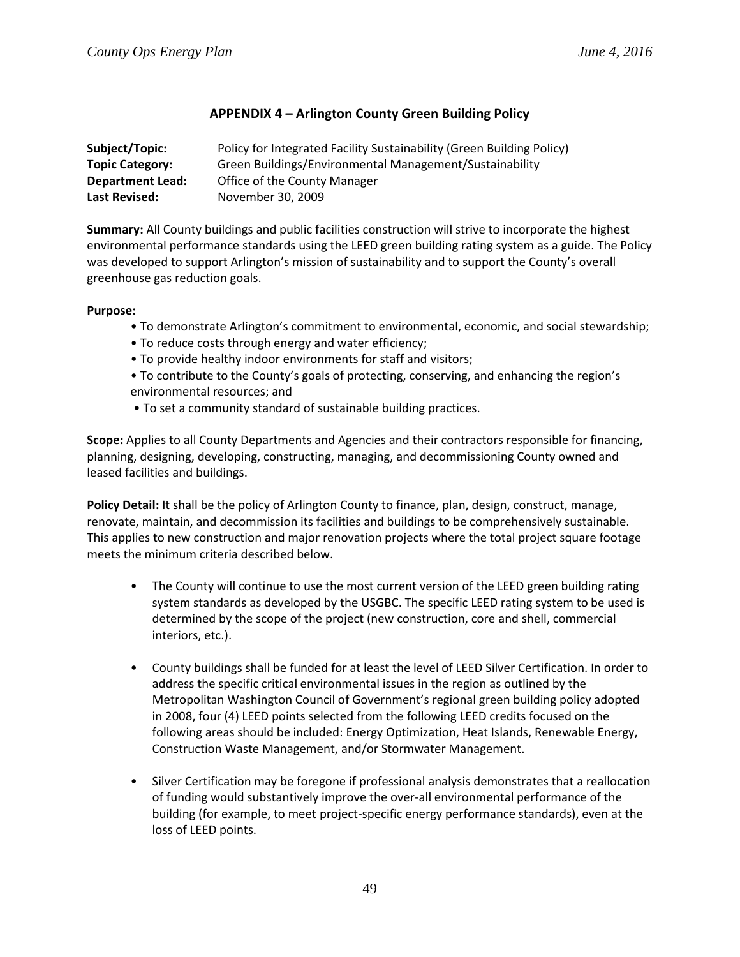## **APPENDIX 4 – Arlington County Green Building Policy**

| Subject/Topic:          | Policy for Integrated Facility Sustainability (Green Building Policy) |
|-------------------------|-----------------------------------------------------------------------|
| <b>Topic Category:</b>  | Green Buildings/Environmental Management/Sustainability               |
| <b>Department Lead:</b> | Office of the County Manager                                          |
| <b>Last Revised:</b>    | November 30, 2009                                                     |

**Summary:** All County buildings and public facilities construction will strive to incorporate the highest environmental performance standards using the LEED green building rating system as a guide. The Policy was developed to support Arlington's mission of sustainability and to support the County's overall greenhouse gas reduction goals.

#### **Purpose:**

- To demonstrate Arlington's commitment to environmental, economic, and social stewardship;
- To reduce costs through energy and water efficiency;
- To provide healthy indoor environments for staff and visitors;
- To contribute to the County's goals of protecting, conserving, and enhancing the region's environmental resources; and
- To set a community standard of sustainable building practices.

**Scope:** Applies to all County Departments and Agencies and their contractors responsible for financing, planning, designing, developing, constructing, managing, and decommissioning County owned and leased facilities and buildings.

**Policy Detail:** It shall be the policy of Arlington County to finance, plan, design, construct, manage, renovate, maintain, and decommission its facilities and buildings to be comprehensively sustainable. This applies to new construction and major renovation projects where the total project square footage meets the minimum criteria described below.

- The County will continue to use the most current version of the LEED green building rating system standards as developed by the USGBC. The specific LEED rating system to be used is determined by the scope of the project (new construction, core and shell, commercial interiors, etc.).
- County buildings shall be funded for at least the level of LEED Silver Certification. In order to address the specific critical environmental issues in the region as outlined by the Metropolitan Washington Council of Government's regional green building policy adopted in 2008, four (4) LEED points selected from the following LEED credits focused on the following areas should be included: Energy Optimization, Heat Islands, Renewable Energy, Construction Waste Management, and/or Stormwater Management.
- Silver Certification may be foregone if professional analysis demonstrates that a reallocation of funding would substantively improve the over-all environmental performance of the building (for example, to meet project-specific energy performance standards), even at the loss of LEED points.